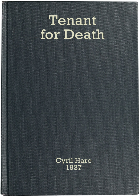# Tenant for Death

**Cyril Hare** 1937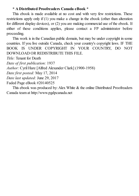#### **\* A Distributed Proofreaders Canada eBook \***

This ebook is made available at no cost and with very few restrictions. These restrictions apply only if (1) you make a change in the ebook (other than alteration for different display devices), or (2) you are making commercial use of the ebook. If either of these conditions applies, please contact a FP administrator before proceeding.

This work is in the Canadian public domain, but may be under copyright in some countries. If you live outside Canada, check your country's copyright laws. IF THE BOOK IS UNDER COPYRIGHT IN YOUR COUNTRY, DO NOT DOWNLOAD OR REDISTRIBUTE THIS FILE.

*Title:* Tenant for Death

*Date of first publication:* 1937

*Author:* Cyril Hare [Alfred Alexander Clark] (1900-1958)

*Date first posted:* May 17, 2014

*Date last updated:* June 29, 2017

Faded Page eBook #20140525

This ebook was produced by: Alex White & the online Distributed Proofreaders Canada team at http://www.pgdpcanada.net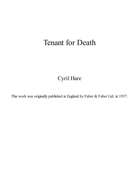## Tenant for Death

Cyril Hare

This work was originally published in England by Faber & Faber Ltd. in 1937.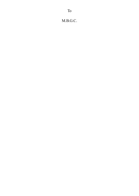#### M.B.G.C.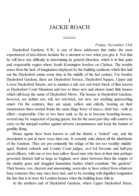## 1 JACKIE ROACH

#### *Friday, November 13th*

Daylesford Gardens, S.W., is one of those addresses that make the most experienced of taxi-drivers hesitate for a moment or two when you give it. Not that he will have any difficulty in determining its general direction, which is in that quiet and respectable region where South Kensington borders on Chelsea. The trouble arises from the lack of imagination displayed by the building syndicate which first laid out the Daylesford estate some time in the middle of the last century. For besides Daylesford Gardens, there are Daylesford Terrace, Daylesford Square, Upper and Lower Daylesford Streets, not to mention a tall, raw red-brick block of flats known as Daylesford Court Mansions and two or three new and almost smart little houses which still keep the name of Daylesford Mews. The houses in Daylesford Gardens, however, are neither raw, tall, nor red-brick, nor new, nor anything approaching smart. On the contrary, they are squat, yellow and elderly, bearing on their monotonous three-storied fronts the same dingy livery of stucco, drab but—with an effort—respectable. One or two have sunk so far as to become boarding-houses, several may be suspected of paying guests, but for the most part they still contrive to carry on the unequal warfare against adverse circumstances and keep the banner of gentility flying.

House agents have been known to call the district a "retired" one, and the description is just in more ways than one. It certainly suits almost all the inhabitants of the Gardens. They are pre-eminently the refuge of the not too wealthy middleaged. Retired colonels and County Court judges, ex-Civil Servants and half-pay naval officers, with one or two lean sallow-faced men who have in their time perhaps governed districts half as large as England, now share between them the empire of the muddy grass and draggled laurustinus bushes which constitute "the gardens". Their houses, too, discreet and unassuming, seem also to have retired from whatever busy existence they may once have had, and to be awaiting with dignified resignation the fate that is in store for London houses when the building lease falls in.

At the northern end of Daylesford Gardens, where Upper Daylesford Street,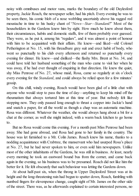noisy with omnibuses and motor vans, marks the boundary of the old Daylesford property, Jackie Roach, the newspaper seller, had his pitch. Every evening he was to be seen there, his comic blob of a nose wobbling uncertainly above his ragged red moustache in time to his husky chant of "*News—Star—Standard!*" Most of the householders in the Gardens knew him by sight. How much he knew about them, their circumstances, habits and domestic staffs, few of them probably ever guessed. They were, as he put it, among his "regulars", and it was almost a point of honour with him to be acquainted with their affairs. He knew—and liked—old Colonel Petherington at No. 15, with his threadbare grey suit and erect habit of body, who went so punctually to his club every afternoon and returned so punctually every evening for dinner. He knew—and disliked—the flashy Mrs. Brent at No. 34, and could have told her husband something of the man who came to visit her when he was away, if he had ever thought of enquiring in that direction. He knew the quiet, shy Miss Penrose of No. 27, whose maid, Rosa, came so regularly at six o'clock every evening for the *Standard*, and could always be relied upon for a few minutes' gossip.

On this chill, windy evening, Roach would have been glad of a little chat with anyone who would stop to pass the time of day—anything to keep his mind off the rheumatism that always tortured him at this time of year. But nobody felt like stopping now. They only paused long enough to thrust a copper into Jackie's hand and snatch a paper, for all the world as though a chap was an automatic machine. Rosa was different. Whatever the weather, she would always hang about a bit for a chat at the corner, as well she might indeed, with a warm back kitchen to go home to.

But no Rosa would come this evening. For a month past Miss Penrose had been away. She had gone abroad, and Rosa had gone to her family in the country. The house was let furnished to a Mr. Colin James. Roach knew his name, thanks to a nodding acquaintance with Crabtree, the manservant who had usurped Rosa's place at No. 27, but he had never spoken to him, or even sold him newspapers. Unlike most of the other inhabitants of the Gardens, he was still in business. At least, nearly every morning he took an eastward bound bus from the corner, and came back again in the evening, so his business was to be presumed. Roach did not like him the better for it. He felt obscurely that such behaviour was letting the Gardens down.

At about half-past six, when the throng in Upper Daylesford Street was at its height and the long-threatening rain had begun to spatter down, Roach, fumbling with numbed fingers for elevenpence change, caught sight of Mr. James on the other side of the street. There was, as he afterwards explained to certain interested persons, no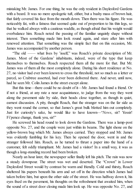mistaking Mr. James. For one thing, he was the only resident in Daylesford Gardens with a beard. It was no mere apologetic tuft, either, but a bushy mass of brown hair, that fairly covered his face from the mouth down. Then there was his figure. He was noticeably fat, with a fatness that seemed quite out of proportion to his thin legs, so that he walked always with a cautious waddle, as though afraid that his weight would overbalance him. Roach noted the passing of the familiar ungainly shape without interest. Then something made him look round again, and stare after him with renewed attention. That something was the simple fact that on this occasion, Mr. James was accompanied by another person.

"The old —— what lives by 'isself," was Roach's private description of Mr. James. Most of the Gardens' inhabitants, indeed, were of the type that keep themselves to themselves. Roach respected them all the more for that. But Mr. James was of them all the most completely alone. During his short residence at No. 27, no visitor had ever been known to cross the threshold, not so much as a letter or parcel, so Crabtree asserted, had ever been delivered there. And never, until now, had he seen Mr. Colin James in the street except alone.

But this time—there could be no doubt of it—Mr. James had found a friend. Or if not a friend, at any rate a near acquaintance, to judge from the way they went along the pavement side by side, their heads close together, as though in quiet, earnest discussion. A pity, thought Roach, that the stranger was on the far side as they went round the corner, so that James's great bulk blotted him out completely. Just for curiosity's sake, he would like to have known—"*News*, sir? Yessir! Fi'pence change, thank you, sir!"

He screwed his head round to look down the Gardens. There was a lamp-post opposite No. 27, and the couple were just within its beams. The light shone on the yellow-brown bag which Mr. James always carried. They stopped and Mr. James was evidently fumbling for his key. Then he opened the door, went in and the stranger followed him. Roach, as he turned to thrust a paper into the hand of a customer, felt oddly triumphant. Mr. James had a visitor! In a small way, it was as though a long-standing record had been broken.

Nearly an hour later, the newspaper seller finally left his pitch. The rain was now a steady downpour. The street was wet and deserted. The "Crown" in Lower Daylesford Street would by contrast be warm and friendly. Cold and thirsty, Roach sheltered his papers beneath his arm and set off in the direction which James had taken before him, but upon the other side of the street. He was halfway down it, his eyes fixed on the pavement, his thoughts on the refreshment that awaited him, when the sound of a street door closing made him look up. He was opposite No. 27, and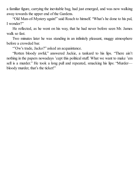a familiar figure, carrying the inevitable bag, had just emerged, and was now walking away towards the upper end of the Gardens.

"Old Man-of-Mystery again!" said Roach to himself. "What's he done to his pal, I wonder?"

He reflected, as he went on his way, that he had never before seen Mr. James walk so fast.

Two minutes later he was standing in an infinitely pleasant, muggy atmosphere before a crowded bar.

"Ow's trade, Jacko?" asked an acquaintance.

"Rotten bloody awful," answered Jackie, a tankard to his lips. "There ain't nothing in the papers nowadays 'cept this political stuff. What we want to make 'em sell is a murder." He took a long pull and repeated, smacking his lips: "Murder bloody murder, that's the ticket!"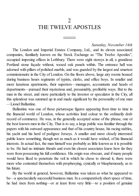## $\mathcal{D}_{\mathcal{L}}$ THE TWELVE APOSTLES

#### *Saturday, November 14th*

The London and Imperial Estates Company, Ltd., and its eleven associated companies, familiarly known on the Stock Exchange as "The Twelve Apostles", occupied imposing offices in Lothbury. There were eight storeys in all, a grandiose Portland stone façade without, waxed oak panels within. The entrance hall was adorned with pillars of polished marble, and was guarded by the largest and smartest commissionaire in the City of London. On the floors above, large airy rooms housed during business hours regiments of typists, clerks, and office boys. In smaller and more luxurious apartments, their superiors—managers, accountants and heads of departments—pursued their mysterious and, presumably, profitable ways. But to the man in the street, and more particularly to the investor or speculator in the City, all this splendour was summed up in and made significant by the personality of one man —Lionel Ballantine.

Ballantine was one of those picturesque figures appearing from time to time in the financial world of London, whose activities lend colour to the ordinarily drab record of commerce. He was, in the generally accepted sense of the phrase, one of the best known men in the City. That is to say, a large public was familiar through the papers with his outward appearance and that of his country house, his racing stables, his yacht and his herd of pedigree Jerseys. A smaller and more closely interested public knew something, though not as much as it would have wished, of his financial interests. In actual fact, the man himself was probably as little known as it is possible to be. He had no intimate friends and even his closest associates knew how far they were from possessing his full confidence. His origin was obscure, and if many people would have liked to penetrate the veil in which he chose to shroud it, there were more who contented themselves with prophesying, cynically or blasphemously, as to his future.

By the world in general, however, Ballantine was taken as what he appeared to be—a spectacularly successful business man. In a comparatively short space of time, he had risen from nothing—or at least from very little—to a position of genuine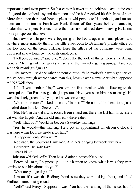importance and even power. Such a career is never to be achieved save at the cost of a good deal of jealousy and detraction, and he had received his fair share of both. More than once there had been unpleasant whispers as to his methods, and on one occasion—the famous Fanshawe Bank failure of four years before—something louder than whispers. But each time the murmurs had died down, leaving Ballantine more prosperous than ever.

But now the whispers were beginning to be heard again in many places, and nowhere more urgently than in the little ante-room to Ballantine's private office on the top floor of the great building. Here the affairs of the company were being discussed in low tones by two of its employees.

"I tell you, Johnson," said one, "I don't like the look of things. Here's the Annual General Meeting not two weeks away, and the market's getting jumpy. Have you seen this morning's figures?"

"The market!" said the other contemptuously. "The market's always got nerves. We've been through worse scares than this, haven't we? Remember what happened in '29? Well, then——"

"I'll tell you another thing," went on the first speaker without listening to the interruption. "Du Pine has got the jumps too. Have you seen him this morning? He was absolutely green. I tell you, he knows something."

"Where is he now?" asked Johnson. "In there?" He nodded his head to a glasspanelled door labelled "Secretary".

"No. He's in the old man's room. Been in and out there the last half-hour, like a cat with the fidgets. And the old man isn't there either."

"Well, what of it? Would he be, on a Saturday morning?"

"Yes, he would—this morning. He's got an appointment for eleven o'clock. I was here when Du Pine made it for him."

"An appointment? Who with?"

"Robinson, the Southern Bank man. And he's bringing Prufrock with him."

"Prufrock? The solicitor?"

"That's him."

Johnson whistled softly. Then he said after a noticeable pause:

"Percy, old man, I suppose you don't happen to know what it was they were coming to see him about, do you?"

"What are you getting at?"

"I mean, if it was the Redbury bond issue they were asking about, and if old Prufrock starts nosing round——"

"Well?" said Percy. "Suppose it was. You had the handling of that issue, hadn't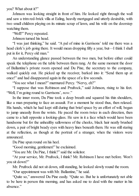you? What about it?"

Johnson was looking straight in front of him. He looked right through the wall and saw a trim red-brick villa at Ealing, heavily mortgaged and utterly desirable, with two small children playing on its minute scrap of lawn, and his wife on the doorstep watching them.

"Well?" Percy repeated.

Johnson turned his head.

"I was just thinking," he said. "A pal of mine in Garrisons' told me there was a head clerk's job going there. It would mean dropping fifty a year, but—I think I shall put in for it, Percy old man."

An understanding glance passed between the two men, but before either could speak the telephone on the table between them rang. At the same moment the door of Ballantine's private room opened and Du Pine, the secretary to the company, walked quickly out. He picked up the receiver, barked into it: "Send them up at once!" and had disappeared again in the space of a few seconds.

"You see what I mean?" murmured Percy. "Nervy, eh?"

"I suppose that was Robinson and Prufrock," said Johnson, rising to his feet. "Well, I'm going round to Garrisons', *now*."

In the inner room, Du Pine took a deep breath and squared his thin shoulders, like a man preparing to face an assault. For a moment he stood thus, then relaxed. His hands, which he had kept still during that brief space by an effort of will, began to jump uneasily from the wrists. He paced the room twice in each direction, then came to a halt opposite a looking-glass. He saw in it a face which would have been handsome but for the unhealthy sallowness of the cheeks, black hair neatly brushed down, a pair of bright beady eyes with heavy lines beneath them. He was still staring at the reflection, as though at the portrait of a stranger, when the visitors were announced.

Du Pine spun round on his heel.

"Good morning, gentlemen!" he exclaimed.

"You are Mr. Du Pine, I think?" said the solicitor.

"At your service, Mr. Prufrock, I think? Mr. Robinson I have met before. Won't you sit down?"

Mr. Prufrock did not sit down, still standing, he looked slowly round the room. "Our appointment was with Mr. Ballantine," he said.

"Quite so," answered Du Pine easily. "Quite so. But he is unfortunately not able to be here in person this morning, and has asked me to deal with the matter in his absence."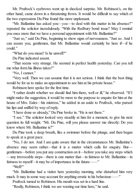Mr. Prufrock's eyebrows went up in shocked surprise. Mr. Robinson's, on the other hand, came down in a threatening frown. It would be difficult to say which of the two expressions Du Pine found the more unpleasant.

"Mr. Ballantine has asked you—*you*—to deal with this matter in his absence?" repeated the solicitor incredulously. "With the Redbury bond issue? May I remind you once more that we have a personal appointment with Mr. Ballantine?"

"Just so," said Du Pine, beginning to show signs of nervousness. "Just so. And I can assure you, gentlemen, that Mr. Ballantine would certainly be here if—if he could."

"What do you mean? Is he unwell?"

Du Pine indicated assent.

"That seems very strange. He seemed in perfect health yesterday. Can you tell me what form his illness takes?"

"No, I cannot."

"Very well. Then we can assume that it is not serious. I think that the best thing would be for us to make an appointment to see him at his private house."

Robinson here spoke for the first time.

"I rather doubt whether we should find him there, well or ill," he observed. "If I might make the suggestion, it would be more to the purpose to enquire for him at the house of Mrs. Eales—his mistress," he added in an aside to Prufrock, who pursed his lips and sniffed by way of reply.

"I have done so already," Du Pine broke in. "He is not there."

"I see." The solicitor looked very steadily at him for a moment, to give his next question its full weight. "Mr. Du Pine, will you please answer me directly: Do you know where Mr. Ballantine is?"

Du Pine took a deep breath, like a swimmer before the plunge, and then began to speak at a great pace.

"No, I do not. And I am quite aware that in the circumstances Mr. Ballantine's absence may seem rather—that it is a matter which calls for enquiry. But gentlemen—before you put any construction on it—before you take any steps which —any irrevocable steps—there is one matter that—in fairness to Mr. Ballantine—in fairness to myself—it may be of importance in the future——"

"Well?"

"Mr. Ballantine had a visitor here yesterday morning, who disturbed him very much. It may in some way account for anything erratic in his behaviour——"

Prufrock turned to Robinson. His mouth was set in a hard line.

"Really, Robinson, I think we are wasting our time here," he said.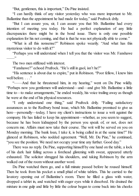"But, gentlemen, this is important," Du Pine insisted.

"I can hardly think of any visitor yesterday who was more important to Mr. Ballantine than the appointment he had made for today," said Prufrock drily.

"But I can assure you, sir, I can assure you that Mr. Ballantine had every intention of meeting you today. He had a perfect explanation of any little discrepancies there might be in the bond issue. There is only one possible explanation for his not coming, and that is that he was not physically able to come."

"What is all this nonsense?" Robinson spoke wearily. "And what has this mysterious visitor to do with it?"

"Perhaps you will understand when I tell you that the visitor was Mr. Fanshawe  $\overline{\phantom{a}}$ 

The two men stiffened with interest.

"Fanshawe?" echoed Prufrock. "He's still in gaol, isn't he?"

"His sentence is about due to expire," put in Robinson. "Poor fellow, I knew him well before..........

"-And that he threatened him, in my hearing," went on Du Pine wildly. "Perhaps now you gentlemen will understand—and—and give Mr. Ballantine a little time to—to make arrangements," he ended weakly, his voice trailing away as though he were at the end of his physical resources.

"I only understand one thing," said Prufrock drily. "Failing satisfactory assurances as to the Redbury bond issue, which Mr. Ballantine promised to give us here—personally—today, I have my client's instructions to issue a writ against the company. He has failed to keep his appointment—whether, as you seem to suggest, because he has been kidnapped by the person you speak of, or not, does not concern me. Affairs must now take their course. The writ will be served on you on Monday morning. The bank loan, I take it, is being called in at the same time?" He glanced at Robinson, who nodded agreement. "Well, Mr. Du Pine," he continued, "you see the position. We need not occupy your time any further. Good day."

There was no reply. Du Pine, supporting himself by one hand on the table, a lock of his dark hair falling across a forehead glistening with sweat, appeared utterly exhausted. The solicitor shrugged his shoulders, and taking Robinson by the arm walked out of the room without another word.

Du Pine watched them go, and a full minute passed before he roused himself. Then he took from his pocket a small phial of white tablets. This he carried to the lavatory opening out of Ballantine's room. There he filled a glass with water, dropped a tablet in, and watched with eager eyes while it dissolved. He drained the mixture in one gulp and little by little the colour began to come back into his cheeks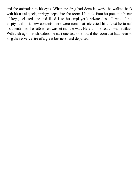and the animation to his eyes. When the drug had done its work, he walked back with his usual quick, springy steps, into the room. He took from his pocket a bunch of keys, selected one and fitted it to his employer's private desk. It was all but empty, and of its few contents there were none that interested him. Next he turned his attention to the safe which was let into the wall. Here too his search was fruitless. With a shrug of his shoulders, he cast one last look round the room that had been so long the nerve-centre of a great business, and departed.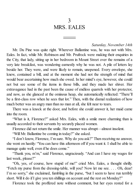## 3 MRS. EALES

#### *Saturday, November 14th*

Mr. Du Pine was quite right. Wherever Ballantine was, he was not with Mrs. Eales. In fact, while Mr. Robinson and Mr. Prufrock were making their enquiries in the City, that lady, sitting up in her bedroom in Mount Street over the remains of a very late breakfast, was wondering earnestly why he was not. A pile of letters lay beside her. They were, and were likely to remain, unopened. Every envelope, she knew, contained a bill, and at the moment she had not the strength of mind that would bear ascertaining how much she owed. In her mind's eye, however, she could not but see some of the items in those bills, and they made her shiver. Her extravagance had in the past been the cause of endless quarrels with her protector, and now, as she glanced at the ominous heap, she automatically reflected: "There'll be a first-class row when he sees that lot." Then, with the dismal realization of how much better was an angry man than no man at all, she felt near to tears.

There was a knock at the door, and before she could answer it, her maid came into the room.

"What is it, Florence?" asked Mrs. Eales, with a smile more charming than is usually accorded to their servants by securely placed women.

Florence did not return the smile. Her manner was abrupt—almost insolent.

"Will Mr. Ballantine be coming in today?" she asked.

"I don't know, Florence, I'm sure. Why do you ask?" Then receiving no answer, she went on hastily: "You can have this afternoon off if you want it. I shall be able to manage quite well, even if he does come."

"Thank you, m'm," said Florence, ungraciously. "And can I have my wages for last week, please?"

"Oh, yes, of course, how stupid of me!" cried Mrs. Eales, a thought shrilly. "Fetch my purse from the dressing-table, will you? Now let me see. . . . Oh, dear! I'm so sorry," she exclaimed, fumbling in the purse, "but I seem to have run terribly short. Will it do if I give you ten shillings on account and the rest on Monday?"

Florence took the proffered note without comment, but her eyes rested for a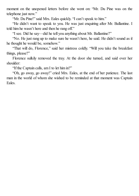moment on the unopened letters before she went on: "Mr. Du Pine was on the telephone just now."

"Mr. Du Pine!" said Mrs. Eales quickly. "I can't speak to him."

"He didn't want to speak to you. He was just enquiring after Mr. Ballantine. I told him he wasn't here and then he rang off."

"I see. Did he say—did he tell you anything about Mr. Ballantine?"

"No. He just rang up to make sure he wasn't here, he said. He didn't sound as if he thought he would be, somehow."

"That will do, Florence," said her mistress coldly. "Will you take the breakfast things, please?"

Florence sulkily removed the tray. At the door she turned, and said over her shoulder:

"If the Captain calls, am I to let him in?"

"Oh, go away, go away!" cried Mrs. Eales, at the end of her patience. The last man in the world of whom she wished to be reminded at that moment was Captain Eales.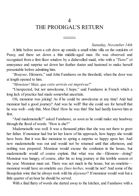## 4 THE PRODIGAL'S RETURN

*Saturday, November 14th*

A little before noon a cab drew up outside a small white villa on the outskirts of Passy, and there set down a thin middle-aged man. He was observed and recognized from a first-floor window by a dishevelled maid, who with a "*Tiens!*" of annoyance and surprise set down her feather duster and hastened to make herself presentable before admitting him.

"*Bonjour*, Eléonore," said John Fanshawe on the threshold, when the door was at length opened to him.

"*Monsieur! Mais, que cette arrivée est imprévue!*"

"Unexpected, but not unwelcome, I hope," said Fanshawe in French which a long lack of practice had made somewhat uncertain.

Oh, monsieur was joking! As if he could be unwelcome at any time! And had monsieur had a good journey? And was he well? But she could see for herself that he was well—only thin. Mon Dieu! How he was thin! She had hardly known him at first.

"And mademoiselle?" asked Fanshawe, as soon as he could make any headway through the flood of words. "How is she?"

Mademoiselle was well. It was a thousand pities that she was not there to greet her father. If monsieur had but let her know of his approach, how happy she would have been. But it was like monsieur to spring a surprise so happy upon her. And now mademoiselle was out and would not be returned until that afternoon, and nothing was prepared. Monsieur would excuse the confusion in the house, but mademoiselle would of course explain. But what was she—Eléonore—doing? Monsieur was hungry, of course, after his so long journey at this terrible season of the year. Monsieur must eat. There was not much in the house, but an omelette monsieur would have an omelette *aux fines herbes*, would he not? And some of the Beaujolais wine that he always took with his *déjeuner*? If monsieur would wait but a little quarter of an hour he should be served.

With a final flurry of words she darted away to the kitchen, and Fanshawe with a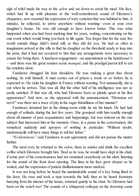sigh of relief made his way to the *salon* and sat down to await his meal. His face, which had lit up with pleasure at the well-remembered sound of Eléonore's eloquence, now resumed the expression of wary cynicism that was habitual to him. A mistake, he reflected, to arrive anywhere without warning—even at your own daughter's house. He was old enough to have known better. This was what happened when you had been marking time for years, waiting, concentrating on the one event which would bring you back to life again. You forgot that for the real, live world outside things didn't stand still, as they did for you. He had so often in imagination arrived at this villa to find his daughter on the threshold ready to leap into his arms, that it had not occurred to him that any arrangements were necessary to ensure her being there. A luncheon engagement—an appointment at the hairdresser's —and there was the great reunion scene *manqué*, and the prodigal parent left to eat his omelette alone.

Fanshawe shrugged his lean shoulders. He was making a great fuss about nothing, he told himself. A man comes out of prison a week or so before he is expected to. He visits his daughter in France without warning. Not unnaturally, she is out when he arrives. That was all. But the other half of his intelligence was not so easily satisfied. If that was all, why had Eléonore been so plainly upset at his first appearance? And now, as she appeared with the announcement, "Monsieur est servi!" was there not a trace of pity in the eager friendliness of her manner?

Fanshawe detained her in the dining-room while he ate his lunch. He had had enough of solitude during the last few years. She gossiped with him readily enough about all manner of past acquaintance and happenings, but was reticent on the one subject that interested him at the moment. Once, in a pause in the conversation, she remarked suddenly and apropos of nothing in particular: "Without doubt, mademoiselle will have many things to tell her father."

"*Evidemment*," said Fanshawe in curt agreement, and did not pursue the matter further.

The meal over, he returned to the *salon*, there to smoke and drink the excellent coffee which Eléonore brought him. Tired as he was, he would have slept in his chair, if some part of his consciousness had not remained ceaselessly on the alert, listening for the sound of the front door opening. The lines in his face grew deeper as he waited, and the expression of patient disillusionment more marked.

It was not long before he heard the unmistakable sound of a key being fitted to the door. He rose and took a step towards the hall, then as he heard footsteps hurrying from the interior of the house, returned quietly to his chair. So Eléonore had been on the watch too! The sounds of a whispered colloquy on the doorstep came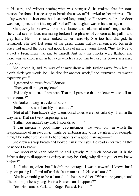to his ears, and without hearing what was being said, he realized that for some reason she found it necessary to break the news of his arrival to her mistress. The delay was but a short one, but it seemed long enough to Fanshawe before the door was flung open, and with a cry of "Father!" his daughter was in his arms again.

She quickly broke away from his embrace, and held him at arm's length so that she could see his face, murmuring broken little phrases of concern at his pallor and grey hairs. He on his side looked at her narrowly. She too had changed, he remarked. She had lost some of the girlish charm that he remembered, but in its place had gained the poise and good looks of mature womanhood. "Just the type to attract a Frenchman," he said to himself. Just now her cheeks were flushed, and there was an expression in her eyes which caused him to raise his brows in a mute question.

She noticed it, and by way of answer drew a little further away from him. "I didn't think you would be—be free for another week," she murmured. "I wasn't expecting you."

"I gathered so much from Eléonore."

"Then you didn't get my letter?"

"Evidently not, since I am here. That is, I presume that the letter was to tell me not to come?"

She looked away, in evident distress.

"Father—this is so horribly difficult. . . ."

"Not at all." Fanshawe's dry, unemotional tones were not unkindly. "I am in the way here. That isn't very surprising, is it?"

"Father, you mustn't say that. It sounds so——"

"I can imagine a good many circumstances," he went on, "in which the reappearance of an ex-convict might be embarrassing to his daughter. For example, it might be rather prejudicial to her prospects of a good marriage——"

She drew a sharp breath and looked him in the eyes. He read in her face all that he needed to know.

"We understand each other," he said gravely. "On such occasions, it is the father's duty to disappear as quietly as may be. Only, why didn't you let me know before?"

"I—I tried to, often, but I hadn't the courage. I was a coward, I know, but I kept on putting it off and off until the last moment—I felt so ashamed."

"You have nothing to be ashamed of," he assured her. "Who is the young man? That is, I hope he is young. He is a Frenchman, I suppose?"

"Yes. His name is Paillard—Roger Paillard. He——"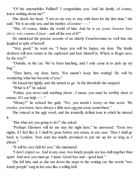"Of the automobiles Paillard? I congratulate you. And his family, of course, know nothing about me?"

She shook her head. "I am on my way to stay with them for the first time," she said. "He is an only son, and his mother, of course——"

"She, of course, thinks the world of him. And he is *un jeune homme bien élevé, très comme il faut*—and all the rest of it?"

He mimicked the precise accents of an elderly Frenchwoman so well that she laughed in spite of herself.

"Very good," he went on. "I hope you will be happy, my dear. The family skeleton will now return to his cupboard and lock himself in. Where is Roger now, by the way?"

"Outside, in the car. We've been lunching, and I only came in to pick up my bag."

"Then hurry, my dear, hurry. You mustn't keep him waiting! He will be wondering what has become of you."

He kissed her lightly, and she turned to go. At the threshold she stopped.

"What is it?" he asked.

"Father, you never said anything about—I mean, you must be terribly short of money. If I can help——"

"Money?" he echoed her gaily. "No, you needn't worry on that score. We crooks, you know, have always a little nest egg put away somewhere."

She winced at the ugly word, and the ironically defiant tone in which he uttered it.

"But what are you going to do?" she asked.

"Perhaps Eléonore will let me stay the night here," he answered. "Even two nights, if I feel like it. I shall be gone before you return, in any case. Then I shall go back to London. Your aunt has kindly promised to put me up for as long as I please."

"It will be very dull for you," she murmured.

"I don't expect so. And in any case, two lonely people are less dull together than apart. And now you must go. I insist. Good-bye and—good luck."

She left him, and as she ran down the steps to the waiting car, the words "two lonely people" rang in her ears like a tolling bell.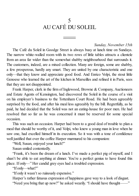## 5 AU CAFÉ DU SOLEIL

#### *Sunday, November 15th*

The Café du Soleil in Goodge Street is always busy at lunch time on Sundays. The narrow white-walled room with its two rows of little tables attracts a clientele from an area far wider than the somewhat shabby neighbourhood that surrounds it. The customers, indeed, are a mixed collection. Many are foreign, some are shabby, a few prosperous, hardly any smart. They are united by one characteristic and one only—that they know and appreciate good food. And Enrico Volpi, the stout little Genoese who learned the art of the kitchen in Marseilles and refined it in Paris, sees that they are not disappointed.

Frank Harper, clerk in the firm of Inglewood, Browne & Company, Auctioneers and Estate Agents of Kensington, had discovered the Soleil in the course of a visit on his employer's business to the Tottenham Court Road. He had been agreeably surprised by the food, and after his meal less agreeably by the bill. Regretfully, as he paid, he had decided that the Soleil was not an eating-house for poor men. He had resolved that so far as he was concerned it must be reserved for some special occasion.

This was such an occasion. Harper had been to a good deal of trouble to plan a meal that should be worthy of it, and Volpi, who knew a young man in love when he saw one, had excelled himself in its execution. So it was with a tone of confidence well justified that over the coffee Harper murmured to his companion:

"Well, Susan, enjoyed your lunch?"

Susan smiled contentedly.

"Frank, it's been the dream of a lunch. I've made a perfect pig of myself, and I shan't be able to eat anything at dinner. You're a perfect genius to have found this place. If only—" Her candid grey eyes had a troubled expression.

"If only—what?"

"If only it wasn't so ruinously expensive."

Harper's rather fatuous expression of happiness gave way to a look of disgust.

"Need you bring that up now?" he asked wearily. "I should have thought——"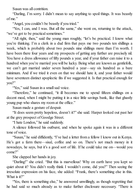Susan was all contrition.

"Darling, I'm sorry. I didn't mean to say anything to spoil things. It was beastly of me."

"Angel, you couldn't be beastly if you tried."

"Yes, I can, and I was. But all the same," she went on, returning to the attack, "we've got to be practical sometimes."

"All right, then," said the young man roughly, "let's be practical. I know what you're thinking. I'm a clerk in a dud firm that pays me two pounds ten shillings a week, which is probably about two pounds nine shillings more than I'm worth. I have been there four years and my prospects of getting any further are precisely nil. You have a dress allowance of fifty pounds a year, and if your father can raise it to a hundred when you're married you will be lucky. Being what are known as gentlefolk, we can't get married under seven hundred a year—say six hundred as a bare minimum. And if we tried it even on that we should hate it, and your father would have seventeen distinct apoplectic fits if we suggested it. Is that practical enough for you?"

"Yes," said Susan in a small sad voice.

"Therefore," he continued, "it ill becomes me to spend fifteen shillings on a decent meal, when I might be putting it in a nice little savings bank, like that ghastly young pup who shares my room at the office."

Susan made a gesture of despair.

"It does seem pretty hopeless, doesn't it?" she said. Harper looked out past her at the grey prospect of Goodge Street.

"I hate London," he said suddenly.

A silence followed his outburst, and when he spoke again it was in a different tone of voice.

"Susan," he said diffidently, "I've had a letter from a fellow I know out in Kenya. He's got a farm there—sisal, coffee and so on. There's not much money in it nowadays, he says, but it's a good sort of life. If he could take me on—would you come?"

She clapped her hands in joy.

"Darling!" she cried. "But this is marvellous! Why on earth have you kept so quiet about it? You didn't really think I wouldn't come, did you?" Then seeing the irresolute expression on his face, she added: "Frank, there's something else in this. What is it?"

"Yes, there is something else," he answered unwillingly, as though regretting that he had said so much already as to make further disclosure necessary. "There is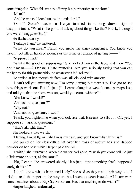something else. What this man is offering is a partnership in the farm."

"M-m?"

"And he wants fifteen hundred pounds for it."

"O-oh!" Susan's castle in Kenya tumbled in a long drawn sigh of disappointment. "What is the good of talking about things like that? Frank, I thought you were being *practical*!"

He flushed darkly.

"Perhaps I am," he muttered.

"What do you mean? Frank, you make me angry sometimes. You know you haven't got fifteen hundred pounds or the remotest chance of getting it——"

"Suppose I had?"

"What's the good of supposing?" She looked him in the face, and then: "You don't mean——? Darling, I hate mysteries. Are you seriously saying that you can really pay for this partnership, or whatever it is? Tell me."

He smiled at her, though his face was still clouded with anxiety.

"I can't tell you anything now. I'm sorry, darling, but there it is. I've got to see how things work out. But if—just *if*—I came along in a week's time, perhaps less, and told you that the show was on, would you come with me?"

"You know I would!"

"And ask no questions?"

"Why not?"

"And ask no questions, I said."

"Frank, you frighten me when you look like that. It seems so silly. . . . Oh, yes, I suppose so—ask no questions."

"That's all right, then."

She looked at her watch.

"Darling, I must fly, or I shall miss my train, and you know what father is."

She pulled on her close-fitting hat over her mass of auburn hair and dabbed powder on her nose while Harper paid the bill.

"I wish," she murmured when the waiter had gone, "I wish you could tell me just a little more about it, all the same."

"No, I can't," he answered shortly. "It's just—just something that's happened lately, that's all."

"I don't know what's happened lately," she said as they made their way out. "I tried to read the paper on the way up, but I went to sleep instead. All I saw were some headlines about a Big City Sensation. Has that anything to do with it?"

Harper laughed sardonically.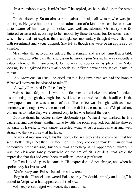"In a roundabout way, it might have," he replied, as he pushed open the street door.

On the doorstep Susan almost ran against a small, sallow man who was just coming in. He gave her a look of open admiration of a kind to which she, who was quite aware of her own good looks, was well accustomed. Ordinarily she felt flattered or amused, according to her mood, by these tributes; but for some reason which she could not explain, this man's glance, momentary though it was, filled her with resentment and vague disquiet. She felt as though she were being appraised by a snake.

Meanwhile the new-comer entered the restaurant and seated himself at a table by the window. Whatever the impression he made upon Susan, he was evidently a valued client of the management, for he was no sooner in his place than Volpi, looking like an agitated black water-beetle as he flitted between the tables, came up to him.

"Ah, Monsieur Du Pine!" he cried. "It is a long time since we had the honour. What will monsieur be pleased to take?"

"A *café filtre*," said Du Pine shortly.

Volpi's face fell, but it was not for him to criticize his client's orders, disappointing though they might be. Besides, he too had read the headlines in the newspapers, and he was a man of tact. The coffee was brought with as much ceremony as though it were the most elaborate dish in the menu, and if Volpi had any comments to make they were uttered only to his wife behind the desk.

Du Pine drank his coffee in slow deliberate sips. When it was finished, he lit a cigarette, and that done, another. Little by little the room emptied, but still he showed no signs of leaving. It was almost deserted when at last a man came in and went straight to the vacant seat at his table.

He was of medium height, his thin body clad in a grey suit and overcoat, that had seen better days. Neither his face nor his jerky cock-sparrowlike manner was particularly prepossessing, but there was something in his appearance, whether it was the close-cut sandy moustache or the set of his shoulders, that gave the impression that this had once been an officer—even a gentleman.

Du Pine looked up as he came in. His expression did not change, and when he spoke, only his lips moved.

"You're very late, Eales," he said in a low tone.

"Fog in the Channel," answered Eales shortly. "A double brandy and soda," he added to Volpi, who had appeared at his elbow.

Volpi expressed regret with voice, face and arms.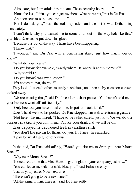"Alas, sare, but I am afraid it is too late. These licensing hours——"

"None the less, I think you can get my friend what he wants," put in Du Pine.

"Ah, monsieur must not ask me——"

"But I do ask you," was the cold rejoinder, and the drink was forthcoming immediately.

"I can't think why you wanted me to come to an out-of-the-way hole like this," grumbled Eales as he put down his glass.

"Because it is out of the way. Things have been happening."

"I know that."

"I wonder," said Du Pine with a penetrating stare, "just how much you do know?"

"What do you mean?"

"Do you know, for example, exactly where Ballantine is at this moment?"

"Why should I?"

"Do you know? was my question."

"If it comes to that, do you?"

They looked at each other, mutually suspicious, and then as by common consent looked away.

"We are wasting time," said Du Pine after a short pause. "You haven't told me if your business went off satisfactorily."

"Only because you haven't asked me. In point of fact, it did."

Eales's hand went to his pocket. Du Pine stopped him with a restraining gesture.

"Not here," he murmured. "I have to be rather careful just now. We will do our business in a taxi, if you don't mind. Pay for your drink and we will be off."

Eales displayed his discoloured teeth in a mirthless smile.

"You don't like paying for things, do you, Du Pine?" he remarked.

"I pay for what I get, not otherwise."

In the taxi, Du Pine said affably, "Would you like me to drop you near Mount Street?"

"Why near Mount Street?"

"It occurred to me that Mrs. Eales might be glad of your company just now."

"You can leave my wife out of it, blast you!" said Eales violently.

"Just as you please. Now next time——"

"There isn't going to be a next time!"

"All the same, I think there is," said Du Pine softly.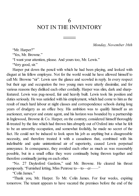## 6 NOT IN THE INVENTORY

*Monday, November 16th*

"Mr. Harper?" "Yes, Mr. Browne." "I want your attention, please. And yours too, Mr. Lewis."

"Very good, sir."

Harper put down the pencil with which he had been playing, and looked with disgust at his fellow employee. Not for the world would he have allowed himself to call Mr. Browne "sir". Lewis saw the glance and scowled in reply. In every respect but their age and occupation the two young men were utterly dissimilar, and for various reasons they disliked each other cordially. Harper was slim, dark and sharpfeatured. Lewis was pug-nosed, fair and heavily built. Lewis took his position and duties seriously. He was satisfied with his employment, which had come to him as the result of much hard labour at night classes and correspondence schools during long years of drudgery as an office boy. His ambition was to qualify himself as an auctioneer, surveyor and estate agent, and his horizon was bounded by a partnership in Inglewood, Browne & Co. Harper, on the contrary, considered himself thoroughly ill-treated by the fate which had thrown him abruptly out of Oxford into what he felt to be an unworthy occupation, and somewhat foolishly, he made no secret of the fact. He could not be induced to look upon his job as anything but a disagreeable necessity, and therefore treated it with a casualness that, combined with his indefinable and quite unintentional air of superiority, caused Lewis perpetual annoyance. In consequence, they avoided each other as much as was reasonably possible, but in a small office they were continually being thrown together and therefore continually jarring on each other.

"No. 27 Daylesford Gardens," said Mr. Browne. He cleared his throat pompously. "Furnished letting, Miss Penrose to—to—er——"

"Colin James."

"Thank you, Mr. Harper. To Mr. Colin James. For four weeks, expiring tomorrow. The tenant appears to have vacated the premises before the end of the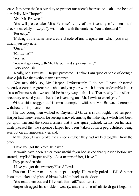lease. It is none the less our duty to protect our client's interests to—ah—the best of our ability. Mr. Harper?"

"Yes, Mr. Browne."

"You will please take Miss Penrose's copy of the inventory of contents and check it carefully—*carefully* with—ah—with the contents. You understand?"

"Perfectly."

"Making at the same time a careful note of any dilapidations which you may which you may note."

"Quite."

"Mr. Lewis?"

"Yes, sir."

"You will go along with Mr. Harper, and supervise him."

"Very good, sir."

"Really, Mr. Browne," Harper protested, "I think I am quite capable of doing a simple job like that without any assistance."

"You may think so, Mr. Harper. Unfortunately, I do not. I have observed recently a certain regrettable—ah—laxity in your work. It is most undesirable in our class of business that we should be in any way—ah—lax. That is why I consider it necessary to send you to check the inventory, and Mr. Lewis to check *you*."

With a faint snigger at his own attempted witticism Mr. Browne thereupon withdrew to his private office.

The two young men walked to Daylesford Gardens in thoroughly bad tempers. Harper had many reasons for feeling annoyed, among them the slight which had been put upon him and the consciousness that it was quite justified. Lewis, on his side, while pleased that the superior Harper had been "taken down a peg", disliked being sent out on an unnecessary errand.

At the door, Lewis broke the silence in which they had walked together from the office.

"Have you got the key?" he asked.

"It would have been rather more useful if you had asked that question before we started," replied Harper coldly. "As a matter of fact, I have."

They passed inside.

"Have you got the inventory?" said Lewis.

This time Harper made no attempt to reply. He merely pulled a folded paper from his pocket and planted himself with his back to the door.

"You read them out and I'll check them off," said Lewis.

Harper shrugged his shoulders wearily, and in a tone of infinite disgust began to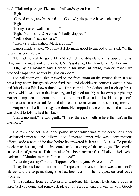read: "Hall and passage. Five and a half yards green lino. . . ."

"Right."

"Carved mahogany hat-stand. . . . God, why do people have such things?" "Right."

"Ebony-framed wall mirror. . . ."

"Right. No, it isn't. One corner's badly chipped."

"Well, it doesn't say so here."

"Then it's a dilapidation. Mark it down."

Harper made a note. "Not that it'll do much good to anybody," he said, "as the tenant has gone abroad."

"He had no call to go until he'd settled the dilapidations," snapped Lewis. "Anyhow, we must protect our client. She's got a right to claim for it. Put it down."

"Oh, by all means," said Harper in his most infuriating manner. "Shall we proceed? Japanese lacquer hanging cupboard. . . ."

The hall completed, they passed to the front room on the ground floor. It was not a large room, but grossly over-furnished, and checking its contents proved a long and laborious affair. Lewis found two further small dilapidations and a cheap brass ashtray which was not in the inventory, and gloated audibly at his own perspicacity. Harper's impatience became more and more manifest until at last his companion's conscientiousness was satisfied and allowed him to move on to the smoking-room.

Harper was the first through the door. He stopped in the entrance, and as Lewis was about to follow, held him back.

"Just a moment," he said gently. "I think there's something here that isn't in the inventory."

The telephone bell rang in the police station which was at the corner of Upper Daylesford Street and the Fulham Road. Sergeant Tapper, who was a conscientious officer, made a note of the time before he answered it. It was 11.31 a.m. He put the receiver to his ear, and at first could make nothing of the message. He heard a succession of gasps, as if the speaker had been running fast. Finally a thick voice exclaimed: "Murder, murder! Come at once!"

"What do you say?" barked Tapper. "Who are you? Where——?"

"I say there's been a murder——" repeated the voice. There was a moment's silence, and the sergeant thought he had been cut off. Then a quiet, cultured voice broke in:

"I'm speaking from 27 Daylesford Gardens. Mr. Lionel Ballantine's body is here. Will you come and remove it, please? . . Yes, certainly I'll wait for you. Good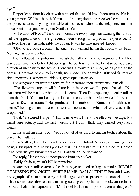bye."

Tapper leapt from his chair with a speed that would have been remarkable in a younger man. Within a bare half-minute of putting down the receiver he was out of the police station, a young constable at his heels, while at the telephone another officer sent an urgent message to Scotland Yard.

At the door of No. 27 the officers found the two young men awaiting them. Both had the appearance of having recently been through an unpleasant experience. Of the two, Harper was noticeably the cooler. It was he who greeted Tapper.

"Glad to see you, sergeant," he said. "You will find him in the room at the back. Nothing has been touched."

They followed the policeman through the hall into the smoking-room. The blind was down and the electric light burning. The contrast to the light of day outside gave a touch of unreality to the scene. There was a moment's silence, as all gazed at the corpse. Here was no dignity in death, no repose. The sprawled, stiffened figure was like a monstrous marionette, hideous, grotesque, unseemly.

The sergeant bent over the remains for an instant, then straightened himself.

"The divisional surgeon will be here in a minute or two, I expect," he said. "Not that there will be much for him to do, it seems. Then I'm expecting a senior officer from the Yard. You can keep your full statements for him. Meanwhile I'll just take down a few particulars." He produced his notebook. "Names and addresses, please," he began, and, these transcribed, continued: "Which of you was it that telephoned?"

"I did," answered Harper. "That is, mine was, I think, the effective message. My friend here actually had the first words, but I don't think they carried very much weight."

Lewis went an angry red. "We're not all of us used to finding bodies about the place," he muttered.

"That's all right, me lad," said Tapper kindly. "Nobody's going to blame you for being a bit upset at a nasty sight like that. It's only natural." He turned to Harper. "And how did you know this was Mr. Ballantine?" he demanded.

For reply, Harper took a newspaper from his pocket.

"Fairly obvious, wasn't it?" he remarked.

A streamer headline across the front page shouted in large capitals: "RIDDLE OF MISSING FINANCIER: WHERE IS MR. BALLANTINE?" Beneath it was a photograph of a man in early middle age, with a prosperous, conceited, not unhandsome face, dressed in a morning coat, grey top-hat and stock, an orchid in his buttonhole. The caption ran: "Mr. Lionel Ballantine; a photo taken at this year's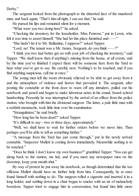Derby."

The sergeant looked from the photograph to the distorted face of the murdered man, and back again. "That's him all right, I can see that," he said.

He pursed his lips and remained silent for a moment.

"What were you two doing here?" he asked.

"Checking the inventory for the leaseholder. Miss Penrose," put in Lewis, who felt it was time to assert himself. "She had let this place furnished and——"

"She hadn't let it to Mr. Ballantine, I suppose?" asked Tapper.

"Lord, no! The tenant was a Mr. James. Sergeant, do you think——?"

"I think you two had better get on with your job of checking the inventory," said Tapper. "We shall know then if anything's missing from the house, at all events, and by the time you've finished I expect there will be someone here from the Yard to hear what you've got to say. Be careful, now. Nothing's to be touched; and if you find anything suspicious, call me at once."

The young men left the room obviously relieved to be able to get away from it and the atmosphere of violence and horror that pervaded it. The sergeant, after posting the constable at the front door to warn off any intruders, pulled out his notebook and pencil and began to make laborious notes in his round, board-school handwriting. Presently he was interrupted by the arrival of an officer from the police station, who brought with him the divisional surgeon. The latter, a pale little man with a reddish moustache, took little time over his examination.

"Strangulation," he said briefly.

"How long has he been dead?" asked Tapper.

"It's difficult to say—two or three days, approximately."

"Well, we shall have to wait for further orders before we move him. Then perhaps you'll be able to tell us something further."

"A message from the Yard has just come through," put in the newly arrived constable. "Inspector Mallett is coming down immediately. Meanwhile nothing is to be touched."

"Does he think I don't know my own business?" grumbled Tapper. "You can get along back to the station, me lad, and if you meet any newspaper men on the doorstep, keep your mouth shut."

By way of protest he put away his notebook, as though determined that the too officious Mallett should have no further help from him. Consequently, he at once found himself with nothing to do. The surgeon rolled a cigarette and inserted it in a long holder, and settling down in a chair began to smoke with an air of melancholy boredom. Tapper tried to engage him in conversation, but found him little more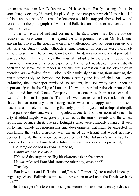communicative than Mr. Ballantine would have been. Finally, casting about for something to occupy his mind, he picked up the newspaper which Harper had left behind, and set himself to read the letterpress which straggled above, below and round-about the photographs of Mr. Lionel Ballantine and of the ornate façade of his London offices.

It was a mixture of fact and comment. The facts were brief, for the obvious reason that none were known beyond the all-important one that Mr. Ballantine, leaving his office at the usual time on Friday afternoon, had not been seen up to a late hour on Sunday night, although a large number of persons were extremely anxious to see him. The comment, on the other hand, was voluminous and pointed. It was couched in the careful style that is usually adopted by the press in relation to a man whose prosecution is to be expected but is not yet inevitable. It was artistically contrived to leave every reader under the firm impression that the object of its attention was a fugitive from justice, while cautiously abstaining from anything that might conceivably go beyond the bounds set by the law of libel. Mr. Lionel Ballantine, the newspaper reminded its readers, had for many years been an important figure in the City of London. He was in particular the chairman of the London and Imperial Estates Company, Ltd., a concern with an issued capital of two and a half million pounds. The article went on to remind its readers that the shares in that company, after having made what in a happy turn of phrase it described as a meteoric rise during the early part of the year, had collapsed abruptly in the past few days and were now quoted at one-tenth of their nominal value. The City, it added sagely, was gravely perturbed at the turn of events and the annual report and balance sheet, due in a fortnight's time, were anxiously awaited. It went on to hint vaguely at repercussions and developments that might be expected. In conclusion, the writer remarked with an air of detachment that would not have deceived a child that it would be recollected that Mr. Ballantine's name had been mentioned at the sensational trial of John Fanshawe over four years previously.

The sergeant looked up from his reading.

"Fanshawe!" he said aloud.

"Eh?" said the surgeon, spilling his cigarette ash on the carpet.

"He was released from Maidstone the other day, wasn't he?"

"Thursday."

"Fanshawe out and Ballantine dead," mused Tapper. "Quite a coincidence, you might say. Wasn't Ballantine supposed to have been mixed up in the Fanshawe bank fraud?"

But the surgeon's interest in the subject seemed to have been already exhausted.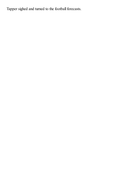Tapper sighed and turned to the football forecasts.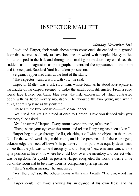## 7 INSPECTOR MALLETT

#### *Monday, November 16th*

Lewis and Harper, their work above stairs completed, descended to a ground floor that seemed suddenly to have become crowded with people. Heavy police boots tramped in the hall, and through the smoking-room door they could see the sudden flash of magnesium as photographers recorded the appearance of the room and its occupant. Scotland Yard had taken possession.

Sergeant Tapper met them at the foot of the stairs.

"The inspector wants a word with you," he said.

Inspector Mallett was a tall, stout man, whose bulk, as he stood four-square in the middle of the carpet, seemed to make the small room still smaller. From a rosy, round face looked out bland blue eyes, the mild expression of which contrasted oddly with his fierce military moustache. He favoured the two young men with a quiet, appraising stare as they entered.

"These are the two men who——" began Tapper.

"Yes," said Mallett. He turned at once to Harper. "Have you finished with your inventory?" he asked.

"Yes," answered Harper. "Every room except this one, of course."

"Then just run your eye over this room, and tell me if anything has been taken."

Harper began to go through the list, checking it off with the objects in the room. Not for the world would he, in this room, and in the presence of all these strangers, acknowledge the need of Lewis's help. Lewis, on his part, was equally determined to see that the job was done thoroughly, and to Harper's extreme annoyance, took up a position at his elbow, where he could look over the inventory and correct what was being done. As quickly as possible Harper completed the work, a desire to be out of the room and to be away from his companion spurring him on.

"There's nothing missing," he announced.

"Yes, there is," said the odious Lewis in the same breath. "The blind-cord has gone."

Harper could not avoid showing his annoyance at his own lapse and his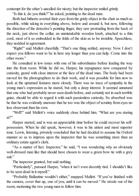contempt for the other's uncalled-for nicety; but the inspector smiled grimly.

"Is this it, do you think?" he asked, pointing to the dead man.

Both had hitherto averted their eyes from the grisly object in the chair as much as possible, while taking in everything above, below and around it, but now, following the direction of the detective's pointing finger, they saw protruding from the back of the neck, just above the collar, an unmistakable wooden knob, attached to a thin cord, most of it so embedded in the folds of the skin as to be invisible. Speechless, they nodded in agreement.

"Right!" said Mallett cheerfully. "That's one thing settled, anyway. Now I don't expect you fellows want to be in here any longer than you can help. Come into the other room."

He consulted in low tones with one of his subordinates before leading the way into the front room. While he did so, Harper, his repugnance now conquered by curiosity, gazed with close interest at the face of the dead man. The body had been moved for the photographers to do their work, and it was possible for him now to look at the upturned features more closely. There was no trace of sympathy in the young man's expression as he stared, but only a deep interest. It seemed unnatural that one who had probably never seen death before, and certainly not in such terrible guise, should be able to regard it with such passionless curiosity. So absorbed was he that he was evidently unaware that he too was the object of scrutiny from eyes no less observant than his own.

"Well?" said Mallett's voice suddenly close behind him. "What are you staring at?"

Harper started, and is was an appreciable time before he could recover his selfpossession. When he did speak, however, it was in his airiest and most superior tone. Lewis, listening, privately concluded that he had decided to assume his Oxford manner so as to impress upon the inspector that he was something more than an ordinary estate agent's clerk.

"As a matter of fact. Inspector," he said, "I was wondering why an obviously well-dressed man like that should have chosen to wear a green bow tie with a grey suit."

The inspector grunted, but said nothing.

"Particularly", pursued Harper, "when it isn't even decently tied. I shouldn't like to be seen dead in it myself."

"Probably Ballantine wouldn't either," snapped Mallett. "If you've finished with the camera, cover that up, one of you, until it can be moved." He strode out of the room, motioning the two young men to follow him.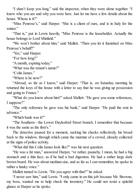"I shan't keep you long," said the inspector, when they were alone together. "I know who you are and why you were here. Just let me have a few details about the house. Whose is it?"

"Miss Penrose's," said Harper. "She is a client of ours, and is in Italy for the winter."

"That is," put in Lewis heavily, "Miss Penrose is the leaseholder. Actually the house belongs to Lord Minfield."

"We won't bother about him," said Mallett. "Then you let it furnished on Miss Penrose's behalf?"

"Yes," said Harper.

"For how long?"

"Amonth, expiring today."

"What was the tenant's name?"

"Colin James."

"Where is he now?"

"Abroad, so far as I know," said Harper. "That is, on Saturday morning he returned the keys of the house with a letter to say that he was giving up possession and going to France."

"What do you know about him?" asked Mallett. "He gave you some references, I suppose?"

"The only reference he gave was his bank," said Harper. "He paid the rent in advance."

"Which bank was it?"

"The Southern—the Lower Daylesford Street branch. I remember that because it was the same as the firm's."

The detective paused for a moment, sucking his cheeks reflectively, his broad back to the window, through which came the murmur of a crowd, already collected at the signs of police activity.

"What did this Colin James look like?" was his next question.

"He was a fat man," answered Harper, "or rather, paunchy. I mean, he had a big stomach and a thin face, as if he had a bad digestion. He had a rather large dark brown beard. He was about medium size, and as far as I can remember, he spoke in rather a husky voice."

Mallett turned to Lewis. "Do you agree with that?" he asked.

"I never saw him," said Lewis. "I only came in on this job because Mr. Browne, my boss, wanted me to help check the inventory." He could not resist a spiteful glance at Harper as he spoke.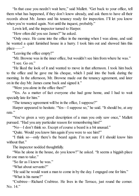"In that case you needn't wait here," said Mallett. "Get back to your office, tell them what has happened, if they don't know already, and ask them to have all their records about Mr. James and his tenancy ready for inspection. I'll let you know when you're wanted again. Not until the inquest, probably."

Lewis left, and the inspector turned to Harper.

"How often did you see James?" he asked.

"Only once. He came into the office in the morning when I was alone, and said he wanted a quiet furnished house in a hurry. I took him out and showed him this place——"

"Leaving the office empty?"

"Mr. Browne was in the inner office, but wouldn't see him from where he was." "I see. Go on."

"He liked the look of it and wanted to move in that afternoon. I took him back to the office and he gave me his cheque, which I paid into the bank during the morning. In the afternoon, Mr. Browne made out the tenancy agreement, and later on in the day Mr. James came back and signed it."

"Were you alone in the office then?"

"Yes. As a matter of fact everyone else had gone home, and I had to wait specially late for him."

"The tenancy agreement will be in the office, I suppose?"

Harper appeared to hesitate. "Yes—I suppose so," he said. "It should be, at any rate."

"You've given a very good description of a man you only saw once," Mallett pursued. "Had you any particular reason for remembering him?"

"No—I don't think so. Except of course a beard is a bit unusual."

"Quite. Would you know him again if you were to see him?"

"I think so—only there's the beard again. I'm not sure if I should know him without that."

The inspector nodded thoughtfully.

"Was he alone in the house, do you know?" he asked. "It seems a biggish place for one man to take."

"So far as I know he was."

"What about servants?"

"He said he would want a man to come in by the day. I engaged one for him."

"What is his name?"

"Crabtree—Richard Crabtree. He lives in the Terrace, just round the corner. No. 14."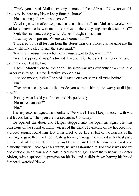"Thank you," said Mallett, making a note of the address. "Now about this inventory. Is there anything missing from the house?"

"No—nothing of any consequence."

"Anything may be of consequence in a case like this," said Mallett severely. "You had better leave the list with me for reference. Is there anything here that isn't on it?"

"Only the linen and cutlery which James brought in with him."

"That may be important. Where did it come from?"

"I ordered it myself for him from the stores near our office, and he gave me the money when he called to sign the agreement."

"Rather an unusual transaction for a house agent to do, wasn't it?"

"Yes, I suppose it was," admitted Harper. "But he asked me to do it, and I didn't think of it at the time."

"I see." Mallett went to the door. The interview was evidently at an end, and Harper rose to go. But the detective stopped him.

"Just one more question," he said. "Have you ever seen Ballantine before?"

"No."

"Then what exactly was it that made you stare at him in the way you did just now?"

"Exactly what I told you," answered Harper coldly.

"No more than that?"

"No."

The inspector shrugged his shoulders. "Very well. I shall keep in touch with you and let you know when you are wanted again. Good day."

He opened the door, and Harper stepped into the open air again. He was conscious of the sound of many voices, of the click of cameras, of the hot breath of a crowd surging round him. But in his relief to be free at last of the horrors of the morning he gave them no heed. Pushing his way through, he walked at his best pace to the end of the street. Then he suddenly realized that he was very tired and distinctly hungry. Looking at his watch, he was astonished to find that it was not yet one o'clock. In an hour and a half he had lived an age. From the window, Inspector Mallett, with a quizzical expression on his lips and a slight frown barring his broad forehead, watched him go.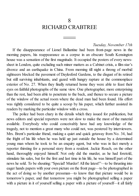### 8 RICHARD CRABTREE

### *Tuesday, November 17th*

If the disappearance of Lionel Ballantine had been front-page news in the morning papers, his reappearance as a corpse in an obscure South Kensington house was a sensation of the first magnitude. It occupied the posters of every newssheet in London, quite excluding such minor matters as a Cabinet crisis, a film star's divorce and an earthquake in China. From morning till night a throng of morbid sightseers blocked the pavement of Daylesford Gardens, to the disgust of its retired but still surviving inhabitants, and gazed with hungry rapture at the commonplace exterior of No. 27. When they finally returned home they were able to feast their eyes on faithful photographs of the same view. One photographer, more enterprising than the rest, had been able to penetrate to the back, and thence to secure a picture of the window of the actual room where the dead man had been found. His effort was rightly considered to be quite a scoop by his paper, which further assisted its readers by marking the particular window with a cross.

The police had been chary in the details which they issued for publication, but news editors and special reporters were not slow to make the most of the material available. Everybody who could conceivably have had any knowledge of the tragedy, not to mention a great many who could not, was pestered by interviewers. Mrs. Brent's particular friend, making a quiet and quick getaway from No. 34, had the fright of his life when he was held up just outside the house by a determined young man whom he took to be an enquiry agent, but who was in fact merely a reporter thirsting for a personal story from a resident. Jackie Roach, on the other hand, thoroughly enjoyed himself. Not only did the murder, as he had foretold, stimulate his sales, but for the first and last time in his life, he was himself part of the news he sold. To be shouting: "Special! Murder! All the latest!"—to be thrusting into eager hands papers with your own picture on the front page—to be photographed in the act of doing so by another pressman—to know that that picture would be in tomorrow's paper, and that tomorrow you might be photographed selling a paper with a picture in it of yourself selling a paper with a picture of yourself—it all fairly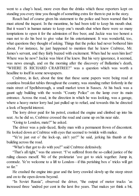went to a chap's head, more even than the drinks which those reporters kept on standing you every time you thought of something extra for them to put in the story.

Roach had of course given his statement to the police and been warned that he must attend the inquest. In the meantime, he had been told to keep his mouth shut. But it wasn't in human nature to keep one's mouth shut when there were so many temptations to open it for the admission of free beer, and Jackie was too honest a man not to do his best to give value for his entertainment. It was wonderful, too, what questions they thought of asking. Things that the police had never bothered him about. For instance, he just happened to mention that he knew Crabtree, Mr. James's servant, and they fairly buzzed with excitement. When had he seen him last? Where was he now? Jackie was blest if he knew. But his very ignorance, it seemed, was news enough, and on the morning after the discovery of Ballantine's death, "WHERE IS RICHARD CRABTREE?" was a question which was worth a headline to itself in some newspapers.

Crabtree, in fact, about the time that these same papers were being read at countless breakfast tables throughout the country, was standing rather forlornly in the main street of Spellsborough, a small market town in Sussex. At his back was a gaunt ugly building with the words "County Police" on the lamp over its main entrance. Across the road, in the direction in which he was looking, was a garage, where a heavy motor lorry had just pulled up to refuel, and towards this he directed a look of hopeful interest.

The lorry driver paid for his petrol, cranked the engine and climbed up into his seat. As he did so, Crabtree crossed the road and came up on his near side.

"Going to London, mate?" he asked.

The driver was a pale-faced, fleshy man with a permanent frown of discontent. He looked down at Crabtree with eyes that seemed to twinkle with malice.

"Ye're just out o' the lock-up, ain't yer?" he said, jerking his thumb at the building across the road.

"What's that got to do with you?" said Crabtree defensively.

"That's all right," was the answer. "I've suffered from the so-called justice of the ruling classes meself. We of the proletariat 'ave got to stick together. Jump in, comrade. Ye're welcome to a lift to London—if this perishing box o' tricks will get so far."

He crashed the engine into gear and the lorry crawled slowly up the steep street and on to the open downs beyond.

"In Soviet Russia", observed the driver, "the output of motor trucks 'as increased three 'undred per cent in the larst five years. That makes yer think a bit,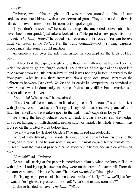don't it?"

Crabtree, who, if he thought at all, was not accustomed to think of such subjects, contented himself with a non-committal grunt. They continued to drive in silence for several miles before his companion spoke again.

"If yer don't believe me," he said, as though the one-sided conversation had never been interrupted, "just take a look at this." He pulled a newspaper from his pocket. "*The Daily Toiler*," he added with reverence in his voice. "Yer can believe what yer reads in the *Toiler*. It's the truth, comrade—not just lying capitalist propaganda, like some I could mention."

An emphatic spit over the side emphasized his contempt for the lords of Fleet Street.

Crabtree took the paper, and glanced without much attention at the small print to which the driver's grubby finger pointed. The statistics of the special correspondent in Moscow promised little entertainment, and it was not long before he turned to the front page. What he saw there interested him a good deal more. Whatever the differences between *The Daily Toiler* and its capitalist competitors, its standard of news values was fundamentally the same. Politics may differ, but a murder is a murder all the world over.

"Ere, 'ullo! What's this?" he exclaimed.

"That? One of these blarsted millionaires gone to 'is account," said the driver with gloomy relish. "And serve 'im right, I say! Bloodsuckers, every one of 'em! Each for 'imself and the weakest goes to the wall—that's capitalism for yer!"

He swung the heavy vehicle round a bend, forcing a cyclist into the hedge. Crabtree, hanging on with difficulty, neither saw nor heard. His whole attention was focused on the printed words before him.

"Twenty-seven Daylesford Gardens!" he murmured incredulously.

He read with difficulty, the words dancing up and down before his eyes to the jolting of the road. Then he saw something which almost caused him to tumble from his seat. From the mass of print one name stood out in heavy, accusing capitals—his own.

"Strewth!" said Crabtree.

He was still staring at the paper in incredulous dismay when the lorry pulled up with a jerk. Looking up, he saw that they were on the crest of a steep hill. From the radiator cap came a thin jet of steam. The driver switched off the engine.

"Boiling again, as per usual," he announced philosophically. "Now we'll just 'ave to wait till'er 'ighness is pleased to cool off. What's the matter, comrade?"

Crabtree handed him over *The Daily Toiler*.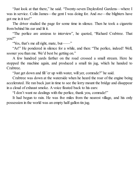"Just look at that there," he said. "Twenty-seven Daylesford Gardens—where I was in service. Colin James—the gent I was doing for. And *me*—the blighters have got me in it too!"

The driver studied the page for some time in silence. Then he took a cigarette from behind his ear and lit it.

"The perlice are anxious to interview", he quoted, "Richard Crabtree. That you?"

"Yes, that's me all right, mate, but-"

"Ar!" He pondered in silence for a while, and then: "The perlice, indeed! Well, sooner you than me. We'd best be getting on."

A few hundred yards farther on the road crossed a small stream. Here he stopped the machine again, and produced a small tin jug, which he handed to Crabtree.

"Just get down and fill'er up with water, will yer, comrade?" he said.

Crabtree was down at the waterside when he heard the roar of the engine being accelerated. He ran back just in time to see the lorry mount the bridge and disappear in a cloud of exhaust smoke. A voice floated back to his ears:

"I don't want no dealings with the perlice, thank you, comrade!"

It had begun to rain. He was five miles from the nearest village, and his only possession in the world was an empty half-gallon tin jug.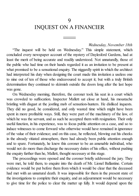# INQUEST ON A FINANCIER

### *Wednesday, November 18th*

"The inquest will be held on Wednesday." This simple statement, which concluded every newspaper account of the mystery of Daylesford Gardens, had at least the merit of being accurate and readily understood. Not unnaturally, those of the public who had time on their hands regarded it as an invitation to be present at what promised to be a sensational enquiry. The niggardly spirit in which the architect had interpreted his duty when designing the court made this invitation a useless one to nine out of ten of those who endeavoured to accept it; but with a truly British determination they continued to skirmish outside the doors long after the last hope was gone.

On Wednesday morning, therefore, the coroner took his seat in a court which was crowded to suffocation. Inspector Mallett sat close at hand, his moustache bristling with disgust at the jostling mob of sensation-hunters. He disliked inquests. They did no good, he considered, and only wasted time which might have been spent in more profitable ways. Still, they were part of the machinery of the law, of which he was the servant, and as such he accepted them with resignation. Their only useful function, in his experience, was to focus public attention on a case, and so to induce witnesses to come forward who otherwise would have remained in ignorance of the value of their evidence; and on this case, he reflected, blowing out his cheeks in the already vitiated atmosphere, there had already been public attention enough and to spare. Fortunately, he knew this coroner to be an amenable individual, who would not do more than discharge the necessary duties of his office, without pushing the enquiry further than he, Mallett, thought necessary at this stage.

The proceedings were opened and the coroner briefly addressed the jury. They were met, he told them, to enquire into the death of Mr. Lionel Ballantine. Certain evidence would be put before them from which it would be clear that the deceased had met with an unnatural death. It was impossible for them in the present state of the investigations to complete their enquiry, and an adjournment would be necessary to give time for the police to clear the matter up fully. It would depend upon the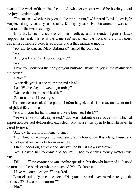result of the work of the police, he added, whether or not it would be his duty to call the jury together again.

"That means, whether they catch the man or not," whispered Lewis knowingly. Harper, sitting reluctantly at his side, felt slightly sick. But his attention was soon diverted as the evidence began.

"Mrs. Ballantine," cried the coroner's officer, and a slender figure in black stepped forward. Those in the witnesses' seats near the front of the court could discern a composed face, level brows and a thin, inflexible mouth.

"You are Evangeline Mary Ballantine?" asked the coroner.

"Yes."

"And you live at 59 Belgrave Square?"

"Yes."

"Have you identified the body of your husband, shown to you in the mortuary at this court?"

"I have."

"When did you last see your husband alive?"

"Last Wednesday—a week ago today."

"Was he then in his usual health?"

"So far as I could see—yes."

The coroner consulted the papers before him, cleared his throat, and went on in a slightly different tone.

"You and your husband were not living together, I think?"

"We were not formally separated," said Mrs. Ballantine in a voice from which all expression seemed deliberately excluded. "My house was open to him whenever he cared to use it."

"And did he use it, from time to time?"

"From time to time—yes. I cannot say exactly how often. It is a large house, and I did not question him as to his movements."

"On this occasion, a week ago, did you see him at Belgrave Square?"

"Yes, I asked him to come and see me. I had to discuss money matters with him."

"Did——?" the coroner began another question, but thought better of it. Instead he turned to the barrister who represented Mrs. Ballantine.

"Have you any questions?" he asked.

Counsel had only one question. "Did your husband ever mention to you the address, 27 Daylesford Gardens?"

"No."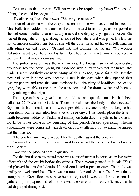He turned to the coroner. "Will this witness be required any longer?" he asked. "If not, she would be obliged if——"

"By all means," was the answer. "She may go at once."

Counsel sat down with the easy conscience of one who has earned his fee, and Mrs. Ballantine nodded her thanks to the coroner and turned to go, as composed as she had come. Neither then nor at any time did she display any sign of emotion. She passed through the throng as though it had not been there and was gone. Mallett was not an impressionable man, but as she left the court he found his eyes following her with admiration and respect. "A hard nut, that woman," he thought. "No wonder Ballantine went elsewhere for his fun! But she's got character—and courage. A woman like that would do—anything!"

The police surgeon was the next witness. He brought an air of businesslike efficiency into the court, giving his evidence with a matter-of-fact taciturnity that made it seem positively ordinary. Many of his audience, agape for thrills, felt that they had been in some way cheated. Later in the day, when they opened their evening papers and read the same evidence in all the glory of headlines and leaded type, they were able to recapture the sensations and the drama which had been so oddly missing in the original.

The surgeon briskly gave his name, address and qualifications. He had been called to 27 Daylesford Gardens. There he had seen the body of the deceased. Rigor mortis had already set in. It was impossible to say accurately how long he had been dead, but he estimated from two to three days. That would place the time of death between midday on Friday and midday on Saturday. If anything, he thought it would be rather towards the beginning of that period. Asked specifically whether appearances were consistent with death on Friday afternoon or evening, he agreed that that was so.

"Did you find anything to account for the death?" asked the coroner.

"Yes—a thin piece of cord was passed twice round the neck and tightly knotted at the back."

"Was this the piece of cord in question?"

For the first time in his recital there was a stir of interest in court, as an impassive officer placed the exhibit before the witness. The surgeon glanced at it, said "Yes", and plunged into medical details. He had conducted a post-mortem. The body was healthy and well nourished. There was no trace of organic disease. Death was due to strangulation. Great force must have been used, suicide was out of the question. He gathered up his papers and left the box with the same air of dreary efficiency that he had displayed throughout.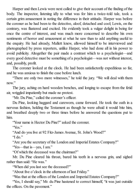Harper and then Lewis were next called to give their account of the finding of the body. The inspector, listening idly to what was for him a twice-told tale, took a certain grim amusement in noting the difference in their attitude. Harper was before the coroner as he had been to the detective, aloof, detached and cool; Lewis, on the contrary, was flustered and excited. He evidently took a vulgar delight in being for once the centre of interest, and was much more concerned to describe his own sentiments of horror and amazement at what he saw than to add anything useful to the enquiry. He had already, Mallett knew, allowed himself to be interviewed and photographed by press reporters, unlike Harper, who had done all in his power to avoid publicity. Altogether the pair made a contrast which to a psychologist—and every good detective must be something of a psychologist—was not without interest, and, possibly, profit.

The coroner looked at the clock. He had been satisfactorily expeditious so far, and he was anxious to finish the case before lunch.

"There are only two more witnesses," he told the jury. "We will deal with them now."

The jury, aching on hard wooden benches, and longing to escape from the fetid air, wriggled impatiently but made no protest.

"Mr. Du Pine," called the coroner's officer.

Du Pine, looking haggard and careworn, came forward. He took the oath in a nervous fashion, holding the Testament as though he were afraid it would bite him, and breathed deeply two or three times before he answered the questions put to him.

"Your name is Hector Du Pine?" asked the coroner.

"Yes."

"And do you live at 92 Fitz-James Avenue, St. John's Wood?"

 $"$  do."

"Are you the secretary of the London and Imperial Estates Company?"

"Yes—that is—yes, I am."

"Of which the deceased was the chairman?"

Mr. Du Pine cleared his throat, bared his teeth in a nervous grin, and sighed rather than said: "He was."

"When did you last see the deceased?"

"About five o'clock in the afternoon of last Friday."

"Was that at the offices of the London and Imperial Estates Company?"

"Yes, I should say," Mr. du Pine hastened to correct himself, "it was just outside the offices. On the pavement."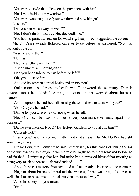"You were outside the offices on the pavement with him?"

"No. I was inside, at my window."

"You were watching out of your window and saw him go?"

"Just so."

"Did you see which way he went?"

"No, I don't think I did. . . . No, decidedly no."

"You had no particular reason for watching, I suppose?" suggested the coroner.

Mr. Du Pine's eyelids flickered once or twice before he answered: "No—no particular reason."

"Was he alone then?"

"He was."

"Had he anything with him?"

"Just an umbrella—nothing else."

"Had you been talking to him before he left?"

"Oh, yes—just before."

"And did he seem in normal health and spirits then?"

"Quite normal, so far as his health went," answered the secretary. Then in lowered tones he added: "He was, of course, rather worried about business matters."

"And I suppose he had been discussing these business matters with you?"

"Yes. Oh, yes, he had."

"Did he tell you where he was going when he left?"

"No. Oh, no. He was not—not a very communicative man, apart from business."

"Did he ever mention No. 27 Daylesford Gardens to you at any time?"

"Certainly not."

"Thank you," said the coroner, with a nod of dismissal. But Mr. Du Pine had still something to say.

"I think I ought to mention," he said breathlessly, his thin hands clutching the rail of the witness-box as though he were afraid he might be forcibly removed before he had finished, "I might say, that Mr. Ballantine had expressed himself that morning as being very much concerned, alarmed indeed——"

"About business matters. You have told us that already," interjected the coroner.

"No, not about business," persisted the witness, "there was that, of course, as well. But I mean he seemed to be alarmed in a personal way."

"As to his safety, do you mean?"

"Yes."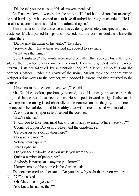"Did he tell you the cause of this alarm you speak of?"

Du Pine swallowed twice before he spoke. "He had had a visitor that morning", he said hurriedly, "who seemed to—to have disturbed him very much indeed. He left strict instructions that he should not be admitted again."

There was a stir in the audience at this evidently completely unexpected piece of evidence. Mallett pursed his lips and frowned. But the coroner could not leave the matter there.

"Did he give the name of his visitor?" he asked.

"Yes—he did." The witness seemed indisposed to say more.

"What was the name?"

"John Fanshawe." The words were muttered rather than spoken, but in the tense silence they reached every corner of the court. They were greeted with an excited murmur, instantly followed by a stentorian cry of "Silence, silence!" from the coroner's officer. Under the cover of the noise, Mallett took the opportunity to whisper a few words to the coroner, who nodded in assent, and then returned to the witness.

"I have no more questions to ask you," he said.

Mr. Du Pine, looking profoundly relieved, took his uneasy presence from the box, and Jackie Roach succeeded him. He stumped forward in high feather at his own importance and grinned cheerfully at the coroner and at the jury. In honour of the occasion he had decorated his shabby coat with three tarnished war medals.

"Are you a newspaper seller?" asked the coroner.

"That's right, sir."

"I want you to take your mind back to last Friday evening. Where were you?"

"Corner of Upper Daylesford Street and the Gardens, sir."

"Carrying on your occupation there?"

"I beg your pardon?"

"Selling newspapers?"

"That's right, sir."

"Did you see anybody pass you while you were there?"

"Quite a number of people, sir."

"Anybody in particular—anyone you know?"

"I knows most of the people in the Gardens, sir."

The coroner tried another tack. "Do you know by sight the person who lived at No. 27?" he asked.

"Oh, Mr. James—yes, sir."

"You knew his name, then?"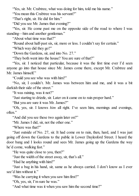"Yes, sir. Mr. Crabtree, what was doing for him, told me his name."

"You mean this Crabtree was his servant?"

"That's right, sir. He did for him."

"Did you see Mr. James that evening?"

"Yes, sir. He come past me on the opposite side of the road to where I was standing—him and another gentleman."

"About what time was that?"

"Round about half-past six, sir, more or less. I couldn't say for certain."

"Which way did they go?"

"Down the Gardens, sir, and into No. 27."

"They both went into the house? You are sure of that?"

"Yes, sir. I noticed that particular, because it was the first time ever I'd seen anyone go into that house since Mr. James come there, except Mr. Crabtree and Mr. James himself."

"Could you see who was with him?"

"No, sir, I couldn't. Mr. James was between him and me, and it was a bit darkish their side of the street."

"It was raining, was it not?"

"Just starting to drizzle, sir. Later on it came on to rain proper hard."

"But you are sure it was Mr. James?"

"Oh, yes, sir. I knows *him* all right. I've seen him, mornings and evenings, often."

"And did you see these two again later on?"

"Mr. James I did, sir, not the other one."

"Where was that?"

"Just outside of No. 27, sir. It had come on to rain, then, hard, and I was just going off down the Gardens to the public in Lower Daylesford Street. I heard the door bang and I looks round and sees Mr. James going up the Gardens the way he'd come, walking fast."

"He was quite close to you, then?"

"Just the width of the street away, sir, that's all."

"Had he anything with him?"

"Just a bag in his hand, sir, same as he always carried. I don't know as I ever see'd him without it."

"Was he carrying it when you saw him first?"

"Oh, yes, sir, I'm sure he was."

"And what time was it when you saw him the second time?"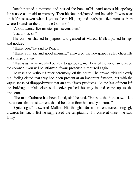Roach paused a moment, and passed the back of his hand across his apology for a nose as an aid to memory. Then his face brightened and he said: "It was near on half-past seven when I got to the public, sir, and that's just five minutes from where I stands at the top of the Gardens."

"About twenty-five minutes past seven, then?"

"Just about, sir."

The coroner shuffled his papers, and glanced at Mallett. Mallett pursed his lips and nodded.

"Thank you," he said to Roach.

"Thank *you*, sir, and good morning," answered the newspaper seller cheerfully and stumped away.

"That is as far as we shall be able to go today, members of the jury," announced the coroner. "You will be informed if your presence is required again."

He rose and without further ceremony left the court. The crowd trickled slowly out, feeling elated that they had been present at an important function, but with the vague sense of disappointment that an anti-climax produces. As the last of them left the building, a plain clothes detective pushed his way in and came up to the inspector.

"The man Crabtree has been found, sir," he said. "He is at the Yard now. I left instructions that no statement should be taken from him until you came."

"Quite right," answered Mallett. His thoughts for a moment turned longingly towards his lunch. But he suppressed the temptation. "I'll come at once," he said firmly.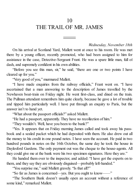### 10 THE TRAIL OF MR. JAMES

*Wednesday, November 18th*

On his arrival at Scotland Yard, Mallett went at once to his room. He was met there by a young officer, recently promoted, who had been assigned to him for assistance in the case, Detective-Sergeant Frant. He was a spare little man, full of dash, and supremely confident in his own abilities.

"Before you see this man, sir," he said, "there are one or two points I have cleared up for you."

"Very good of you," murmured Mallett.

"I have made enquiries from the railway officials," Frant went on. "I have ascertained that a man answering to the description of James travelled by the Newhaven boat-train on Friday night. He went first-class, and dined on the train. The Pullman attendant remembers him quite clearly, because he gave a lot of trouble and tipped him particularly well. I have put through an enquiry to Paris, but the answer isn't to hand yet.

"What about the passport officials?" asked Mallett.

"He had a passport, apparently. They have no recollection of him."

"They wouldn't. Well, have you been to the bank?"

"Yes. It appears that on Friday morning James called and took away his passbook and a sealed packet which he had deposited with them. He also drew out all the money to his credit in one pound notes. I have seen the account. He paid in two hundred pounds in notes on the 16th October, the same day he took the house in Daylesford Gardens. The only payment out was the cheque to the house-agents. All they could give me at the bank were his two specimen signatures. Here they are."

He handed them over to the inspector, and added: "I have got the experts on to them, and they say they are obviously disguised—probably left-handed."

"You surprise me," said Mallett gravely. "Is that all?"

"So far as James is concerned—yes. But you ought to know——"

"The Southern Bank doesn't usually open an account without a reference of some kind," remarked Mallett.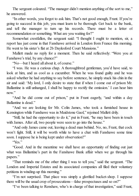The sergeant coloured. "The manager didn't mention anything of the sort to me," he answered.

"In other words, you forgot to ask him. That's not good enough, Frant. If you're going to succeed in this job, you must learn to be thorough. Get back to the bank, and tell the manager to turn up his records. There must be a letter of recommendation or something. What are you waiting for?"

Somewhat crestfallen, the sergeant said: "I thought I ought to mention, sir, a report has just come in that Fanshawe arrived in London from France this morning. He went to his sister's flat at 2b Daylesford Court Mansions."

Mallett made no reply for a moment. Then he said reflectively: "Were you at Fanshawe's trial, by any chance?"

"No—but I heard all about it, of course."

"I was. He was a curious chap. A thoroughbred gentleman, you'd have said, to look at him, and as cool as a cucumber. When he was found guilty and he was asked whether he had anything to say before sentence, he simply stuck his chin in the air and said: 'My lord, I only desire to state that if when I come out of prison Mr. Ballantine is still unhanged, I shall be happy to rectify the omission.' I can hear him now."

"And he did come out of prison," put in Frant eagerly, "and within a day Ballantine is dead."

"And we are looking for Mr. Colin James, who took a furnished house in Kensington while Fanshawe was in Maidstone Gaol," rejoined Mallett drily.

"Still, he had the opportunity to do it," put in Frant, "he may have been in touch with James. After all, two people were seen to go into the house."

"And only James came out, leaving a dead man behind. No, no, Frant, that cock won't fight. Still, it will be worth while to have a chat with Fanshawe some time soon. I suppose he is being kept under observation?"

"Yes."

"Good. And in the meantime we shall have an opportunity of finding out just what was Ballantine's part in the Fanshawe Bank affair when we go through his papers."

"That reminds me of the other thing I was to tell you," said the sergeant. "The London and Imperial Estates and its associated companies all filed their voluntary petitions in winding-up this morning."

"I'm not surprised. That place was simply a glorified bucket-shop. I suppose there will be the usual crop of prosecutions—false prospectuses and so on?"

"I've been talking to Renshaw, who's in charge of that investigation," said Frant,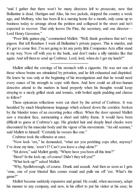"and I gather that there won't be many directors left to prosecute, now that Ballantine is dead. Hartigan and Aliss, his two jackals, skipped the country a week ago, and Melbury, who has been ill in a nursing home for a month, only came up to business today to arrange about the petition and collapsed in the street and isn't expected to recover. That only leaves Du Pine, the secretary, and one director— Lord Henry Gaveston."

"Poor little guinea-pig," commented Mallett. "Well, thank goodness that isn't my pigeon. But tell Renshaw I want all Ballantine's private papers. This is murder, and it's got to come first. I'm not going to let any potty little Companies Acts affair stand in my way. Now off with you to the bank, and don't make a silly mistake like that again. And tell them to send up Crabtree. Lord, lord, when do I get my lunch?"

Mallett stilled the cravings of his stomach with a cigarette. He was not one of those whose brains are stimulated by privation, and he felt exhausted and dispirited. He knew he was only at the beginning of his investigations and that he would need every ounce of his strength to cope with them. And how could an all-too-human detective attend to the matters in hand properly when his thoughts would keep straying to a nicely grilled steak and tomato, with boiled apple pudding and cheese to follow?

These epicurean reflections were cut short by the arrival of Crabtree. It was heralded by much blasphemous language which echoed down the corridor, broken by the blander tones of an escorting police officer. When the door opened Mallett saw a truculent face, surmounting a short and tubby frame. It would have been difficult to guess at Crabtree's age. His grizzled hair and deeply lined cheeks were discounted by his muscular body and the vigour of his movements. "An old seaman," said Mallett to himself. "Certainly he swears like one."

Crabtree took the offensive at once.

"Now look 'ere," he demanded, "what are you perishing cops after, anyway? I've done my time, 'aven't I? Can't you leave a chap alone?"

"Sit down," said Mallett gently. "Where have you been all this time?"

"Been? In the lock-up, of course! Didn't they tell you?"

"What lock-up?" asked Mallett.

"Why, Spellsborough, of course. Drunk and assault. And then as soon as I gets 'ome, one of your blasted flats comes round and pulls me off 'ere. What's the game?"

Mallett became suddenly expansive and genial. He could, when necessary, adapt his manner to any company, and now, in his effort to put his visitor at his ease; he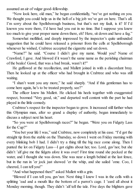assumed an air of vulgar good-fellowship.

"Now look here, old man," he began confidentially, "we've got nothing on you. We thought you could help us in the hell of a big job we've got on here. That's all. I'm sorry about the Spellsborough business, but that's not my fault, is it? If I'd known you were there, I'd have had you out in no time. But I suppose you knew too much to give your proper name down there, eh? Here, sit down and have a fag."

Somewhat mollified, and deeply impressed by the inspector's quite unfounded suggestion that he could have released a prisoner from the cells at Spellsborough whenever he wished, Crabtree accepted the cigarette and sat down.

"Name?" he said. "Course I didn't give my name. Would you? Name of Crawford, I gave. And blowed if it wasn't the same name as the perishing chairman of the beaks! Gawd, that was a bad break, wasn't it?"

He guffawed at the recollection, and Mallett joined in with a discordant bray. Then he looked up at the officer who had brought in Crabtree and who was still waiting.

"I shan't want you any more," he said sharply. "And if this gentleman has to come here again, he's to be treated properly, see?"

The officer knew his Mallett. He clicked his heels together with exaggerated respect, boomed "Very good, sir," and departed well content with the part he had played in the little comedy.

Crabtree's respect for the inspector began to grow. It increased still further when this Olympian man, after so grand a display of authority, began immediately to discuss a subject next his heart.

"So you were at Spellsborough races?" he began. "Were you on Fidgety Lass for the Cup?"

"You bet your life I was," said Crabtree, now completely at his ease. "I'd got the straight tip from the stable on the Thursday, so down I went on Friday morning with every blinking bob I had. I didn't try a thing till the big race come along. Then I punted the lot on Fidgety Lass—I got eights about her, too. Lord, guv'nor, but she didn't 'alf give me the fidgets afore it was over! First time round she pecked at the water, and I thought she was down. She was near a length behind at the last fence, but in the run in 'er jock just showed 'er the whip, and she sailed 'ome. Coo, I cheered, I can tell you!"

"And what happened then?" asked Mallett with a grin.

"Blowed if I can tell you, guv'nor. Next thing I knew I was in the cells with a splitting 'ead and a mouth like the bottom of a parrot's cage. I 'eard all about it Monday morning, though. They didn't 'alf tell the tale. Five days the blighters gave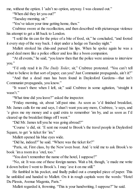me, without the option. I 'adn't no option, anyway. I was cleaned out."

"When did they let you out?"

"Tuesday morning, sir."

"You've taken your time getting home, then."

Crabtree swore at the recollection, and then described with picturesque violence his attempt to get a lift back to London.

"I sold the tin can for the price of a bite of food, sir," he concluded, "and footed it every step of the way back. I slept under a hedge on Tuesday night."

Mallett stroked his chin-and pursed his lips. When he spoke again he was a good deal more like a police officer and less like a boon companion.

"At all events," he said, "you knew then that the police were anxious to interview you."

"I'd only read it in *The Daily Toiler*, sir," Crabtree protested. "You can't tell what to believe in that sort of paper, can you? Just Communist propaganda, ain't it?"

"And that a dead man has been found in Daylesford Gardens—that isn't Communist propaganda, you know."

"It wasn't there when I left, sir," said Crabtree in some agitation, "straight it wasn't."

"What time did you leave?" asked the inspector.

"Friday morning, sir, about 'alf-past nine. As soon as 'e'd finished breakfast, Mr. James calls for me and says, I shan't want you any more, Crabtree, 'e says, and 'e gives me my money and a quid extra to remember 'im by, and as soon as I'd cleared up the breakfast things off I went."

"Did Mr. James tell you he was going abroad?"

"Course 'e did, sir. 'E sent me round to Brook's the travel people in Daylesford Square, to get 'is ticket for 'im."

Mallett opened his blue eyes wide.

"Did he, indeed?" he said. "Where was the ticket for?"

"Paris, sir, First class, by the New'aven boat. And 'e told me to ask Brook's to book 'im a room in a 'otel, too."

"You don't remember the name of the hotel, I suppose?"

"No, sir. It was one of these foreign names. Wait a bit, though, 'e made me write it down before I went to Brook's. I may 'ave it on me still."

He fumbled in his pocket, and finally pulled out a crumpled piece of paper. This he unfolded and handed to Mallett. On it in rough capitals were the words: "Hotel Du Plessis, Avenue Magenta, Paris."

Mallett regarded it, frowning. "This is your handwriting, I suppose?" he said.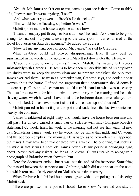"Yes, sir. Mr. James spelt it out to me, same as you see it there. Come to think of it, I never saw 'im write anything, 'isself."

"And when was it you went to Brook's for the tickets?"

"That would be the Tuesday, sir, before 'e went."

Mallett spoke into the house telephone at his elbow.

"I want an enquiry put through to Paris at once," he said. "Ask them to be good enough to find out if anyone answering to the description of James arrived at the Hotel Du Plessis on Saturday morning." He added the address.

"Now tell me anything you can about Mr. James," he said to Crabtree.

What Crabtree could tell proved disappointingly little. It may best be summarized in the words of the notes which Mallett set down after the interview.

"Crabtree's description of James," wrote Mallett, "is vague, but agrees substantially with Harper's. He seems to have seen remarkably little of his employer. His duties were to keep the rooms clean and to prepare breakfast, the only meal James ever had there. He wasn't a particular man, Crabtree says, and couldn't bear women about the house. Refused the suggestion that a charwoman should come in to clear it up. C. is an old seaman and could turn his hand to what was necessary. The usual routine was for him to arrive at seven-thirty in the morning and heat the shaving water, which he would leave outside the bedroom door. James always kept his door locked. C. has never been inside it till James was up and dressed."

Mallett paused in his writing at this point and underlined the last two sentences heavily. He continued:

"James breakfasted at eight-thirty, and would leave the house between nine and half-past. He always carried a small bag or suitcase with him. (Compare Roach's statement.) C. would finish his work in the morning and not see him again till next day. Sometimes James would say he would not be home that night, and C. would find the bedroom empty in the morning. He is vague as to how often this happened, but thinks it may have been two or three times a week. The one thing that sticks in his mind is that it was a soft job. James never left any personal belongings lying about. Never had any visitors, so far as he knows. C. was unable to recognize a photograph of Ballantine when shown to him."

Here the document ended, but it was not the end of the interview. Something else passed between the inspector and Crabtree, which did not appear on the note, but which remained clearly etched on Mallett's retentive memory.

When Crabtree had finished his account, given with a compelling air of sincerity, Mallett said:

"There are just two more points I should like to know. Where did you stay at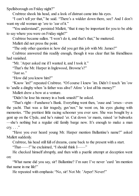Spellsborough on Friday night?"

Crabtree shook his head, and a look of distrust came into his eyes.

"I can't tell yer that," he said. "There's a widder down there, see? And I don't want my old woman up 'ere to 'ear of it."

"You understand", persisted Mallett, "that it may be important for you to be able to say where you were on Friday night?"

Crabtree became sullen. "I won't do it, and that's that," he muttered.

Mallett did not press the point.

"The only other question is: how did you get this job with Mr. James?"

Crabtree answered this readily enough, though it was clear that his friendliness had vanished.

"Mr. 'Arper asked me if I wanted it, and I took it."

"That's the Mr. Harper in Inglewood, Browne's?"

"Just so."

"How did you know him?"

"Know 'im?" repeated Crabtree. "Of course I knew 'im. Didn't I teach 'im 'ow to 'andle a dinghy when 'is father was alive? Afore 'e lost all his money?"

Mallett drew a bow at a venture.

"Didn't he lose his money in a bank smash?" he asked.

"That's right—Fanshawe's Bank. Everything went then, 'ouse and 'orses—even the yacht. That was a fair tragedy, guv'nor," he went on, his eyes glazing with memories. "The prettiest little racing schooner you ever saw. She was bought by a gent up on the Clyde, and he's ruined 'er. Cut down 'er masts, raised 'er bulwarks —she's nothing but a regular old family barge now. It's enough to make a man cry.  $\ldots$ ."

"Have you ever heard young Mr. Harper mention Ballantine's name?" asked Mallett suddenly.

Crabtree, his head still full of dreams, came back to the present with a start.

"That——!" he exclaimed, "I should think I——"

He checked himself abruptly, and then with a puerile attempt at deception went on:

"What name did you say, sir? Ballantine? I'm sure I've never 'eard 'im mention that name in me life!"

He repeated with emphasis: 'No, sir! Not Mr. 'Arper! Never!''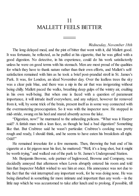# 11 MALLETT FEELS BETTER

### *Wednesday, November 18th*

The long delayed meal, and the pint of bitter that went with it, did Mallett good. It was fortunate, he reflected, as he puffed at his cigarette, that he was gifted with a good digestion. No detective, in his experience, could do his work satisfactorily unless he were on good terms with his stomach. Men are most proud of the qualities for which they have to thank nature rather than their own efforts, and Mallett's selfsatisfaction remained with him as he took a brief post-prandial stroll in St. James's Park. It was, for London, an ideal November day. Over the leafless trees the sky was a clear pale blue, and there was a nip in the air that was invigorating without being chilly. Mallett paced the walks, breathing deep gulps of the wintry air, exulting in his own well-being. But when one is faced with a question of paramount importance, it will intrude itself everywhere, and any subject, however far removed from it, will, by some trick of the brain, present itself as in some way connected with the overmastering preoccupation. So it was with the inspector now. He stopped in mid-stride, swung on his heel and stared absently across the lake.

"Digestion, now!" he murmured to the unheeding pelicans. "What was it Harper said? A fattish man with a lean face, as though he had a bad digestion? Something like that. But Crabtree said he wasn't particular. Crabtree's cooking was pretty rough and ready, I should think, and he seems to have eaten his breakfasts all right. Odd!"

He remained irresolute for a few moments. Then, throwing the butt end of his cigarette at a fat pigeon near his feet, he muttered: "Well, it's a long shot, but it might be worth trying," and walked out of the park to St. James's Underground Station.

Mr. Benjamin Browne, sole partner of Inglewood, Browne and Company, was decidedly annoyed that afternoon when Lewis abruptly entered his room and told him that Inspector Mallett wished to see him at once. His annoyance was not due to the fact that the visit interrupted any important work, for he was doing none. He was being disturbed in something far more intimate and important than any work—in the little nap which he was accustomed to take after lunch and to prolong, if possible, till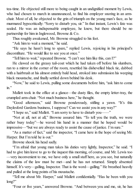tea-time. He objected still more to being caught in an undignified moment by Lewis, who had chosen to march in unannounced, to find his employer snoring in an armchair. Most of all, he objected to the grin of triumph on the young man's face, as he murmured hypocritically: "Sorry to disturb you, sir." In that instant, Lewis's fate was sealed. He was an indispensable employee, he knew, but there should be no partnership for him in Inglewood, Browne & Co.

Thus roughly awakened, Mr. Browne struggled to his feet.

"Ask him to wait a moment," he said.

"He says he hasn't long to spare," replied Lewis, rejoicing in his principal's discomfiture. "He would like to see you at once."

"Tell him to wait," repeated Browne. "I can't see him like this, can I?"

He clawed on the greasy tail-coat which he had taken off before his slumbers, ran to a mirror in the corner of the room, resettled his dishevelled black tie, dabbed with a hairbrush at his almost entirely bald head, stroked into submission his weeping black moustache, and finally settled down behind his desk.

"Now," he said to Lewis, pulling some documents before him, "ask him to come in."

Mallett took in the office at a glance—the dusty files, the empty letter-tray, the crumpled arm-chair. "Not much business here," he thought.

"Good afternoon," said Browne ponderously, stifling a yawn. "It's this Daylesford Gardens business, I suppose? Can we assist you in any way?"

"I hope so," said Mallett. "I am sorry to have to disturb you——"

"Not at all, not at all," Browne assured him. "To tell you the truth, we were rather busy today"—he waved his hand in a manner that he hoped would be impressive—"but we are always ready to assist the cause of justice. I'm sure."

"As a matter of fact," said the inspector, "I came here in the hope of seeing Mr. Harper. But I'm told he is out."

Browne shook his head sadly.

"I'm afraid that young man takes his duties very lightly, Inspector," he said. "I had to give him leave to go to the inquest this morning, of course, and Mr. Lewis too —very inconvenient to me, we have only a smallstaff here, as you see, but naturally the claims of the law must be met—and he has not returned. Simply absented himself. It's very—galling, Inspector. That is the word—galling." He breathed heavily and pulled at the long points of his moustache.

"Tell me about Mr. Harper," said Mallett confidentially. "Has he been with you long?"

"Four or five years," answered Browne. "And between you and me, sir, he has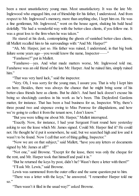been a most unsatisfactory young man. Most unsatisfactory. It was the late Mr. Inglewood who engaged him, out of friendship for his father, I understood. And from respect to Mr. Inglewood's memory, more than anything else, I kept him on. He was a fine gentleman, Mr. Inglewood," went on the house agent, shaking his bald head dolefully. "He had a wonderful way with the better-class clients, if you follow me. It was a great loss to the firm when he was taken."

He stared at his desk, contemplating the ghosts of vanished better-class clients, till Mallett recalled him to his surroundings with: "And Mr. Harper?"

"Ah, Mr. Harper, just so. His father was ruined, I understand, in that big bank failure some years ago—you would know the name, Inspector——"

"Fanshawe?" put in Mallett.

"Fanshawe—yes. And what made matters worse, Mr. Inglewood told me, Fanshawe was an old friend of the late Mr. Harper. And he ruined him, simply ruined him."

"That was very hard luck," said the inspector.

"Very. Oh, I was sorry for the young man, I assure you. That is why I kept him on here. Besides, there was always the chance that he might bring some of his better-class friends here as clients. But he didn't. And hard luck doesn't excuse his being so shockingly careless in his work as he's been. This Daylesford Gardens matter, for instance. That has been a bad business for us, Inspector. Why, there's three pound two and sixpence owing to Miss Penrose for dilapidations, and how we're going to collect it from the tenant now, I don't know."

"But you were telling me about Mr. Harper," Mallett interrupted.

"Exactly. Now, for instance, I had your Sergeant Frant round here yesterday asking to see the lease which Mr. James signed. Could Mr. Harper find it? He could not. He thought he'd put it somewhere, he said, but we searched high and low and it wasn't to be found. Now I call that sort of thing galling, Inspector."

"Now we are on that subject," said Mallett, "have you any letters or documents signed by Mr. James at all?"

"Not one," said Browne. "Except for the lease, there was only the cheque for the rent, and Mr. Harper took that himself and paid it in."

"But he returned the keys by post, didn't he? Wasn't there a letter with them?" "I'll ask Mr. Lewis," said Browne.

Lewis was summoned from the outer office and the same question put to him.

"There was a letter with the keys," he answered. "I remember Harper told me so."

"Then wasn't it filed in the usual way?" asked Browne.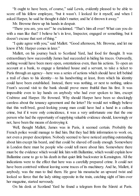"It ought to have been, of course," said Lewis, evidently pleased to be able to score off his fellow employee, "but it wasn't. I looked for it myself, and when I asked Harper, he said he thought it didn't matter, and he'd thrown it away."

Mr. Browne threw up his hands in despair.

"There you are, you see!" he exclaimed. "That's him all over! What can you do with a man like that? I believe he's in love, Inspector, engaged or something, but it doesn't excuse that sort of thing."

"I quite agree with you," said Mallett. "Good afternoon, Mr. Browne, and let me know if Mr. Harper comes in later."

Mallett, on his journey back to Scotland Yard, had food for thought. It was extraordinary how successfully James had succeeded in hiding his traces. Outwardly, nothing would have been more open, ostentatious even, than his actions. To open an account at a bank, to engage a furnished house and a servant, to take a ticket to Paris through an agency—here was a series of actions which should have left behind a trail of clues to his identity—to his handwriting at least, from which his identity could have been established. Instead, there was nothing, or next to nothing, unless Frant's second visit to the bank should prove more fruitful than his first. It was impossible even to lay hands on anybody who had ever spoken to him, except Crabtree and Harper. He frowned. Why should Harper have been so shockingly careless about the tenancy agreement and the letter? He would not willingly believe that this well-bred, good-looking young man could have had a hand in a callous crime, but if it were only coincidence, it was a very unfortunate one that the one person who had the opportunity of supplying valuable evidence should, knowingly or not, have been the means of destroying it.

Well, thought Mallett, James was in Paris, it seemed certain. Probably the French police would manage to find him. But they had little information to work on, not even a proper description. Nobody seemed to have noticed anything outstanding about him except his beard, and that could be shaved off easily enough. Somewhere in London there must be people who could tell more about him. Somewhere there must be the evidence which would link him with Ballantine, which would explain how Ballantine came to go to his death in that quiet little backwater in Kensington. All the indications were to the effect that here was a carefully prepared crime. It could not have been contrived without leaving some traces of its machinery. And he, Mallett, if anybody, was the man to find them. He gave his moustache an upward twist and looked so fierce that the lady sitting opposite in the train, catching sight of him over her magazine, started nervously.

On his desk at Scotland Yard he found a telegram from the Sûreté at Paris.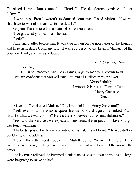Translated it ran: "James traced to Hotel Du Plessis. Search continues. Letter follows."

"I wish these French weren't so damned economical," said Mallett. "Now we shall have to wait till tomorrow for the details."

Sergeant Frant entered, in a state, of some excitement.

"I've got what you want, sir," he said.

"Well?"

Frant laid a letter before him. It was typewritten on the notepaper of the London and Imperial Estates Company, Ltd. It was addressed to the Branch Manager of the Southern Bank, and ran as follows:

*13th October, 19—*

Dear Sir,

This is to introduce Mr. Colin James, a gentleman well known to us. We are confident that you will extend to him all facilities in your power.

> Yours faithfully, LONDON & IMPERIAL ESTATES LTD. Henry Gaveston, Director.

"Gaveston!" exclaimed Mallett. "Of all people! Lord Henry Gaveston!"

"Well, even lords have some queer friends now and again," remarked Frant. "But it's what we want, isn't it? Here's the link between James and Ballantine."

"Yes, and the very last we expected," answered the inspector. "Have you got into touch with him?"

"His lordship is out of town, according to his valet," said Frant. "He wouldn't or couldn't give the address."

"I don't think that need trouble us," Mallett replied. "A man like Lord Henry won't go into hiding for long. We've got to have a chat with him, and the sooner the hetter!"

Feeling much relieved, he hummed a little tune as he sat down at his desk. Things were beginning to move at last!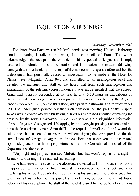## 12 INQUEST ON A BUSINESS

#### *Thursday, November 19th*

The letter from Paris was in Mallett's hands next morning. He read it through aloud, translating literally as he went, for the benefit of Frant. The writer acknowledged the receipt of the enquiries of his respected colleague and in reply hastened to submit for his consideration and information the matters following, namely: that immediately upon receipt of the advice and enquiries aforesaid he, the undersigned, had personally caused an investigation to be made at the Hotel Du Plessis, Ave. Magenta, Paris, 9e., and submitted to an interrogation strict and detailed the manager and staff of the hotel; that from such interrogation and examination of the relevant correspondence it was made manifest that the suspect James had veritably descended at the said hotel at 5.50 hours or thereabouts on Saturday and there lodged in a room previously reserved for him by the Agence Brook (room No. 323, on the third floor, with private bathroom, at a tariff of francs 65). The undersigned pointed out that such behaviour on the part of the suspect James was in conformity with his having fulfilled his expressed intention of making the crossing by the route Newhaven-Dieppe, precisely as the distinguished information of his colleague had suggested. Unhappily, by an oversight possibly unintentional but none the less criminal, one had not fulfilled the requisite formalities of the law and the said James had ascended to his room without signing the form provided for the surveillance of foreign voyagers in France. For this contravention one would rigorously pursue the hotel proprietors before the Correctional Tribunal of the Department of the Seine.

"Very right and proper," grunted Mallett, "but that won't help us to a sight of James's handwriting." He resumed his reading.

One had served breakfast to the aforesaid individual at 10.30 hours in his room, it appeared, whereafter he had immediately descended to the street and after regulating his account departed on foot carrying his suitcase. The undersigned had given formal instruction for his pursuit and detention, but so far one had found nobody of his description. The staff of the hotel declared him to be to all indications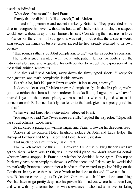a serious individual——

"What does that mean?" asked Frant.

"Simply that he didn't look like a crook," said Mallett.

——and of appearance and accent markedly Britannic. They pretended to be able to recognize him even without his beard, of which, without doubt, the suspect would seek without delay to disembarrass himself. Considering the measures in force in France for the control of strangers, it was not probable that the assassin would long escape the hands of Justice, unless indeed he had already returned to his own country.

"That sounds rather a doubtful compliment to us," was the inspector's comment.

The undersigned awaited with lively anticipation further particulars of the individual aforesaid and requested his collaborator to accept the expression of his most distinguished sentiments.

"And that's all," said Mallett, laying down the flimsy typed sheets. "Except for the signature, and that's completely illegible anyway."

"But it's a lot, isn't it?" put in Frant eagerly. "It lets us out, anyway."

"It does not let us out," Mallett answered emphatically. "In the first place, we've got to establish that James is the murderer. It looks like it, I agree, but we haven't proved it yet. In the second place, we must find out who he is, and what is his connection with Ballantine. Luckily that letter to the bank gives us a pretty good line on that."

"When we find Lord Henry Gaveston," objected Frant.

"You ought to read *The Times* more carefully," replied the inspector. "Especially the social columns. Look here."

He indicated a paragraph with his finger, and Frant, following his direction, read:

"Arrivals at the Riviera Hotel, Brighton, include Sir John and Lady Bulpit, the Bishop of Foxbury and Mrs. Escott, and Lord Henry Gaveston."

"Not much concealment there," said Frant.

"No. Which makes me think. . . . However, it's no use building theories until we get the facts. Where was I? Oh, yes. In the third place, we don't know for certain whether James stopped in France or whether he doubled home again. This trip to Paris may have been simply to throw us off the scent, and I dare say he would find his markedly Britannic accent rather a handicap if he wanted to go into hiding on the Continent. In any case there's a lot of work to be done at this end. If we can find out how Ballantine came to go to Daylesford Gardens, we shall have done something. We shall have to go pretty deep into his private life—find out where he'd been living and who with—you remember his wife's evidence—who had a motive for killing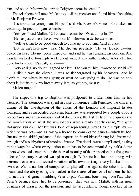him, and so on. Meanwhile a trip to Brighton seems indicated."

The telephone bell rang. Mallett took off the receiver and found himself speaking to Mr. Benjamin Browne.

"It's about that young man, Harper," said Mr. Browne's voice. "You asked me yesterday, Inspector, if you remember——"

"Yes, yes," said Mallett. "Of course I remember. What about him?"

"He has just come in here," went on Mr. Browne in deliberate tones.

"Well, ask him to be good enough to come up to Scotland Yard at once."

"But he isn't here now," said Mr. Browne peevishly. "He just looked in—just poked his head into my room, Inspector, and said he was resigning his position. And then he walked out—simply walked out without any further notice. After all I had done for him, too! It's really very——"

"Very galling, no doubt," agreed Mallett. "Did you tell him I wanted to see him?" "I didn't have the chance. I was so flabbergasted by his behaviour. And he didn't tell me where he was going or what he was going to do. He was so cool about it, it quite took my breath away. It is, as you say, most ga——"

Mallett rang off.

The inspector's trip to Brighton was postponed to a later hour than he had intended. The afternoon was spent in close conference with Renshaw, the officer in charge of the investigation of the affairs of the London and Imperial Estates Company and its associated concerns. Renshaw was supported by a couple of dour accountants and an enormous sheaf of documents, the first fruits of his enquiries into the ramifications of what the newspapers were already openly calling "the great Ballantine swindle". Mallett was fond of representing himself as a simple man which he was not—and as having a horror for complicated figures—which he had. But under the skilful guidance of the experts he found himself being led, fascinated, through endless labyrinths of crooked finance. The details were complicated, as they must always be where every action taken has to be accompanied by half a dozen others whose sole intent is to hide the real meaning of the transaction; but the general effect of the story revealed was plain enough. Ballantine had been practising, with extreme cleverness and several variations of his own devising, a very familiar form of swindle. With a number of companies to play off one against the others, and the means and the ability to rig the market in the shares of any or all of them, he had pursued the old game of robbing Peter to pay Paul and borrowing from Paul when Peter's balance sheet had to be presented. That was how Mallett, with his usual bluntness of phrase, put the position, and the accountants, though shocked at his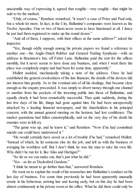unscientific way of expressing it, agreed that roughly—very roughly—that might be said to be the method.

"Only, of course," Renshaw remarked, "it wasn't a case of Peter and Paul only, but a whole lot more. In fact, in the City, Ballantine's companies were known as the Twelve Apostles. One or two of them never seem to have functioned at all. I fancy he just had them registered to make up the round dozen."

"And all of them, I suppose, with their offices at the same address?" asked the inspector.

"Yes; though oddly enough among his private papers we found a reference to another one—the Anglo-Dutch Rubber and General Trading Syndicate—with an address in Bramston's Inn, off Fetter Lane. Ballantine paid the rent for the offices monthly, but it never seems to have done any business, and when I went there the place was completely empty and had been for some time, apparently."

Mallett nodded, mechanically taking a note of the address. Once he had established the general crookedness of the late financier, the details of his devices did not interest him greatly. As to the eventual aim of all his dealings, that became clear enough as the enquiry proceeded. It was simply to divert money through one channel or another from the pockets of the investing public into those of Ballantine, and equally clearly it had been remarkably successful. Then quite suddenly, during the last few days of his life, things had gone against him. He had been unexpectedly attacked by a leading financial newspaper, and the shareholders in his principal concern, with the annual general meeting on the horizon, had lost confidence. The market quotations had fallen catastrophically, and on the very day of his death his enemies were in full cry.

"The game was up, and he knew it," said Renshaw. "Now if he had committed suicide one could have understood it."

"He would certainly have saved us a lot of trouble if he had," remarked Mallett. "Instead of which, he let someone else do the job, and left us with the business of avenging his worthless self. But I don't think he was the man to take his own life. Why didn't he run for it, like Aliss and Hartigan?"

"So far as we can make out, that's just what he did."

"Yes—as far as Daylesford Gardens."

"I think he meant to go farther than that," answered Renshaw.

He went on to explain the result of his researches into Ballantine's conduct on his last day of business. For some time previously he had been apparently unusually erratic in his behaviour, arriving late and leaving early, but on this day he had been almost continuously in his private room at the office. What he did there could only be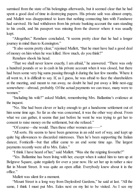surmised from the state of his belongings afterwards, but it seemed clear that he had spent a good deal of time in destroying papers. His private safe was almost empty, and Mallett was disappointed to learn that nothing connecting him with Fanshawe had survived. He had withdrawn from his private banking account the sum standing to his credit, and his passport was missing from the drawer where it was usually kept.

"Altogether," Renshaw concluded, "it seems pretty clear that he had a longer journey in mind than to Kensington."

"It also seems pretty clear," rejoined Mallett, "that he must have had a good deal of money on him when he was killed. How much, do you think?"

Renshaw shook his head.

"That we shall never know exactly, I am afraid," he answered. "There was only a hundred pounds or so in cash in his private account when it was closed, but there had been some very big sums passing through it during the last few months. Where it all went to, it is difficult to say. If, as I guess, he was afraid to face the shareholders at the meeting, and meant to run away, no doubt he had put away a little nest-egg somewhere—abroad, probably. Of the actual payments we can trace, many were to women."

"Including his wife?" asked Mallett, remembering Mrs. Ballantine's evidence at the inquest.

"No. She had been clever or lucky enough to get a handsome settlement out of him some time ago. So far as she was concerned, it was the other way about. From what we can gather, it seems that just before he went he was trying to get her to consent to raise money on the settlement, but she refused."

"Of course—she would. Then these other women are——"

"All sorts. He seems to have been generous in an odd sort of way, and kept up quite big allowances to discarded mistresses. Then he's been supporting the Italian dancer, Fonticelli—but that affair came to an end some time ago. The largest payments recently were all to Mrs. Eales."

"I think I have heard of her," said Mallett. "Was she the reigning favourite?"

"Yes. Ballantine has been living with her, except when it suited him to turn up at Belgrave Square, quite regularly for over a year now. He set her up in rather a nice flat in Mount Street. It was quite an open affair. Everybody knew about it in the office."

Mallett was silent for a moment.

"Mount Street is a long way from Daylesford Gardens," he said at last. "All the same, I think I must put Mrs. Eales next on my list to be visited. As I see my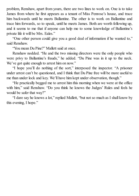problem, Renshaw, apart from yours, there are two lines to work on. One is to take James from where he first appears as a tenant of Miss Penrose's house, and trace him backwards until he meets Ballantine. The other is to work on Ballantine and trace him forwards, so to speak, until he meets James. Both are worth following up, and it seems to me that if anyone can help me to some knowledge of Ballantine's private life it will be Mrs. Eales."

"One other person could give you a good deal of information if he wanted to," said Renshaw.

"You mean Du Pine?" Mallett said at once.

Renshaw nodded. "He and the two missing directors were the only people who were privy to Ballantine's frauds," he added. "Du Pine was in it up to the neck. We've got quite enough to arrest him on now."

"I hope you'll do nothing of the sort," interposed the inspector. "A prisoner under arrest can't be questioned, and I think that Du Pine free will be more useful to me than under lock and key. We'll have him kept under observation, though."

"He practically begged me to arrest him this morning when we were at the office with him," said Renshaw. "Do you think he knows the Judges' Rules and feels he would be safer that way?"

"I dare say he knows a lot," replied Mallett, "but not so much as I shall know by this evening, I hope."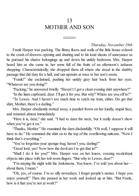### 13 MOTHER AND SON

*Thursday, November 19th*

Frank Harper was packing. The flimsy floors and walls of the little house echoed to the crash of drawers opening and shutting and to his loud shouts of annoyance as he pursued his elusive belongings up and down his untidy bedroom. Mrs. Harper heard him as she came in, her arms full of the fruits of an afternoon's arduous shopping. Characteristically, she dropped them all where she stood in the shabby passage that did duty for a hall, and ran upstairs at once to her son's room.

"Frank!" she exclaimed, pushing her untidy grey hair back from her eyes. "Whatever are you doing?"

"Packing," he answered briefly. "Haven't I got a clean evening shirt anywhere?"

"In the linen cupboard, dear. I'll get it for you. But why? Where are you off to?"

"To Lewes. And I haven't too much time to catch my train, either. Do get that shirt, Mother, there's a darling."

Mrs. Harper obediently trotted away, a puzzled frown on her kindly, stupid face, and returned almost immediately.

"Here it is, dear," she said. "I had to darn the neck, but it really doesn't show when you've got it on."

"Thanks, Mother." He examined the darn disdainfully. "Oh well, I suppose it will have to do." He crammed the shirt on to the top of the overflowing suitcase. "Now I think that's everything."

"You've forgotten your sponge-bag, haven't you, darling?"

"Good lord, yes! Now how the devil am I to get that in?"

"Shall I do it for you?" Mrs. Harper was on her knees, coaxing recalcitrant objects into place with her toil-worn fingers. "But why to Lewes, dear?"

"I'm staying the night with the Jenkinsons. You know. I've told you about her about them, I mean."

"Oh, yes, of course. I'm so silly nowadays, I forget people's names. I hope you enjoy yourself." Then she paused in her work and looked up at him. "But Frank, how is it that you're not at work?"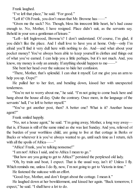Frank laughed.

"I've left that place," he said. "For good."

"Left it? Oh Frank, you don't mean that Mr. Browne has——"

"Given me the sack? No. Though, bless his innocent little heart, he's had cause enough to. No, Mother, I have resigned. Place didn't suit, as the servants say. Behold in your son a gentleman of leisure."

"Left—left Inglewood, Browne's? I don't understand. Of course, I'm glad, if you didn't like the place. And I shall love to have you at home. Only—only I'm afraid you'll find it very dull here with nothing to do. And—and what about your pocket money? You've always been able to keep yourself in clothes and things out of what you've earned. I can help you a little perhaps, but it's not much. And, you know, my money is only an annuity. If anything should happen to me——"

She bent her head over the suitcase to hide her confusion.

"There, Mother, that's splendid. I can shut it myself. Let me give you an arm to help you up. Oops!"

He pulled her to her feet, and bending down, kissed her with unexpected tenderness.

"You're not to worry about me," he said. "I'm not going to come back here and hang about the house all day. Quite the contrary. Once more, in the language of the servants' hall, I've left to better myself."

"You've got another post, then? A better one? What is it? Another house agent?"

Frank smiled happily.

"No, not a house agent," he said. "I'm going away, Mother, a long way away that is, if Susan is still of the same mind as she was last Sunday. And you, relieved of the burden of your worthless child, are going to live at that cottage in Berks or Bucks or wherever it is you've always wanted to go, until such time as I return, rich with all the spoils of Africa——"

"Africa! Frank, you're talking nonsense!"

"I am not! Africa I said, and to Africa I mean to go."

"But how are you going to get to Africa?" persisted the perplexed old lady.

"Oh, by train and boat, I expect. That is the usual way, isn't it? Unless I fly. Which reminds me, unless I do fly, now, I'm not going to get to Victoria in time."

He fastened the suitcase with an effort.

"Good-bye, Mother, and don't forget about the cottage. I mean it."

He laughed down at her bewilderment, and kissed her again. "Back tomorrow, I expect," he said. "I shall have a lot to do.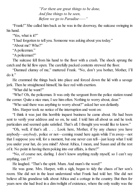*"For there are great things to be done, And fine things to be seen, Before we go to Paradise——"*

"Frank!" She called him back as he was in the doorway, the suitcase swinging in his hand.

"Yes, what is it?"

"I had forgotten to tell you. Someone was asking about you today."

"About me? Who?"

"A policeman."

"A policeman?"

The suitcase fell from his hand to the floor with a crash. The shock sprung the catch and the lid flew open. The carefully packed contents strewed the floor.

"Damned clumsy of me," muttered Frank. "No, don't you bother, Mother, I'll do it."

He crammed the things back into place and forced down the lid with a savage jerk. Then he straightened himself, his face red with exertion.

"What did he want?"

"Who? Oh, the policeman. It was only the sergeant from the police station round the corner. Quite a nice man, I see him often. Nothing to worry about, dear."

"Who said there was anything to worry about?" asked her son defiantly.

Mrs. Harper took no notice of the interruption and went on:

"I think it was just this horrible inquest business he came about. He had been sent to verify your address and so on, he said. I told him all about us and he took particulars and seemed quite satisfied. That's all. I thought you would like to know."

"Oh, well, if that's all. . . . Look here, Mother, if by any chance you have anybody—*anybody*, police or not—coming round here again while I'm away—not that I suppose you will, for a moment, but one never can tell—just keep what I told you under your hat, do you mind? About Africa, I mean, and Susan and all the rest of it. No point in having them poking into our affairs, is there?"

"No, of course not, darling. I don't know anything really myself, so I can't say anything, can I?"

He laughed. "That's the spirit. Mum. And mum's the word!"

He was gone. Mrs. Harper, with a sigh, began to tidy the chaos of her son's room. She did not in the least understand what Frank had told her. She did not believe all his grandiose talk about Africa and a cottage in the country. But then for years now she had lived in a dim twilight of existence, where the only reality was the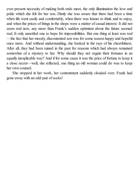ever-present necessity of making both ends meet, the only illumination the love and pride which she felt for her son. Dimly she was aware that there had been a time when life went easily and comfortably, when there was leisure to think and to enjoy, and when the prices of things in the shops were a matter of casual interest. It did not seem real now, any more than Frank's sudden optimism about the future seemed real. It only unsettled one to hope for impossibilities. But one thing at least was real —the fact that her moody, discontented son was for some reason happy and hopeful once more. And without understanding, she basked in the rays of his cheerfulness. After all, they had been ruined in the past for reasons which had always remained somewhat of a mystery to her. Why should they not regain their fortunes in an equally inexplicable way? And if for some cause it was the price of fortune to keep it a close secret—well, she reflected, one thing an old woman could do was to keep her own counsel.

She stopped in her work, her contentment suddenly clouded over. Frank had gone away with an odd pair of socks!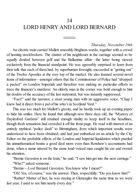### 14 LORD HENRY AND LORD BERNARD

#### *Thursday, November 19th*

An electric train carried Mallett smoothly Brighton-wards, together with a crowd of homing stockbrokers. The chatter of his neighbours in the carriage seemed to be equally divided between golf and the Ballantine affair—the latter being viewed exclusively from the financial standpoint. He was agreeably surprised to learn from their talk that each of them had, by superhuman foresight, succeeded in "getting out" of the Twelve Apostles at the very top of the market. He also learned several novel items of information—amongst others that the Commissioner of Police had "dropped a packet" on London Imperials and therefore was making no particular efforts to trace the financier's murderer. An elderly man in the corner was bold enough to hint his doubts of the accuracy of the last statement, but was instantly suppressed.

"Fact!" said the narrator, a stout young man with an aggressive voice. "Chap I knew had it direct from a pal of his who's in Scotland Yard."

This was too much for Mallett's gravity, and he hastily took up an evening paper to hide his smiles. Here he found that although now three days old, the "Mystery of Daylesford Gardens" still retained enough vitality to keep itself in the headlines, though fresh sensations had crowded it off the front page. He read with interest of an entirely mythical "police dash" to Birmingham, from which important results were understood to have been obtained; and had just embarked on an article by the City Editor on the probable effects of the London and Imperial liquidation which puzzled his unmathematical brains a good deal more even than Renshaw's accountants had done, when a name uttered by the same loud-voiced man caught his ear and riveted his attention.

"Bernie Gaveston is on the train," he said. "I saw him get into the next carriage." "Who?" asked someone.

"Bernie—*Lord* Bernard Gaveston. You know who I mean?"

"Oh! Yes, of course," was the answer. Then, respectfully: "Do you know him?"

"Rather! Matter of fact, he was staying at Gleneagles the same time as we were last year. I used to see him nearly every day."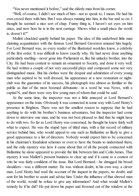"You never mentioned it before," said the elderly man from his corner.

"Well, of course, I didn't see much of him—not to speak to, I mean. He had his own crowd there with him. But I was always running into him, in the bar and so on. I thought he seemed a nice sort of chap. Funny thing is, I haven't set eyes on him since, and now here he is in the next carriage. Shows what a small place the world is, doesn't it?"

Mallett chuckled quietly behind his paper. The idea of this underbred little man claiming acquaintance with the famous Lord Bernard Gaveston amused him hugely. For Lord Bernard was, as every reader of the illustrated weeklies knew, a celebrity of the first order. It was difficult to know exactly why. He had never done anything particularly startling—never gone into Parliament or, like his unlucky brother, into the City. He had been content to remain an ornament to Society, and done it very well. He had written a couple of not very successful plays and composed some not very distinguished music. But his clothes were the despair and admiration of every young man who aspired to be well dressed, his appearance at a new restaurant or nightclub was the guarantee of its success, his photograph was almost as familiar to the public as that of the most boomed débutante—in a word he was News, with a capital N, and there were very few young men of whom that could be said.

At the same time, the inspector was not a little annoyed at Lord Bernard's appearance on the train. Obviously it was connected in some way with Lord Henry's presence in Brighton. There was not the smallest reason to suppose that he had anything to do with his brother's business adventures, but the inspector had come down to interview one man, and he was not best pleased to find that he might have to do with two. So far as Lord Henry was concerned, he thought he knew fairly well what to expect. He was the stupid type of titled man, with a fair record of military service behind him, who would appeal to one such as Ballantine as likely to give a good appearance to a list of directors. Nobody would expect him to be concerned in his chairman's fraudulent schemes or even to have the brains to understand them, and the only mystery was how it came about that of all the people connected with Ballantine he alone appeared to provide the link between him and Colin James. That mystery it was Mallett's present business to clear up and if it came to a contest of wits he was fairly confident of the issue. But Lord Bernard—he shrugged his broad shoulders—was a different matter. He was without doubt, in his own way, a clever man. Lord Henry had read the account of the inquest in the papers, no doubt, and sent for his brother to assist and advise him. Under the influence of that shrewd man of the world, would he refuse to give any information? And what would Mallett's remedy be if he did? He put down his paper and frowned out of the window at the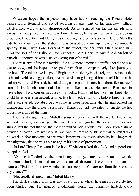darkened sky.

Whatever hopes the inspector may have had of reaching the Riviera Hotel before Lord Bernard and so of securing at least part of his interview without interference, were quickly disappointed. As he alighted on the station platform almost the first person he saw was Lord Bernard, being greeted by an obsequious chauffeur. Evidently Lord Henry was expecting his brother's arrival. Before Mallett's elderly taxi could clear the station, it was passed by a low open car of venomously speedy design, with Lord Bernard at the wheel, the chauffeur sitting beside him. "Not the sort of car I should have expected Lord Henry to own," said Mallett to himself. "I thought he was a steady-going sort of stupid."

The rear light of the car twinkled for a moment among the traffic ahead and was lost to view, and the inspector resigned himself to a comparatively slow journey to the hotel. The tall mauve lamps of Brighton front slid by in leisurely procession as the asthmatic vehicle chugged along. At last a violent grinding of brakes told him that he had arrived. Lord Bernard, he calculated, as he paid his fare, had about five minutes' start of him. Much harm could be done in five minutes. He cursed Renshaw for having been the unconscious cause of his delay. Had it not been for him, Lord Henry could have been interviewed, and he, Mallett, back in London, before Lord Bernard had even started. So absorbed was he in these reflections that he miscounted his change and only the driver's surprised "Thank *you*, sir!" revealed to him that he had grossly overtipped the man.

The mistake aggravated Mallett's sense of grievance with the world. Everything seemed to be going wrong with him. He did not grudge the driver an unearned shilling, but the fact that he, the most careful of men, should have made such a stupid blunder, annoyed him intensely. It was only by reminding himself that he might well be within a few moments of the most important discovery since he had begun his investigations, that he was able to regain his sense of proportion.

"Is Lord Henry Gaveston in the hotel?" Mallett asked the sleek and supercilious reception clerk.

"Yes, he is," admitted the functionary. His eyes travelled up and down the inspector's burly form and an expression of discomfort crept into his smooth features. "But I don't know whether he can see you. You are not from the Press, by any chance?"

"No. Scotland Yard," said Mallett bluntly.

The clerk's pained look was that of a prude in whose hearing an obscenity had been blurted out. He glanced involuntarily round the brilliantly lighted, over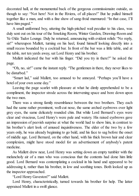decorated hall, at the monumental back of the gorgeous commissionaire outside, as though to say: "Not here! Not in the Riviera, of all places!" But he pulled himself together like a man, and with a fine show of sang-froid murmured: "In that case, I'll have him paged."

A small uniformed boy, uttering the high-pitched wail peculiar to his class, was duly sent out on his tour of the Smoking Room, Winter Garden, Drawing-Room and Ye Olde Tudor Lounge. Duly he returned, announcing with evident relish: "No reply, sir!" whereupon Mallett, turning on his heel, found himself looking directly into a small recess bounded by a cocktail bar. In front of the bar was a little table, and at the table, not ten yards away, sat Lord Henry and his brother.

Mallett indicated the bar with his finger. "Did you try in there?" he asked the page.

"Oh, no, sir!" came the instant reply. "The gentlemen in there, they never likes to be disturbed."

"Smart lad," said Mallett, too amused to be annoyed. "Perhaps you'll have a hotel of your own some day."

Leaving the page scarlet with pleasure at what he dimly apprehended to be a compliment, the inspector strode across the intervening space and bore down upon the two men.

There was a strong family resemblance between the two brothers. They each had the same rather prominent, well-cut nose, the same arched eyebrows over light grey eyes, the same delicately rounded chin. But while Lord Bernard's eyes were clear and vivacious, Lord Henry's were pale and watery. His raised eyebrows gave an impression of peevish surprise at what the world had to show him, in contrast to his brother's alert look of amused inquisitiveness. The elder of the two by a few years only, he was already beginning to go bald, and his face to sag before the onset of middle age. Lord Bernard, on the other hand, with his thick brown hair and clear complexion, might have stood model for an advertisement of anybody's patent medicine.

As Mallett drew near, Lord Henry was setting down an empty tumbler with the melancholy air of a man who was conscious that the contents had done him little good. Lord Bernard was contemplating a cocktail in his hand and appeared to be addressing it, rather than his brother, in low and soothing tones. Both looked up as the inspector approached.

"Lord Henry Gaveston?" said Mallett.

Lord Henry, characteristically, turned towards his brother for help. The latter appraised Mallett in a swift glance.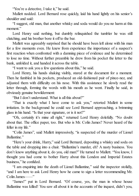"You're a detective, I take it," he said.

Mallett nodded. Lord Bernard rose quickly, laid his hand lightly on his senior's shoulder and said:

"I suggest, old man, that another whisky and soda would do you no harm at this moment."

Lord Henry said nothing, but dumbly relinquished the tumbler he was still clutching, and his brother bore it off to the bar.

Mallett was agreeably surprised that he should have been left alone with his man for a few moments even. He knew from experience the importance of a suspect's first reaction when confronted with a damning piece of evidence and he determined to lose no time. Without further preamble he drew from his pocket the letter to the bank, unfolded it, and handed it across the table.

"I want to ask you a few questions about this," he said.

Lord Henry, his hands shaking visibly, stared at the document for a moment. Then he fumbled in his pockets, produced an old-fashioned pair of pince-nez, and adjusted them with difficulty on his nose. With this assistance he slowly read the letter through, forming the words with his mouth as he went. Finally he said, in obviously genuine bewilderment:

"But I don't understand. What is all this about?"

"That is exactly what I have come to ask you," retorted Mallett in some irritation. In the background he could see Lord Bernard approaching, a brimming glass in his hand. "Is that your signature, or is it not?"

"Oh, certainly it's mine all right," returned Lord Henry dolefully. "No doubt about that. The office paper, too. But who is Mr. Colin James? Never heard of the feller in my life."

"Colin James", said Mallett impressively, "is suspected of the murder of Lionel Ballantine."

"Here's your drink, Harry," said Lord Bernard, depositing a whisky and soda on the table and dropping into a chair. "Ballantine's murder, eh? A nasty business. You don't know anything about it, do you, old man?" He turned to Mallett. "You know, I thought you had come to bother Harry about this London and Imperial Estates business," he confided.

"I am enquiring into the death of Lionel Ballantine," said the inspector stolidly, "and I am here to ask Lord Henry how he came to sign a letter recommending Mr. Colin James——"

"James!" put in Lord Bernard. "Of course, yes, the man in whose house Ballantine was killed! You saw all about it in the accounts of the inquest, didn't you,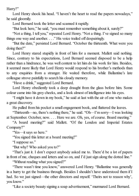Harry?"

Lord Henry shook his head. "I haven't the heart to read the papers nowadays," he said gloomily.

Lord Bernard took the letter and scanned it rapidly.

"But look here," he said, "you must remember something about it, surely?"

"Not a thing, I tell you," repeated Lord Henry. "Not a thing. I've signed so many things one way and another. . . ." His voice trailed off despairingly.

"But the date," persisted Lord Bernard. "October the thirteenth. What were you doing then?"

Lord Henry stared stupidly in front of him for a moment. Mallett said nothing. Since, contrary to his expectations, Lord Bernard seemed disposed to be a help rather than a hindrance, he was well content to let him do his work for him. Besides, it seemed more likely that Lord Henry would respond to his brother's methods than to any enquiries from a stranger. He waited therefore, while Ballantine's late colleague strove painfully to search his cloudy memory.

"Have a drink," suggested Lord Bernard.

Lord Henry obediently took a deep draught from the glass before him. Some colour came into his grey cheeks, and a look almost of intelligence into his eyes.

"I might have it down in my book," he said at last with the air of one who makes a great discovery.

He pulled from his pocket a small engagement book, and fluttered the leaves.

"Thirteenth—no, there's nothing there," he said. "Oh—I'm sorry—I was looking at September. October, now. . . . Here we are. Oh, yes, of course. Board meeting."

"A board meeting?" said Mallett. "Of the London and Imperial Estates Company?"

"Yes—it says so here."

"You signed this letter at a board meeting?"

"I suppose so."

"But why? Who asked you to?"

"That's just it. I don't expect anybody asked me to. There'd be a lot of papers in front of me, cheques and letters and so on, and I'd just sign along the dotted line."

"Without reading what you signed?"

"There wasn't time you know," answered Lord Henry. "Ballantine was generally in a hurry to get the business through. Besides I shouldn't have understood them if I had. So we just signed—the other directors and myself. 'Theirs not to reason why', you know."

"Like a society beauty signing a soap advertisement," murmured Lord Bernard.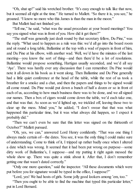"Oh, shut up!" said his wretched brother. "It's easy enough to talk like that now, but it seemed all right at the time." He turned to Mallett. "So there it is, you see," he groaned. "I know no more who this James is than the man in the moon."

But Mallett had not finished yet.

"Tell me," he said, "what was the usual procedure at your board meetings? You say you signed what was in front of you. How did it get there?"

"The stuff was generally just dealt round by that secretary fellow, Du Pine," was the reply. "What used to happen as a rule was this: we'd all go into the board room and sit round a long table, Ballantine at the top with a wad of papers in front of him, and Du Pine at his elbow, with another wad. Well, we'd have the minutes of the last meeting—you know the sort of thing—and then there'd be a lot of resolutions. Ballantine would propose something, Hartigan usually seconded, and we'd all say 'Aye'. There was hardly ever any discussion that I can remember. Du Pine would note it all down in his book as it went along. Then Ballantine and Du Pine generally had a little quiet conference at the head of the table, while the rest of us took a breather for a smoke and a chat, and then the papers and things to be signed would all come round. Du Pine would put down a bunch of half a dozen or so in front of each of us, according to how much business there was to be done, and we allsigned our names. Then a box of cigars would come down the table, we'd each take one, and that was that. As soon as we'd lighted up, we trickled off, leaving those two to clear up the mess. Mind you," he added, "I don't swear that that was what happened this particular time, but it was what always did happen, so I expect it probably did."

"Then we can't even be sure that this letter was signed on the thirteenth of October?" Mallett pursued.

"Oh, yes, we can," answered Lord Henry confidently. "That was one thing I always made certain of—the dates. You see, it was the only thing I could make sure of understanding. Come to think of it, I tripped up rather badly once when I altered a date which was wrong. It seemed that it had been put wrong on purpose—some dirty work of Ballantine's, I suppose—and my putting it right again messed the whole show up. There was quite a stink about it. After that, I don't remember getting one that wasn't dated correctly."

"Only one more question," said the inspector. "All these documents which were put before you for signature would be typed in the office, I suppose?"

"Lord, yes! We had hosts of girls. Some jolly good lookers among 'em, too."

"Then you ought to be able to find the machine that typed this particular letter," put in Lord Bernard.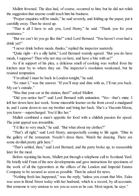Mallett frowned. The idea had, of course, occurred to him, but he did not relish the suggestion that anyone could teach him his business.

"Proper enquiries will be made," he said severely, and folding up the paper, put it carefully away. Then he stood up.

"That is all I have to ask you, Lord Henry," he said. "Thank you for your assistance."

"But we can't let you go like this!" cried Lord Bernard. "You haven't even had a drink yet!"

"I never drink before meals, thanks," replied the inspector austerely.

"Quite right—it's a silly habit," Lord Bernard warmly agreed. "But you do have meals, I suppose? Then why not stay on here, and have a bite with us?"

As if in support of his plea, a delicious smell of cooking was wafted from the kitchen near by to where they sat. The inspector's resolution weakened, but he resisted temptation.

"I'm afraid I must be back in London tonight," he said.

"So must I," was the answer. "If you'll stop and dine with us, I'll run you back. My car's outside."

"Was that your car at the station, then?" asked Mallett.

"Did you notice her?" said Lord Bernard with animation. "Yes—that's mine. I left her down here last week. Some miserable learner on the front caved a mudguard in, and I came down to see my brother and bring her back. She's a Visconti-Sforza, you know—supercharged. You'd like her."

Mallett combined a man's appetite for food with a childish passion for speed. The joint appeal was irresistible.

"I'd like to very much," he said. "But what about my clothes?"

"That's all right," said Lord Henry, unexpectedly coming to life again. "Dine in the gallery of the restaurant. Needn't dress there. Watch the dancing. There are some devilish pretty girls here."

"That's settled, then," said Lord Bernard, and the party broke up, to reassemble later for the meal.

Before rejoining his hosts, Mallett put through a telephone call to Scotland Yard. He briefly told Frant of the new developments and gave instructions for specimens of the work of all the typewriters at the offices of the London and Imperial Estates Company to be secured as soon as possible. Then he asked for news.

"Nothing fresh has happened," was the reply, "unless you count that Mrs. Eales was seen in Bond Street today with her husband, which is a record, by all accounts. But someone is very anxious to see you as soon as he can. Most urgent, he says."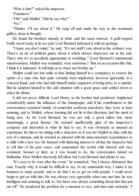"Who is that?" asked the inspector.

"Fanshawe."

"Oh!" said Mallett. "Did he say why?"

"No."

"Thanks. I'll see about it." He rang off and made his way to the restaurant gallery, deep in thought.

He found the brothers already at table, and the meal ordered. A gold-topped bottle stood ready in its ice-pail. Lord Bernard indicated it with an apology.

"I hope you don't mind," he said. "It's not stuff I care about in the ordinary way. There's an air of artificial gaiety about it which always depresses me in the end. That's why it's so peculiarly appropriate at weddings." (Lord Bernard's matrimonial misadventures, Mallett was reminded, were notorious.) "But on an occasion like this, I think it is indicated. It will help us to cheer my brother up."

Mallett could not but smile at thus finding himself in a conspiracy to restore the spirits of a man who had quite certainly been implicated, however ignorantly, in a colossal fraud, and who had laid himself under suspicion of being privy to a murder. But he adapted himself to the odd situation with a good grace and settled down to enjoy his dinner.

It did not prove difficult. Lord Henry, as his brother had predicted, brightened considerably under the influence of the champagne, and if his contributions to the conversation consisted mainly of somewhat scabrous anecdotes, they were at least amusing, and to Mallett, whose learning did not lie in that direction, had the merit of being new. As for Lord Bernard, he was not only a good talker but, more surprisingly, a good listener. He seemed unaffectedly glad of the inspector's company and interested in what he had to say. It was obviously as unusual an experience for him to be dining with a detective as it was for Mallett to dine with the son of a marquis, and he seemed as pleased with his unaccustomed acquaintance as a child with a new toy. He listened with flattering interest to all that the inspector had to tell him of his past cases, and punctuated the recital with shrewd and racy comment. Sooner or later, as it was bound to do, the conversation turned on Ballantine. Here Mallett discreetly fell silent, but Lord Bernard had plenty to say.

"It's easy to be wise after the event," he remarked, "but I always distrusted that man. Exactly why, it would be difficult to say. In my amateurish way, I make it my business to study people, and to do that I try to get on with people. I could never begin to get on with him. He was always very agreeable when one met him, he was intelligent and amusing to talk to, but there was always something about him that put me off." He pondered the problem for a moment or two, and then said seriously: "I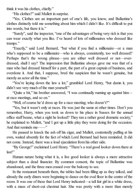think it was his clothes, chiefly."

"His clothes?" said Mallett in surprise.

"Yes. Clothes are an important part of one's life, you know, and Ballantine's clothes distinctly told me something about him which I didn't like. It's difficult to put into words, but there it is."

"Surely", said the inspector, "one of the advantages of being very rich is that you can wear exactly what you like. I've heard of lots of millionaires who dressed like tramps."

"Exactly," said Lord Bernard, "but what if you find a millionaire—or a man who's supposed to be a millionaire—who is always, consistently, too well dressed? Perhaps that's the wrong phrase—you are either well dressed or not—overdressed, shall I say? The impression that Ballantine always gave me was that of a man who had dressed himself for a part, the part of a great captain of business, and overdone it. And that, I suppose, bred the suspicion that he wasn't genuine, but merely an actor all the time."

"You're laying down the law a lot," grumbled Lord Henry, "but damn it, you didn't see very much of the man yourself."

"Quite a bit," his brother answered, "I was continually running up against him at race meetings, and so on."

"Well, of course he'd dress up for a race meeting; who doesn't?"

"Yes, but it wasn't only at races. He was just the same at other times. Don't you remember, Harry, when you took us down to his place in Sussex for the annual office staff beano, what a sight he looked? They ran a rather good dramatic society," he explained to Mallett, "and I got up a little play they were doing for the occasion. And that reminds me<sup>201</sup>

He paused to knock the ash off his cigar, and Mallett, contentedly puffing at his own, waited absently for the fact of which Lord Bernard had been reminded. It did not come. Instead, there was a loud ejaculation from his other side.

"By George!" exclaimed Lord Henry. "There's a real good looker down there at last!"

Human nature being what it is, a live good looker is always a more attractive subject than a dead financier. By common consent, the topic of Ballantine was abandoned, and the three men craned over the balcony to see.

In the restaurant beneath them, the tables had been filling up as they talked, and already the early diners were beginning to dance on the oval floor in the centre of the room. It was one of these that Lord Henry indicated—a tall fair girl in a white dress, with a mass of short-cut chestnut hair. She was pretty with a more than merely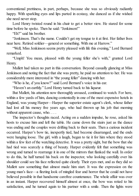conventional prettiness, in part, perhaps, because she was so obviously radiantly happy. With sparkling eyes and lips parted in ecstasy, she danced as if she wished she need never stop.

Lord Henry twisted round in his chair to get a better view. He stared for some time before he spoke. Then he said: "Jenkinson!"

"Eh?" said his brother.

"Jenkinson. That's the name. Couldn't get my tongue to it at first. Her father lives near here. Retired soldier—general or something. With me at Harrow."

"Well, Miss Jenkinson seems pretty pleased with life this evening," Lord Bernard remarked.

"Umph! You mean, pleased with the young feller she's with," grunted Lord Henry.

Mallett had taken no part in this conversation. Beyond casually glancing at Miss Jenkinson and noting the fact that she was pretty, he paid no attention to her. He was considerably more interested in "the young feller" dancing with her.

"Who is he, d'you know?" said Lord Bernard's voice in his ear.

"Haven't an earthly." Lord Henry turned back to his liqueur.

But Mallett, his attention now thoroughly aroused, continued to watch. For here, within a few yards of him, dancing contentedly in one of the most expensive hotels in England, was young Harper—Harper the superior estate agent's clerk, whose father had lost all his money five years ago, who had thrown up his job that morning without apparent cause, who. . . .

The inspector's thoughts raced. Acting on a sudden impulse, he rose, asked his hosts to excuse him and left the table. He came down the stairs just as the dance was ending and the couples were drifting back to their seats. Then a curious incident occurred. Harper's bow tie, inexpertly tied, had become disarranged, and the ends were hanging loose. The girl, with a laugh, began to tie it for him where they stood within a few feet of the watching detective. It was a pretty sight, but the bow that she had tied was scarcely a thing of beauty. Harper evidently felt that something was wrong and turned to rearrange it in one of the mirrors that flanked the wall. In order to do this, he half turned his back on the inspector, who looking carefully over his shoulder could see his face reflected quite clearly. Their eyes met, and as they did so Mallett saw something that almost made him start. It was the expression on the young man's face—a fleeting look of mingled fear and horror that he could not have believed possible in that handsome carefree countenance. The whole affair was over in an instant. Harper recovered himself almost at once, the bow was retied to his satisfaction, and he turned again to his partner with a smile. Then the lights were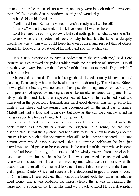dimmed, the orchestra struck up a waltz, and they were in each other's arms once more. Mallett remained in the shadows, staring and wondering.

A hand fell on his shoulder.

"Well," said Lord Bernard's voice. "If you're ready, shall we be off?"

"Thanks," Mallett answered. "I think I've seen allI want to here."

Lord Bernard raised his eyebrows, but said nothing. It was characteristic of him not to ask what the inspector had seen, or why he had left the table so abruptly. Clearly he was a man who could keep his own counsel and respect that of others. Silently he followed his guest out of the hotel and into the waiting car.

"It's a new experience to have a policeman in the car with me," said Lord Bernard as they passed the pylons which mark the boundary of Brighton. "Up till now they've always been on the other side of the fence, so to speak. D'you mind if I let her out a bit?"

Mallett did not mind. The rush through the darkened countryside over a road gleaming fantastically white in the headlamps was exhilarating. The Visconti-Sforza, he was glad to observe, was not one of those pseudo-racing cars which seek to give an impression of speed by making a noise like an old-fashioned aeroplane. It ran silkily, silently—and fast. The inspector leaned back in his cushioned seat and luxuriated in the pace. Lord Bernard, like most good drivers, was not given to talk while at the wheel, and the journey was accomplished for the most part in silence. Mallett had had a long and tiring day, but now as the car sped on, he found his thoughts speeding too, as though to keep up with it.

He concentrated his mind on the mysterious letter of recommendation to the bank, which had brought him down to Brighton. In a sense, he had been disappointed, in that the signatory had been able to tell him next to nothing about it. But was it really such a disappointment after all? He had never suspected—no sane person ever would have suspected—that the amiable nobleman he had just interviewed would prove to be concerned in the murder of the man whose innocent tool he had been. Nobody, of course, could be wholly exempt from suspicion in a case such as this, but, so far as he, Mallett, was concerned, he accepted without reservation his account of the board meeting and what went on there. And that account was, after all, of considerable value. It meant that somebody in the London and Imperial Estates Office had successfully endeavoured to get a director to vouch for Colin James. It seemed clear that most of the board took their duties as lightly as Lord Henry, and it was probably the merest chance that it was his signature that happened to appear on the letter. His mind went back to Lord Henry's description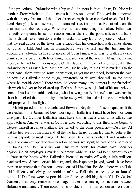of the procedure—Ballantine with a big wad of papers in front of him, Du Pine with another. From which set of documents had this one come? He toyed for a moment with the theory that one of the other directors might have contrived to shuffle it into Lord Henry's pile unobserved, but dismissed it as improbable. Remained then, the chairman and the secretary. Whichever it was, one thing was clear. Either was perfectly competent himself to recommend a client to the good offices of a bank. That it should have been done in this roundabout way led to only one conclusion that the real author of the letter was anxious that his connection with James should not come to light. And this, he remembered, was the first time that his name had appeared at all—the birth, so to speak, of Colin James, who was to walk away into blank space a bare month later along the pavement of the Avenue Magenta, leaving a corpse behind him in Kensington. On the face of it, it did not seem probable that Ballantine had assisted him. Men are not usually privy to their own murder. On the other hand, there must be some connection, as yet unestablished, between the two, or how did Ballantine come to go, apparently of his own free will, to the house where he met his death? There were, he knew, many dark corners in the financier's life which had yet to be cleared up. Perhaps James was a jackal of his and privy to some of his less reputable activities, who knowing that Ballantine's time was running short had seized the opportunity to make away with him and with the spoil which he had prepared for his flight?

Mallett pulled at his moustache and frowned. No, that didn't seem quite to fit the case either. For if James had been working for Ballantine it must have been for some time past. By October Ballantine must have known that a crisis in his affairs was approaching. And yet it was in October that, according to this theory, he began to interest himself in James's affairs. He turned to the other possibility—Du Pine. All that he had seen of the man and all that he had heard of him led him to believe that he was capable of most things. He had been Ballantine's confidant and assistant in large and complex operations—therefore he was intelligent; he had been a partner to his frauds, therefore unscrupulous. But what could his motive have been for engineering his employer's murder? Scarcely robbery. If he had been anxious to get a share in the booty which Ballantine intended to make off with, a little judicious blackmail would have served his turn, and, the inspector judged, would have been more in character than the brutal expedient of killing him. Besides, there was still the initial difficulty of solving the problem of how Ballantine came to go to James's house. If Du Pine were responsible for James establishing himself in Daylesford Gardens, that only removed one stage further the missing connection between Ballantine and James. There could be no doubt, from his demeanour at the inquest,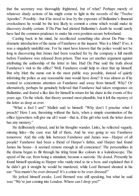that the secretary was thoroughly frightened, but of what? Perhaps merely of whatever shady actions of his might come to light in the records of the "Twelve Apostles". Possibly—but if he stood to lose by the exposure of Ballantine's financial crookedness he would be the less likely to commit a crime which would make its discovery doubly certain. If Du Pine had plotted Ballantine's death he would surely have had the common prudence to make his own position secure beforehand.

Casting back in his mind, he recollected something else about Du Pine—his dramatic introduction of the name of Fanshawe at the inquest. Was it a blind? Ifso, it was a singularly unskilful one. For he must have known that the police would not be long in discovering that James had been vouched for by the company a full month before Fanshawe was released from prison. That was yet another argument against attributing the authorship of the letter to him. Had Du Pine said the truth about Fanshawe's visit to the office? Well, Fanshawe could help to clear that up himself. But why blurt the name out in the most public way possible, instead of quietly informing the police as any reasonable man would have done? It was almost as if he wanted to concentrate attention on Fanshawe and away from himself. Why? Or alternatively, perhaps he genuinely believed that Fanshawe had taken vengeance on Ballantine, and feared a like fate for himself in return for his share in the events of five years ago. On the whole, that theory seemed most plausible, but it left the mystery of the letter as deep as ever.

"What a fool I am!" Mallett said to himself. "Why don't I practise what I preach? Here I am, theorizing without the facts, when a simple examination of the office typewriters will give me all I want—that is, if the girl who took the letter down has any memory."

He deliberately relaxed, and let his thoughts wander. Links, he reflected vaguely, missing links—the case was full of them. And he was going to see Fanshawe tomorrow. And the only link between Fanshawe and James was—Harper of all people! Fanshawe had been a friend of Harper's father, and Harper had found James his house—it seemed remote enough in all conscience! The personalities in the drama began to flit through his tiring brain like colours in a kaleidoscope. The speed of the car, from being a stimulant, became a narcotic. He dozed. Presently he found himself speaking to Harper who vainly tried to tie a bow, and explained that if he didn't get it straight he would be murdered, while Lord Bernard shouted in his ear: "You mustn't be over-dressed! It's a crime to be over-dressed!"

He jerked himself awake. Lord Bernard was still speaking, but what he said was: "We're just coming into London. Where can I drop you?"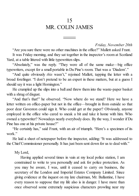## 15 MR. COLIN JAMES

*Friday, November 20th*

"Are you sure there were no other machines in the office?" Mallett asked Frant. It was Friday morning, and they sat together in the inspector's room at Scotland

Yard, at a table littered with little typewritten slips.

"Absolutely," was the reply. "They were all of the same make—big office typewriters, except for a small portable in Du Pine's room. That was a 'Diadem'."

"And quite obviously *this* wasn't," rejoined Mallett, tapping the letter with a broad forefinger. "I don't pretend to be an expert in these matters, but at a guess I should say it was a light Hornington."

He crumpled up the slips into a ball and threw them into the waste-paper basket with a shrug of disgust.

"And that's that!" he observed. "Now where do we stand? Here we have a letter written on office-paper but not in the office—brought in from outside so that poor dear Gaveston could sign it. Who could get at the paper? Obviously, anyone employed in the office who cared to sneak a bit and take it home with him. Who owned a typewriter? Nowadays nearly everybody does. By the way, I wonder if Du Pine has one at his private house?"

"He certainly has," said Frant, with an air of triumph. "Here's a specimen of its work"

He laid a sheet of notepaper before the inspector, adding: "It was addressed to the Chief Commissioner personally. It has just been sent down for us to deal with."

My Lord,

Having applied several times in vain at my local police station, I am constrained to write to you personally and ask for police protection. As you may be aware, I was, until it ceased to carry on business, the secretary of the London and Imperial Estates Company Limited. Since giving evidence at the inquest on my late chairman, Mr. Ballantine, I have every reason to suppose that my life also is in danger. I have more than once observed some extremely suspicious characters prowling near my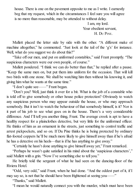house. There is one on the pavement opposite to me as I write. I earnestly beg that my request, which in the circumstances I feel sure you will agree is no more than reasonable, may be attended to without delay.

> I am, my lord. Your obedient servant, H. DU PINE.

Mallett placed the letter side by side with the other. "A different make of machine altogether," he commented. "Just look at the tail of the 'g's' for instance. Well, what do you suggest we do about this?"

"Take off our men, and put on uniformed constables," said Frant promptly. "The suspicious characters were our own people, of course."

Mallett pondered. "I think we can do better than that," he replied after a pause. "Keep the same men on, but put them into uniform for the occasion. That will kill two birds with one stone. We shall be watching him then without his knowing it, and giving him what he wants at the same time."

"I don't quite see——" Frant began.

"Don't you? Well, just think it over for a bit. What is the job of a constable who is told off to give somebody or other house police protection? Obviously to watch any suspicious person who may appear outside the house, or who may approach somebody. But it isn't to watch the behaviour of that somebody himself, is it? Nor is it part of his job to see what goes on in the house. There's a very considerable difference. And I'll tell you another thing, Frant. The average crook is apt to have a healthy respect for a plainclothes detective, but very little for the uniformed officer. He thinks of him as an ornament in the streets, just something to control traffic and arrest pickpockets, and so on. If Du Pine thinks he is being protected by ordinary flat-footed coppers he'll be much more likely to give himself away than if he's afraid he has a detective on his heels—that is if he has anything to give away."

"Certainly he hasn't done anything to give himself away yet," Frant remarked.

"Perhaps he wasn't quite satisfied in his mind about the 'suspicious characters'," said Mallett with a grin. "Now I've something else to tell you."

He briefly told the sergeant of what he had seen on the dancing-floor of the Riviera Hotel.

"Odd, very odd," said Frant, when he had done. "And the oddest part of it, if I may say so, is not that he should have been frightened at seeing you——"

"Thanks," said Mallett.

"I mean he would naturally connect you with the murder, which must have been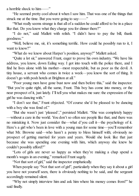a horrible shock to him——"

"He seemed pretty cool about it when I saw him. That was one of the things that struck me at the time. But you were going to say——"

"What really seems strange is that all of a sudden he could afford to be in a place like that. Do you know what they charge you for dinner there?"

"I do not," said Mallett with relish. "I didn't have to pay the bill, thank goodness."

"Well, believe me, sir, it's something terrific. How could he possibly run to it, I want to know?"

"What do we know about Harper's position, anyway?" Mallett asked.

"Quite a lot sir," answered Frant, eager to prove his own industry. "We have his address, you know, down Ealing way. I got into touch with the police there, and I find he lives alone with his mother—most respectable, but as poor as the devil. A tiny house, a servant who comes in twice a week—you know the sort of thing. It doesn't go with posh hotels at Brighton at all."

"Poor young men have gone bust now and then before this," said the inspector. "But you're quite right, all the same, Frant. This boy has come into money, or the near prospect of it, just lately. I'll tell you what makes me sure: the expression of the girl he was dancing with."

"I don't see that," Frant objected. "Of course she'd be pleased to be dancing with a boy she was fond of."

"But she wasn't just 'pleased'," persisted Mallett. "She was completely happy —without a care in the world. You don't so often see people like that, and there was no mistaking it. Now just consider the—what d'you call it—the psychology of it. Here's a girl who's been in love with a young man for some time—you'll remember what Mr. Browne said—who hasn't a penny to bless himself with; obviously no prospect of getting married for years and years. Would she look like that just because she was spending one evening with him, which anyway she knew he couldn't possibly afford?"

"Lots of girls are never so happy as when they're making a chap spend a month's wages in an evening," remarked Frant sagely.

"Not that sort of girl," said the inspector emphatically.

When people say "Not that sort of girl", particularly when they say it about a girl you have not yourself seen, there is obviously nothing to be said, and the sergeant accordingly remained silent.

"Why not simply interview him and ask him where his money comes from?" he said finally.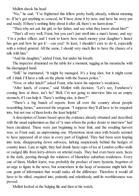Mallett shook his head.

"No," he said. "I've frightened this fellow pretty badly already, without meaning to. If he's got anything to conceal, he'll have done it by now, and have his story pat and ready. If there's nothing fishy about it after all, there's no harm done."

"Then why not ask the girl, or her father, and see what they know about him?"

"That's all very well, Frant, but you can't just stroll into a man's house, and say: 'I'm a police officer, and I want to know how much money your daughter's fiancé has got and how he got it'—can you? At least, I shouldn't care to do it, especially with a retired general. All the same, I should very much like to have the chance of a talk with him."

"And his daughter," added Frant, but under his breath.

The inspector drummed on the table for a moment, tugging at his moustache with his disengaged hand.

"Still," he murmured, "it might be managed. It's a long shot, but it might come off. I think I'll have a talk on the phone with the Sussex police."

"Now, or after lunch?" asked Frant, who knew his superior's weakness.

"After lunch, of course," said Mallett with decision. "Let's see, Fanshawe's coming here at three, isn't he? Well, I'm not going to interview him on an empty stomach, if I can help it. There's nothing else, is there?"

"There's a big bunch of reports from all over the country about people resembling James," answered the sergeant. "I suppose they'll all have to be enquired into, but not one of them looks the least helpful."

A description ofJames based upon the evidence already obtained and described with the usual euphemism as that of "a man whom the police desire to interview" had been circulated. These were just beginning to bear fruit, and the resulting harvest was, as Frant said, an unpromising one. Mysterious stout men with beards seemed to have appeared all at once in every part of England. They had been seen leaping into taxis, disappearing down subways, lurking suspiciously behind the hedges of country lanes. Late at night, they had drunk hasty cups of tea at London coffee-stalls or cadged lifts from lorry-drivers on arterial roads. They had even been seen, faces in the dark, peering through the windows of blameless suburban residences. Every one of them, Mallett knew, was probably the product of mere hysteria, begotten of an urge to figure in the news; but somewhere in the heap of nonsense might lurk the one grain of information that would make all the difference. Therefore it would all have to be sifted, enquired into, patiently and relentlessly, until its worthlessness was proved.

Mallett looked at the bulging file and then at his watch.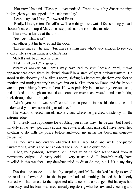"Not now," he said. "Have you ever noticed, Frant, how a big dinner the night before gives you an appetite for lunch next day?"

"I can't say that I have," answered Frant.

"Really, I have, often. I'm off now. These things must wait. I feelso hungry that I shouldn't care to stop if Mr. James stepped into the room this minute."

There was a knock at the door.

"Yes, yes, what is it?"

An officer put his head round the door.

"Excuse me, sir," he said, "but there's a man here who's very anxious to see you at once. He says his name is Colin James."

Mallett sank back into his chair.

"I take it all back," he gasped.

Whatever anxiety Mr. James may have had to visit Scotland Yard, it was apparent that once there he found himself in a state of great embarrassment. He stood in the doorway of Mallett's room, shifting his heavy weight from one foot to another, and turning watery blue eyes first on Mallett, then on Frant, and finally on a vacant spot midway between them. He was palpably in a miserably nervous state, and looked as though an incautious sound or movement would send him bolting back through the door again.

"Won't you sit down, sir?" cooed the inspector in his blandest tones. "I understand you have something to tell me?"

The visitor lowered himself into a chair, where he perched diffidently on the extreme edge.

"I—I really must apologize for troubling you in this way," he began, "but I feel it my duty in the *very* peculiar circumstances—it is all most unusual, I have never had anything to do with the police before and—but my name has been mentioned excuse me!"

His face was momentarily obscured by a large blue and white chequered handkerchief, while a sneeze exploded like a bomb in the quiet room.

"I beg your pardon," resumed Mr. James when his face reappeared from its momentary eclipse. "A nasty cold—a very nasty cold. I shouldn't really have travelled in this weather—my daughter tried to dissuade me, but I felt it my duty  $\overline{\phantom{a}}$ 

This time the sneeze took him by surprise, and Mallett ducked hastily to avoid the resultant shower. So far the inspector had said nothing. Indeed he had only listened with half an ear to the disjointed utterances of the stranger. But his eyes had been busy, and his brain was mechanically registering what he saw, and checking and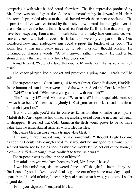comparing it with what he had heard elsewhere. The first impression produced by Mr. James was one of great size. As he sat, uncomfortably far forward in his chair, his stomach protruded almost to the desk behind which the inspector sheltered. The impression of size was reinforced by the bushy brown beard that straggled over his chest. But above the beard there showed itself not the fat florid face that one might have been expecting from a man of such bulk, but a peaky little countenance, with sunken cheeks and hollow eyes. His limbs, too, were by comparison thin. One wondered how such inadequate legs could support the burden of his body. "He looks like a thin man badly made up to play Falstaff," thought Mallett. He remembered Harper's words: "A fat man—or rather, paunchy. He had a big stomach and a thin face, as if he had a bad digestion."

Aloud he said: "Now let's take this quietly, Mr.—James. That is your name, I think?"

The visitor plunged into a pocket and produced a grimy card. "That's me," he said.

The inspector read: "Colin James, 14 Market Street, Great Easington, Norfolk." In the bottom left-hand corner were added the words: "Seed and Corn Merchant."

"Well?" he asked. "What have you got to do with this affair?"

"That's exactly it!" cried Mr. James. "What indeed? I'm a respectable man, sir, always have been. You can ask anybody in Easington, or for miles round—as far as Norwich if you like."

"But you thought you'd like to come as far as London to make sure," put in Mallett drily. Any hopes he had of hearing anything useful from the new arrival began to disappear. It seemed that Colin James in the flesh would prove to be no more value than the unsubstantial rumours which filled his files.

Mr. James blew his nose with a trumpet-like blast.

"I'm sorry if I've troubled you," he said sorrowfully. "I thought it right to come as soon as I could. My daughter told me it wouldn't be any good to anyone, but it seemed wrong not to. So as soon as my cold would let me get out of the house, I did"—he sniffed—"though I was hardly fit to travel as it was."

The inspector was touched in spite of himself.

"I'm afraid it is you who have been troubled, Mr. James," he said.

"I wouldn't mind that, sir," answered James, "if I thought I'd been of any use. But I can tell you, it takes a good deal to get me out of my home nowadays—quite apart from this cold of mine, I mean. My health isn't what it was, you know. I suffer a good deal——"

"From your digestion?" enquired Mallett.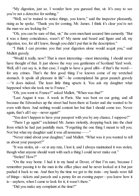"My digestion, just so. I wonder how you guessed that, sir. It's easy to see you're not a detective for nothing."

"Well, we're trained to notice things, you know," said the inspector pleasantly, rising as he spoke. "Thank you for coming, Mr. James. I think it's clear you're not the man we are looking for."

"Oh, you can be sure of that, sir," the corn merchant assured him earnestly. "But it was a funny coincidence, wasn't it? My name and beard and figure and all, my digestion, too, for all I knew, though you didn't put that in the description."

"I think I can promise you that your digestion alone would acquit you," said Mallett gravely.

"Would it really, now? That is most interesting—most interesting. I should never have thought of that. It just shows the way you gentlemen of Scotland Yard work. Well, all I can say is, in that case, I ought to have a good alibi—if that's the word for any crimes. That's the first good thing I've known come of my wretched stomach. It spoils all pleasure in life"—he contemplated his great paunch gravely —"it does indeed. The least little thing upsets it. You ask my daughter what happened when she took me to France."

"Oh, you went to France?" asked Mallett, "When was that?"

"Last August it was. A week in Paris. She was bent on our going, and all because the Edwardses up the street had been there at Easter and she wanted to be even with them. And nothing would content her but that I should come too. Never again, that's all I say—never again!"

"You don't happen to have your passport with you by any chance, I suppose?"

"There I go again!" exclaimed Mr. James violently, dropping back into the chair from which he had just painfully risen. "Forgetting the one thing I meant to tell you. Not but what my daughter said it was all nonsense——"

"Never mind about your daughter," said Mallett. "What was it you wanted to tell us about your passport?"

"It was stolen, sir—or at any rate, I lost it, and I always maintained it was stolen, though what anyone should want with such a thing I could never make out."

"Stolen? How?"

"On the way home. I had it in my hand at Dover, of that I'm sure, because I remember passing it to the man in the office place and he never looked at it but just pushed it back to me. And then by the time we got to the train—my hands were full of things—tickets and parcels and a penny for an evening paper—you know how it is—anyhow, when I came to look for it, it wasn't there."

"Did you make any complaint at the time?"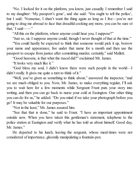"No. I looked for it on the platform, you know, just casually. I remember I said to my daughter: 'My passport's gone', and she said: 'You ought to tell the police', but I said: 'Nonsense, I shan't want the thing again as long as I live—you're not going to drag me abroad to face that dreadful cooking any more, you can be sure of that,' I said——"

"All this on the platform, where anyone could hear you, I suppose?"

"Just so, sir, I suppose anyone could, though I never thought of that at the time."

"You could hardly be expected to think that someone would pick it up, borrow your name and appearance, live under that name for a month and then use the passport to escape from justice after committing murder, certainly," said Mallett.

"Good heavens, is that what the rascal did?" exclaimed Mr. James.

"It looks very much like it."

"God bless my soul, I didn't know there were such people in the world—I didn't really. It gives me quite a turn to think of it."

"Well, you've given us something to think about," answered the inspector, "and we are much obliged to you. Now, Mr. James, to make everything regular, I'll ask you to wait here for a few moments while Sergeant Frant puts your story into writing, and then you can go back to nurse your cold at Easington. One other thing you can do for us," he added. "Do you mind if we take your photograph before you go? It may be valuable for our purposes."

"Not in the least," Mr. James assured him.

"See that that is done," he said to Frant. "I have an important appointment outside now. When you have taken this gentleman's statement, telephone to the police station at Easington and verify what he has told us about himself. Good day, Mr. James."

He departed to his lunch, leaving the sergeant, whose meal-times were not considered of importance, gloomily manipulating a fountain-pen.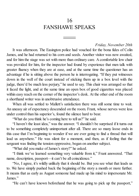## 16 FANSHAWE SPEAKS

## *Friday, November 20th*

It was afternoon. The Easington police had vouched for the bona fides of Colin James, and he had returned to his corn and seeds. Another visitor was now awaited, and for him the stage was set with more than ordinary care. A comfortable low chair was provided for him, for the inspector had found by experience that men talk with greater fluency when they are at ease, and at the same time the questioner has an advantage if he is sitting above the person he is interrogating. "If they put witnesses down in the well of the court instead of sticking them up in a box level with the judge, there'd be much less perjury," he used to say. This chair was arranged so that it faced the light, and at the same time an open box of good cigarettes was placed within easy reach on the corner of the inspector's desk. At the other end of the room a shorthand writer was in unobtrusive attendance.

When all was settled to Mallett's satisfaction there was still some time to wait. An uneasy air of expectancy descended on the room. Frant, whose nerves were less under control than his superior's, found the silence hard to bear.

"What do you think he's coming here to tell us?" he said.

"I haven't the least idea," was the answer. "I shouldn't be surprised if it turns out to be something completely unimportant after all. There are so many loose ends in this case that I'm beginning to wonder if we are ever going to find a thread that will lead us anywhere." He was silent for a moment, and then, as if feeling that the sergeant was finding the tension oppressive, began on another subject.

"What did you make of James's story?" he asked.

"I think we've learned something very valuable from it," Frant answered. "That name, description, passport—it can't be all coincidence."

"No, I agree, it's wildly unlikely that it should be. But you see what that leads us to. We have simply pushed back the beginning of the story a month or more further. It means that as early as August someone had made up his mind to impersonate Mr. James."

"He can't have known beforehand that he was going to pick up the passport,"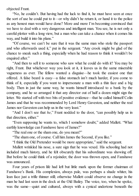objected Frant.

"No, he couldn't. But having had the luck to find it, he must have seen at once the sort of use he could put to it—or why didn't he return it, or hand it to the police as any honest man would have done? More and more I'm becoming convinced that we have to deal with a very dangerous and intelligent man. You see, he is not only a careful plotter with a long view, but a man who can take a chance when it comes his way, and build it into his plans."

"Of course, we can't be sure that it was the same man who stole the passport and who afterwards used it," put in the sergeant. "Any crook might be glad of the chance to sneak such a thing, especially when he had reason to think it wouldn't be enquired after."

"And then to sell it to someone who saw what he could do with it? You may be right, Frant. But whichever way you look at it, it leaves us in the same miserable vagueness as ever. The fellow wanted a disguise—he took the easiest one that offered. A false beard is easy—a false stomach isn't much harder, if you come to think of it, especially if you want to impersonate a man with a thin face and a big body. Then in just the same way, he wants himself introduced to a bank by the company, and he so arranged it that any director out of half a dozen might sign the letter. We started off with two bits of positive evidence—that he called himself Colin James and that he was recommended by Lord Henry Gaveston, and neither the real James nor Gaveston can help us in the very least."

"And I don't see that *he*," Frant nodded to the door, "can possibly help us in that direction, either."

"Even supposing he wants to, which I somehow doubt," added Mallett. "What earthly knowledge can Fanshawe have of James?"

"The real one or the sham one, do you mean?"

"The sham one, of course. Call him James the Second, if you like."

"I think the Old Pretender would be more appropriate," said the sergeant.

Mallett wrinkled his nose, a sure sign that he was vexed. His schooling had not included much history, and he felt obscurely that his subordinate was showing off. But before he could think of a rejoinder, the door was thrown open, and Fanshawe was announced.

Four years of prison life had left but little mark upon the former chairman of Fanshawe's Bank. His complexion, always pale, was perhaps a shade whiter, his lean face just a trifle thinner still; otherwise Mallett could observe no change in the man he had last seen in the dock at the Old Bailey. The voice, too, when he spoke, was the same—quiet and cultured, always with a cynical undertone beneath the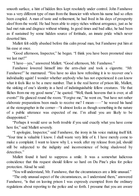smooth surface, a hint of hidden fires kept resolutely under control. John Fanshawe was a very different type of man from the financier with whom his name had so often been coupled. A man of taste and refinement, he had lived in his days of prosperity aloof from the world. He had been able to enjoy riches without arrogance, just as he had met ruin and disgrace without whining. In good times and bad alike, he had been as if sustained by some hidden source of fortitude, an innate pride which never deserted him.

Mallett felt oddly abashed before this calm proud man, but Fanshawe put him at his ease at once.

"Good afternoon, Inspector," he began. "I think you have been promoted since we last met?"

"I have—yes," answered Mallett. "Good afternoon, Mr. Fanshawe."

Fanshawe lowered himself into the arm-chair and took a cigarette. "*Mr.* Fanshawe!" he murmured. "You have no idea how refreshing it is to recover one's individuality again! I wonder whether anybody who has not experienced it can know what it feels like to be a mere number. That is the real horror of prison life, Mallett, the sinking of one's identity in a herd of indistinguishable fellow creatures. 'He that filches from me my good name'," he quoted. "Well, thank heavens that is over, at all events!" He glanced round the room. "Forgive me," he went on, "but have not rather elaborate preparations been made to receive me? I mean——" he waved his hand at the stenographer in the corner—"it almost looks as though something in the nature of a public utterance was expected of me. I'm afraid you are likely to be disappointed."

"Perhaps it would save us both trouble if you said exactly what you have come here for," said Mallett severely.

"I apologize, Inspector," said Fanshawe, the irony in his voice making itself felt. "Your time is valuable I know. I shall waste very little of it. I have merely come to make a complaint. I want to know why I, a week after my release from jail, should still be subjected to the indignity and inconvenience of being shadowed by detectives."

Mallett found it hard to suppress a smile. It was a somewhat ludicrous coincidence that this request should follow so hard on Du Pine's plea for police protection. Aloud he said:

"You will understand, Mr. Fanshawe, that the circumstances are a little unusual."

"The only unusual aspect of the circumstances, as I understand them," answered Fanshawe, "is that on leaving prison I was expressly exempted from the ordinary regulations about reporting to the police and so forth. I presume that you are aware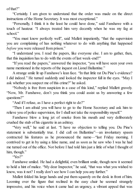of that?"

"Certainly. I am given to understand that the order was made on the direct instructions of the Home Secretary. It was most exceptional."

"Personally, I think it is the least he could have done," said Fanshawe with a touch of hauteur. "I always treated him very decently when he was my fag at school."

"You must know perfectly well", said Mallett impatiently, "that the supervision you are complaining of has nothing whatever to do with anything that happened *before* you were released from prison."

"I understand you. I read the papers, like everyone else. I am to gather, then, that this inquisition has to do with the events of last week-end?"

"If you read the papers," answered the inspector, "you will have seen your own name mentioned in the reports of the inquest on Lionel Ballantine."

A strange smile lit up Fanshawe's lean face. "In that little rat Du Pine's evidence? I did indeed." He turned suddenly and looked the inspector full in the eyes. "May I ask whether you suspect me of this crime?" he asked.

"Nobody is free from suspicion in a case of this kind," replied Mallett gravely. "Now, Mr. Fanshawe, don't you think you could assist us by answering a few questions?"

"And if I refuse, as I have a perfect right to do?"

"Then I am afraid you will have to go to the Home Secretary and ask him to relieve you of police supervision, for I shall not take the responsibility myself."

Fanshawe blew a long jet of smoke from his mouth and very deliberately crushed the stub of his cigarette in an ashtray.

"Very well," he said at last. "I have no objection to telling you. Du Pine's statement is substantially true. I did call on Ballantine"—an involuntary spasm contracted his features as he pronounced the name—"last Friday morning. I contrived to get in by using a false name, and as soon as he saw who I was he had me turned out of the office. Not before I had told him just a little of what I thought of him, though."

"Yes?"

Fanshawe smiled. He had a delightful, even brilliant smile, though now it seemed to hold a hint of malice. "My dear Inspector," he said, "that was what you wished to know, was it not? I really don't see how I can help you any further."

Mallett folded his large hands and put them squarely on the desk in front of him. Looming over the figure that reclined in the easy chair he seemed strangely impressive, and his voice when it came had an urgency, a vibrant appeal that was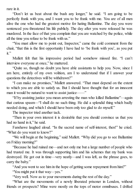rare in it.

"Don't let us beat about the bush any longer," he said. "I am going to be perfectly frank with you, and I want you to be frank with me. You are of all men alive the one who had the greatest motive for hating Ballantine. The day you were sentenced you threatened his life publicly. The day after you were released he was murdered. In the face of that you complain that you are watched by the police, while all the time you refuse to be frank with us."

"You must allow me to point out, Inspector," came the cold comment from the chair, "that this is the first opportunity I have had to 'be frank with you', as you put  $\mathbf{t}$ ."

Mallett felt that his impressive period had somehow missed fire. "I can't interview everyone at once," he muttered.

"Quite so, though no doubt you have able assistants to help you. Now, since I am here, entirely of my own volition, am I to understand that if I answer your questions the detectives will be withdrawn?"

"I can make no promises," Mallett answered. "That must depend on the extent to which you are able to satisfy us. But I should have thought that for an innocent man it would be natural to want to assist justice——"

"If by assisting justice you mean arresting the man who killed Ballantine"—again that curious spasm—"I shall do no such thing. He did a splendid thing which badly needed doing, and which I should have been only too glad to do myself."

The inspector tried another tack.

"Then in your own interest it is desirable that you should convince us that you had no hand in it," he said.

Fanshawe laughed aloud. "In the sacred name of self-interest, then!" he cried. "What do you want to know?"

"We will begin at the beginning," said Mallett. "Why did you go to see Ballantine on Friday morning?"

"Because he had ruined me—and not only me but a large number of people who had trusted me. It was through supporting him and his schemes that my bank was destroyed. He got out in time—very neatly—and I was left, as the phrase goes, to carry the baby."

"And you went to see him in the hope of getting some repayment from him?"

"You might put it that way—yes."

"Very well. Now as to your movements during the rest of the day."

"What are the movements of a newly liberated prisoner in London, without friends or prospects? Mine were mostly on the tops of motor omnibuses. I drifted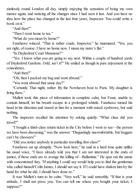aimlessly round London all day, simply enjoying the sensation of being my own master again, and noticing all the changes since I had seen it last. And you have no idea how the place has changed in the last four years, Inspector. You could write a book on it."

"And then?"

"Then I went home to tea."

"What do you mean by home?"

Fanshawe winced. "That is rather crude, Inspector," he murmured. "Yes, you are right, of course. I have no home now. I mean my sister's flat."

"In Daylesford Court Mansions?"

"Yes. I know what you are going to say next. Within a couple of hundred yards of Daylesford Gardens. Odd, isn't it?" He smiled as though in pure enjoyment at the coincidence.

"And then?"

"Oh, then I packed my bag and went abroad."

"You went abroad that same day?"

"Certainly. That night, rather. By the Newhaven boat to Paris. My daughter is living there."

Mallett took this piece of information in complete calm, but Frant, unable to contain himself, let his breath escape in a prolonged whistle. Fanshawe turned his head in his direction and stared at him for a moment with raised eyebrows, but said nothing.

The inspector recalled his attention by asking quietly: "What class did you trave<sup>l?"</sup>

"I bought a third-class return ticket in the City before I went to see—the person we have been discussing," was the answer. "Disgustingly uncomfortable, but beggars can't be choosers!"

"Did you notice anybody in particular travelling first-class?"

Fanshawe sat up abruptly. "Now look here," he said in a hard tone quite unlike his usual voice, "I have already told you that I am not interested in the ends of justice, if those ends are to avenge the killing of—Ballantine." He spat out the name with concentrated fury. "If anything I could say would help you to find the gentleman who called himself Colin James, I should not say it. If I could have shaken him by the hand for what he did, I should have done so."

It was Mallett's turn to be calm. "Very well," he said smoothly. "If that is your attitude, I shall not press you. You can tell me where you bought your ticket, I suppose?"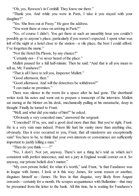"Oh, yes, Rawson's in Cornhill. They know me there."

"Thank you. And while you were in Paris, I take it you stayed with your daughter?"

"Yes. She lives out at Passy." He gave the address.

"You went there at once on arriving in Paris?"

"No, of course I didn't. You get there at such an unearthly hour you couldn't possibly go to anyone's place, particularly if you weren't expected. I spent what was left of the night at a hotel close to the station—a vile place, the best I could afford. I've forgotten the name."

"Not the Hotel Du Plessis, by any chance?"

"Certainly not—I've never heard of the place."

Mallett paused for a full half-minute. Then he said: "And that is all you mean to tell us, Mr. Fanshawe?"

"That is allI have to tell you, Inspector Mallett."

"Good afternoon, then."

"Good afternoon. And will the detectives be withdrawn?"

"I can make no promises."

There was silence in the room for a space after he had gone. The shorthand writer took his notes and went out to prepare a transcript of the interview. Mallett sat staring at the blotter on his desk, mechanically pulling at his moustache, deep in thought. Finally he turned to Frant.

"Well, and what did you make of him?" he asked.

"Obviously a very conceited man," answered the sergeant.

"Conceited? H'm, yes, and a good deal more than that. But you're right, Frant. He is a very vain man indeed. Prison life hurt his vanity more than anything else, obviously. Has it ever occurred to you, Frant, that all murderers are exceptionally vain? You have to be, to think that your own interests or convenience are sufficiently important to justify killing a man."

"Then do you think——?"

"No, I don't. Not yet, anyway. There's not a thing he's told us which isn't consistent with perfect innocence, and not a jury in England would convict on it. So anyway, our private beliefs don't matter."

"My own private belief, for what it's worth," said Frant, "is that Fanshawe was in league with James. I look at it this way: James, for some reason or another, disguises himself as—James. He lives in that disguise, very likely from August onwards—certainly for a month. He scrapes acquaintance with Ballantine—that may be presumed from the letter to the bank. All this time, he is waiting for Fanshawe's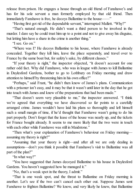release from prison. He engages a house through an old friend of Fanshawe's and has for his sole servant a man formerly employed by that old friend. Then immediately Fanshawe is free, he decoys Ballantine to the house——"

"Having first got rid of the dependable servant," interrupted Mallett. "Why?"

"That's natural enough. He didn't want a third person to be involved in the murder. I dare say he could trust him up to a point and not to give away his disguise, but letting him have a share in the crime is another thing."

"I see. Go on."

"Where was I? He decoys Ballantine to his house, where Fanshawe is already concealed. Together they kill him, leave the place separately, and travel over to France by the same boat but, for safety's sake, by different classes."

"If your theory is right," the inspector objected, "it doesn't account for one rather odd fact. Why did Fanshawe, who was in league with James to kill Ballantine in Daylesford Gardens, bother to go to Lothbury on Friday morning and draw attention to himself by threatening him in his own office?"

"Perhaps," said Frant, "he didn't then know of James's plans. Communication with a prisoner isn't easy, and it may be that it wasn't until later in the day that he got into touch with James and knew of the preparations that had been made."

"That doesn't seem very plausible to me," the inspector answered. "I think we're agreed that everything we have discovered so far points to a carefully arranged crime. James wouldn't have laid his plans so thoroughly and left himself such a small margin of time, if he'd thought that Fanshawe wasn't going to do his part properly. Don't forget that the lease of the house was nearly up, and the tickets for France bought already. It seems to me more likely that the two were in touch with each other while Fanshawe was still in Maidstone."

"Then what's your explanation of Fanshawe's behaviour on Friday morning assuming my theory is right?"

"Assuming that your theory is right—and after all we are only dealing in assumptions—don't you think it possible that Fanshawe's visit to Ballantine was all part of the plan?"

"In what way?"

"You have suggested that James decoyed Ballantine to his house in Daylesford Gardens. You haven't suggested how he managed it."

"No, that's a weak spot in the theory, I admit."

"That is one weak spot, and the threat to Ballantine on Friday morning is another. Let's see if the two can't cancel each other out. Suppose James sent Fanshawe to frighten Ballantine? We know, and very likely he knew, that Ballantine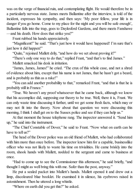was on the verge of financial ruin, and contemplating flight. He would therefore be in a particularly nervous state. James meets Ballantine after the interview, is told of the incident, expresses his sympathy, and then says: 'My poor fellow, your life is in danger if you go home. Come to my place for the night and you will be safe enough', Ballantine falls into the trap, goes to Daylesford Gardens, and there meets Fanshawe —and his death. How does that strike you?"

Frant rubbed his hands appreciatively.

"Magnificent!" he said. "That's just how it would have happened! I'm sure that's just how it did happen!"

"Quite," rejoined Mallett drily, "and how do we set about proving it?"

"There's only one way to do that," replied Frant, "and that's to find James."

Mallett smacked his desk in irritation.

"James, James, James!" he cried. "The crux of this whole case, and not a shred of evidence about him, except that his name is not James, that he hasn't got a beard, and is probably as thin as a rake!"

"You can add another probability to that," remarked Frant, "and that is that he is probably still in France."

"True. We haven't any proof whatsoever that he came back, although we know that his accomplice did, supposing our theory to be true. Well, there it is, Frant. We can only waste time discussing it further, until we get some fresh facts, which may or may not fit into the theory. Now about that question we were discussing this morning, I think I shall get on to the Sussex police and see if they can help us."

At that moment the house telephone rang. The inspector answered it. "Send him up," he said into the instrument.

"The Chief Constable of Dover," he said to Frant. "Now what on earth can he have to tell us?"

The head of the Dover police was an old friend of Mallett, who had collaborated with him more than once before. The inspector knew him for a capable, businesslike officer who was not likely to waste his time on trivialities. He came briskly into the room, shook hands with Mallett, nodded to the sergeant and came to business at once.

"Had to come up to see the Commissioner this afternoon," he said briefly, "and thought I might as well bring this with me. Safer than the post, anyway."

He put a sealed packet into Mallett's hands. Mallett opened it and drew out a limp, discoloured blue booklet. He examined it in silence, his eyebrows raised in astonishment. Then he uttered a long whistle.

"Where on earth did you get this?" he asked.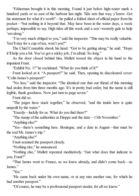"Fisherman brought it in this morning. Found it just below high-water mark a hundred yards or so east of the harbour last night. Tide sets that way, y'know. Got his statement for what it's worth"—he pulled a folded sheet of official paper from his pocket—"but nothing in it beyond that. May have been in the water days, a week perhaps, impossible to say. High tides all this week and a sou'-westerly gale to help 'em along."

"I'm very much obliged to you," said the inspector. "This may be really valuable. You'll stay for a cup of tea, won't you?"

The Chief Constable shook his head. "Got to be getting along," he said. "Hope it'll help you a bit. You've got a sticky job, I'm afraid. So long."

As the door closed behind him, Mallett tossed the object in his hand to the impatient Frant.

"Exhibit No. 1!" he exclaimed. "What do you think of it?"

Frant looked at it. "A passport?" he said. Then, opening its discoloured cover: "Colin James's passport!"

"No less," said the inspector. "The identical one that our friend of this morning had stolen from him three months ago. It's in pretty bad order, but the name is still legible, thank goodness. Now just turn to page seven."

Frant did so.

"The pages have stuck together," he observed, "and the inside here is quite unspoilt by the water."

"Exactly—luckily for us. What do you find there?"

"The stamp of the authorities at Dieppe and the date—13th November."

"Anything else?"

"Yes—there's something here. Boulogne, and a date in August—that must be the real Mr. James's trip."

"Anything else?"

Frant scanned the passport closely.

"Nothing else," he announced.

"Nothing else," Mallett repeated meditatively. "Just what does that indicate to you, Frant?"

"That James went to France, as we knew already, and didn't come back—as James."

"Yes."

"He came back under his own name, or at any rate another one, for which he had another passport."

"Of course, he may be a professional passport stealer, for all we know."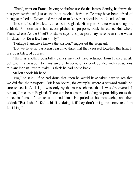"Then", went on Frant, "having no further use for the James identity, he threw the passport overboard just as the boat reached harbour. He may have been afraid of being searched at Dover, and wanted to make sure it shouldn't be found on him."

"In short," said Mallett, "James is in England. His trip to France was nothing but a blind. As soon as it had accomplished its purpose, back he came. But when, Frant, when? As the Chief Constable says, this passport may have been in the water for days—or for a few hours only."

"Perhaps Fanshawe knows the answer," suggested the sergeant.

"But we have no particular reason to think that they crossed together this time. It is a possibility, of course."

"There is another possibility. James may not have returned from France at all, but given his passport to Fanshawe or to some other confederate, with instructions to plant it on us, just to make us think he had come back."

Mallett shook his head.

"No," he said. "If he had done that, then he would have taken care to see that we did find the passport—left it on board, for example, where a steward would be sure to see it. As it is, it was only by the merest chance that it was discovered. I repeat, James is in England. There can be no more unloading responsibility on to the police in Paris. It's up to us to find him." He pulled at his moustache, and then added: "But I shan't feel a bit like doing it if they don't bring me some tea. I'm famishing!"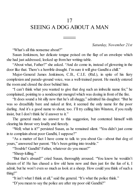## 17 SEEING A DOG ABOUT A MAN

*Saturday, November 21st*

"What's all this nonsense about?"

Susan Jenkinson, her delicate tongue poised on the flap of an envelope which she had just addressed, looked up from her writing-table.

"About what, Father?" she asked. "And do come in, instead of glowering in the door like that. There's a horrible draught. I'm sure it will give Gandhi a chill."

Major-General James Jenkinson, C.B., C.I.E. (Rtd.), in spite of his fiery complexion and parade-ground voice, was a well-trained parent. He meekly entered the room and closed the door behind him.

"I can't think what you wanted to give that dog such an imbecile name for," he complained, pointing to a nondescript mongrel which was dozing in front of the fire.

"It does sound a bit silly now that he's allshaggy," admitted his daughter. "But he was so dreadfully bare and naked at first, it seemed the only name for the poor darling. And it's a good name to shout, too. I'll try calling him Winston, if you really insist, but I don't think he'd answer to it."

The general made no answer to this suggestion, but contented himself with clearing his throat very loudly and fiercely.

"Well; what is it?" persisted Susan, as he remained silent. "You didn't just come in to complain about poor Gandhi, I suppose?"

"As a matter of fact I have come to talk to you about Ga—about that dog of yours," answered her parent. "He's been getting into trouble."

"Trouble? Gandhi? Father, whatever do you mean?"

"Sheep-killing."

"But that's absurd!" cried Susan, thoroughly aroused. "You know he wouldn't dream of it! He has chased a few old hens now and then just for the fun of it, I admit, but he won't even so much as look at a sheep. How could you think of such a thing?"

"It isn't what I think at all," said the general. "It's what the police think."

"D'you mean to say the police are after my poor old Gandhi?"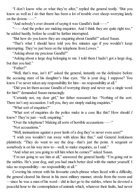"I don't know who or what they're after," replied the general testily. "But you know as well as I do that there has been a lot of trouble over sheep-worrying lately on the downs——"

"And nobody's ever dreamt of saying it was Gandhi's fault——"

"——And the police are making enquiries. And I think they are quite right too," he added hastily, before he could be further interrupted.

"But how do you know they are enquiring about Gandhi?" asked Susan.

"That's what I should have told you five minutes ago if you wouldn't keep interrupting. They've just been on the telephone from Lewes."

"Asking about my precious Gandhi?"

"Asking about a large dog belonging to me. I told them I hadn't got a large dog, but that you had."

"Father!"

"Well, that's true, isn't it?" asked the general, instantly on the defensive before the accusing stare of his daughter's blue eyes. "He is your dog, I suppose? You know I've never taken any responsibility for him—no responsibility at all."

"Did you let them accuse Gandhi of worrying sheep and never say a single word for him?" demanded Susan menacingly.

"Certainly not, my dear girl," her father reassured her. "Nothing of the sort. There isn't any accusation. I tell you, they are simply making enquiries."

"What sort of enquiries?"

"What sort of enquiries do the police make in a case like this? How should *I* know? They're just—well, enquiring."

"Over the telephone? Making allsorts of horrible accusations——"

"Not accusations."

"Well, insinuations against a poor lamb of a dog they've never even seen?"

"I wish you wouldn't run away with ideas like that," said General Jenkinson plaintively. "They do want to see the dog—that's just the point. A sergeant or somebody is on his way now to—well, to make enquiries, as I said."

"And what are you going to tell him when he comes?" asked Susan.

"I'm not going to see him at all," answered the general hastily. "I'm going out to the stables. He's your dog, and you had much better deal with the matter yourself. I take no responsibility—no responsibility at all."

Covering his retreat with his favourite catch-phrase when faced with a difficulty, the general cleared his throat in his most military manner, strode from the room and —since he was a man of his word—did in fact go to the stables, where he devoted a peaceful hour to the contemplation of animals which, whatever their faults, had never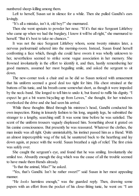numbered sheep-killing among them.

Left to herself, Susan sat in silence for a while. Then she pulled Gandhi's ears lovingly.

"It's all a mistake, isn't it, old boy?" she murmured.

Then she went upstairs to powder her nose. "If it's that nice Sergeant Littleboy who came up when we had the burglary, I know it will be all right," she murmured to herself. "But it's best to take no chances."

It was not the nice Sergeant Littleboy whom, some twenty minutes later, a nervous parlourmaid ushered into the morning-room. Instead, Susan found herself confronting a face which, though she could have sworn it was wholly unknown to her, nevertheless seemed to strike some vague association in her memory. She frowned involuntarily in the effort to identify it, and then, hastily remembering her good manners, assumed her most beguiling smile, and asked the sergeant to sit down.

The new-comer took a chair and as he did so Susan noticed with amusement that his uniform seemed a good deal too tight for him. His chest strained at the buttons of his tunic, and his breath came somewhat short, as though it were impeded by the neck-band. She longed to tell him to undo it, but feared to ruffle his dignity. "I expect he got a bit warm bicycling up from Lewes," she thought, for her windows overlooked the drive and she had seen his arrival.

While these thoughts flitted through his mistress's head, Gandhi conducted his own inspection. Rising in leisurely fashion to his long, ungainly legs, he submitted the stranger to a lengthy, searching sniff. It was some time before he was satisfied. The scent of the uniform trousers vaguely displeased him. Something about it grated on his canine consciousness. But presently he was reassured. Whatever the clothes, the man inside was all right. Quite unmistakably, his instinct passed him as a friend. With an almost imperceptible wag of the tail, he sauntered back to the hearthrug and lay down again, at peace with the world. Susan breathed a sigh of relief. The first crisis was safely over.

She caught the sergeant's eye, and found that he was smiling. Involuntarily she smiled too. Absurdly enough the dog which was the cause of all the trouble seemed to have made them friends already.

"Is that the animal, Miss?" he asked.

"Yes, that's Gandhi. Isn't he rather sweet?" said Susan in her most appealing manner.

"He *looks* harmless enough," was the guarded reply. Then, drawing some papers with an effort from the pocket of his close-fitting tunic, he went on: "I am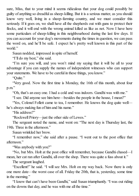sure, Miss, that to your mind it seems ridiculous that your dog could possibly be guilty of anything so dreadful as sheep-killing. But it is a serious matter, as you should know very well, living in a sheep-farming country, and we must consider this seriously. If it goes on, we shall have all the shepherds out with guns to protect their flocks, and it will end with the wrong animal killed as like as not. Now I have here some particulars of sheep-killing in this neighbourhood during the last few days. If you can account for your dog's movements during the times in question, we can pass the word on, and he'll be safe. I expect he's pretty well known in this part of the world"

Susan nodded, impressed in spite of herself.

"I'll do my best," she said.

"I'm sure you will, and you won't mind my saying that it will be all to your advantage if you can supply the names of independent witnesses who can support your statements. We have to be careful in these things, you know."

"Quite."

"Very good. Now the first time is Monday, the 16th of this month, about four p.m."

"Oh, that's an easy one. I had a cold and was indoors. Gandhi was with me."

"I see. Did anyone see him here—besides the people in the house, I mean?"

"Yes, Colonel Follett came to tea, I remember. He knows the dog quite well he's always making fun of him and his name."

"His address?"

"Rockwell Priory—just the other side of Lewes."

The sergeant noted the name, and went on: "The next day is Thursday last, the 19th. Three in the afternoon."

Susan wrinkled her brow.

"I remember now," she said after a pause. "I went out to the post office that afternoon."

"Was anybody with you?"

"No, but Mrs. Holt at the post office will remember, because Gandhi chased—I mean, her cat ran after Gandhi, all over the shop. There was quite a fuss about it."

The sergeant laughed.

"Excellent!" he said. "I will see Mrs. Holt on my way back. Now there is only one more date—the worst case of all. Friday the 20th, that is, yesterday, some time in the morning."

"I know that can't have been Gandhi," said Susan triumphantly. "I was out riding on the downs that day, and he was with me all the time."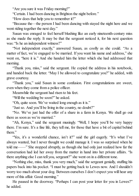"Are you sure it was Friday morning?"

"Certain. I had been dancing in Brighton the night before."

"How does that help you to remember it?"

"Because the—the person I had been dancing with stayed the night here and we went riding together the next day."

Susan was enraged to feel herself blushing like an early nineteenth-century miss as she made the reply. It may be that the sergeant noticed it, for his next question was: "Is he an independent witness?"

"Not independent exactly," answered Susan, as coolly as she could. "As a matter of fact, we're engaged to be married. If you want his name and address," she went on, "here it is." And she handed him the letter which she had addressed that morning.

"Thank you, miss," said the sergeant. He copied the address in his notebook, and handed back the letter. "May I be allowed to congratulate you?" he added, with grave courtesy.

"Thank you," said Susan in some confusion. First congratulations are sweet, even when they come from a police officer.

Meanwhile the sergeant had risen to his feet.

"Will the wedding be soon?" he asked.

"Oh, quite soon. We've waited long enough as it is."

"Just so. And you'll be living in the country, no doubt?"

"No. We've just had the offer of a share in a farm in Kenya. We shall go out there as soon as we're married."

"Ah, Kenya," said the sergeant musingly. "Well, I hope you'll be very happy there. I'm sure. It's a fine life, they tell me, for those that have a bit of capital behind them"

"Yes, it's a wonderful chance, isn't it?" said the girl eagerly. "It's what I've always wanted, but I never thought we could manage it. I was so surprised when he told me——" She stopped abruptly, as though she had only just realized how far the conversation had led her away from the matter in hand into her private affairs. "Is there anything else I can tell you, sergeant?" she went on in a different tone.

"Nothing else, miss, thank you very much," said the sergeant genially, stuffing his papers back into his pocket. "I must be getting back to Lewes now. And I shouldn't worry too much about your dog. Between ourselves I don't expect you will hear any more of this affair. Good morning."

He paused in the doorway. "Perhaps I can post your letter for you in Lewes?" he added.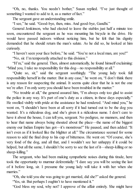"Oh, no, thanks. You needn't bother," Susan replied. "I've just thought of something I wanted to add to it, as a matter of fact."

The sergeant gave an understanding smile.

"I see," he said. "Good-bye, then, miss. And good-bye, Gandhi."

General Jenkinson, who had elected to leave the stables just half a minute too soon, encountered the sergeant as he was mounting his bicycle in the drive. He would have passed indoors without noticing him, but he felt that his dignity demanded that he should return the man's salute. As he did so, he looked at him curiously.

"I haven't seen your face before," he said. "You're not a local man, are you?"

"No, sir. I'm temporarily attached to this division."

"H'm," said the general. Then, almost automatically, he found himself exclaiming: "Mind you, I take no responsibility for this dog—no responsibility at all."

"Quite so, sir," said the sergeant soothingly. "The young lady took full responsibility herself in the matter. But in any case," he went on, "I don't think there is any reason for suspecting the animal. It seems quite clear that he is not the one we're after. I'm only sorry you should have been troubled in the matter."

"No trouble at all," the general assured him, "I'm always only too glad to assist the police in any way. It's part of one's duty as a citizen, in these days especially." He swelled visibly with pride at the assistance he had rendered. "And mind you," he went on, "I shouldn't have been at all sorry if it had turned out to be the dog you wanted. It's a ridiculous dog, and she's given it a ridiculous name. I don't care to have it about the house, I can tell you, sergeant. No pedigree, no manners, and then to hear that name always being shouted about the place—the name of the biggest enemy our Indian Empire has got—it's monstrous!" He paused, and then added: "It isn't even as if it looked like the blighter at all." The circumstance seemed for some reason to add the final drop to his cup of bitterness. He went on: "Of course, she's very fond of the dog, and all that, and I wouldn't see her unhappy if it could be helped, but all the same, I shouldn't be sorry to see the last of it—sheep-killing or no sheep-killing."

The sergeant, who had been making sympathetic noises during this tirade, here took the opportunity to murmur deferentially: "I dare say you will be seeing the last of it before long, sir. I presume the young lady will take it with her when she marries."

"Oh, she told you she was going to get married, did she?" asked the general.

"Yes, sir. But perhaps I oughtn't to have mentioned it."

"God bless my soul, why not? I approve of the affair entirely. She might have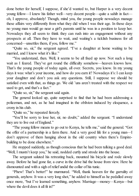done better for herself, I suppose, if she'd wanted to, but Harper is a very decent young fellow—I knew his father well—very decent people—quite a sahib in fact oh, I approve, absolutely! Though, mind you, the young people nowadays manage these affairs very differently from what they did when I was their age. In those days no young man would go near a girl's parents until he was in a position to keep her. Nowadays they all seem to think they can rush into an engagement without any prospects at all. Then they have to wait, and waiting's a ticklish business for all concerned—unsettles them, if you, follow me."

"Quite so, sir," the sergeant agreed. "I've a daughter at home waiting to be married, and I know what it's like."

"You understand, then. Well, it seems to be all fixed up now. Not such a long wait as I feared. They've got round the difficulty somehow—heaven knows how. That's the young people of today again, all over. Secrets, you know. In my young days it was: what's your income, and how do you earn it? Nowadays it's: I can keep your daughter and don't you ask any questions. Still, I suppose we should be satisfied even with that, as things go. We old 'uns aren't treated with the respect we used to get, and that's a fact."

"Quite so, sir," the sergeant said again.

The general looked up, quite surprised to find that he had been addressing a policeman, and not, as he had imagined in the oblivion induced by eloquence, a crony in his club.

"Quite so," he repeated fiercely.

"You'll be sorry to lose her, sir, no doubt," added the sergeant. "I understand they are to live out of England."

"The young fellow means to go out to Kenya, he tells me," said the general. "Got the offer of a partnership in a farm there. And a very good life for a young man—I don't approve of them hanging about in the old country when there's Empirebuilding to be done elsewhere."

He stopped suddenly, as though conscious that he had been talking a good deal. "Well, I mustn't keep you," he said, nodded curtly and strode into the house.

The sergeant saluted his retreating back, mounted his bicycle and rode slowly away. Before he had gone far, a curve in the drive hid the house from view. Here he dismounted and with a sigh of relief undid the collar of his tunic.

"Phew! That's better!" he murmured. "Well, thank heaven for the garrulity of generals, anyhow. It was a very long shot," he added to himself as he pedalled away once more, "but I've learned something, anyhow. Marriage—money—Kenya—but where the devil does it all fit in?"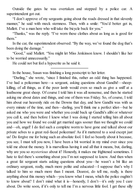Outside the gates he was overtaken and stopped by a police car. A superintendent got out.

"I don't approve of my sergeants going about the roads dressed in that slovenly manner," he said with mock sternness. Then, with a smile: "You'd better get in, Mallett. I've a man here who will take the bicycle back for you."

"Thanks," was the reply. "I've worn these clothes about as long as is good for them."

In the car, the superintendent observed: "By the way, we've found the dog that's been doing the damage."

"Good," said Mallett. "You might let Miss Jenkinson know. I shouldn't like her to be worried unnecessarily."

He could not but feel a hypocrite as he said it.

In the house, Susan was finishing a long postscript to her letter.

"Darling," she wrote, "since I finished this, rather an odd thing has happened. I've had a policeman here—a sergeant, asking questions about Gandhi!—sheepkilling, of all things, as if the poor lamb would even so much as give a sniff at a loathsome great sheep. Of course I told him it was all nonsense, and then he started asking me about dates and things, and one of them was Friday. So, of course, I told him about our heavenly ride on the Downs that day, and how Gandhi was with us every minute of the time, and then—darling, you'll think me a perfect idiot—but he asked me who you were and whether you could back up Gandhi's alibi or whatever you call it, and then before I knew what I was doing I started telling him all about you and how we found we could get married ages sooner than we thought we could and—oh, angel! I do feel such a complete worm to have gone and talked about our private selves to a great red-faced policeman! As if it mattered to a soul except just us! Do forgive me for being such an absolute fool. I feelso beastly about it because, you see, I must tell you now, I have been a bit worried in my mind ever since you told me about the money. It is marvellous having it and all that it means, but, darling, why are you so *mysterious* about it? Honestly, it makes me frightened sometimes. I hate to feel there's something about you I'm not supposed to know. And then when a great fat sergeant starts asking questions about you—he wasn't a bit like an ordinary sergeant, really, much more polite and educated—I suppose that's why I talked to him so much more than I meant. Dearest, do tell me, really, is there anything about this money which—you know what I mean, which the police oughtn't to know about? I don't mind what it is—honestly, I don't—it's only you I care about. Do write soon, if it's only to tell me I'm a nervous little fool. I get these silly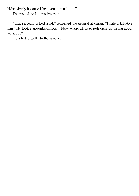frights simply because I love you so much. . . ."

The rest of the letter is irrelevant.

"That sergeant talked a lot," remarked the general at dinner. "I hate a talkative man." He took a spoonful of soup. "Now where all these politicians go wrong about India.  $\ldots$ ."

India lasted well into the savoury.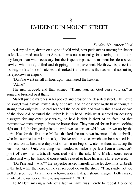## 18 EVIDENCE IN MOUNT STREET

*Sunday, November 22nd*

A flurry of rain, driven on a gust of cold wind, sent pedestrians running for shelter as Mallett turned into Mount Street. It was not a morning for loitering out of doors any longer than was necessary, but the inspector paused a moment beside a street hawker who stood, chilled and dripping, on the pavement. He threw sixpence into his tray, took a box of matches and looked into the man's face as he did so, raising his eyebrows in enquiry.

"Du Pine went in half an hour ago," murmured the hawker.

"Alone?"

The man nodded, and then whined: "Thank you, sir, God bless you, sir," as someone brushed past them.

Mallett put the matches in his pocket and crossed the deserted street. The house he sought was almost immediately opposite, and an observer might have thought it strange that only when he had reached the other side and was within a yard or two of the door did he unfurl the umbrella in his hand. With what seemed unnecessary disregard for any other passers-by, he held it right in front of his face. At that moment two men emerged from the house door. They paused for an instant, looking right and left, before getting into a small two-seater car which was drawn up by the kerb. Not for the first time Mallett thanked the unknown inventor of the umbrella, who has supplied us with a mask, effective and opaque, which can be assumed in a moment, on at least nine days out of ten in an English winter, without attracting the least suspicion. Only one thing was needed to make it perfect from a detective's point of view—an artistically contrived slit in the silk. Mrs. Mallett could never understand why her husband consistently refused to have his umbrella re-covered.

"Du Pine and—who?" the inspector asked himself, as he let down his umbrella in the hall, while the noise of the car receded down the street. "Thin, sandy, not too well dressed, toothbrush moustache—Captain Eales, I should imagine. Better make a note of the number of the car, anyway—VX 7810."

To Mallett, making a note of a fact or name was merely to repeat it once to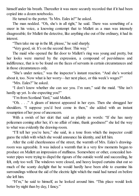himself under his breath. Thereafter it was more securely recorded that if it had been copied into a dozen notebooks.

He turned to the porter. "Is Mrs. Eales in?" he asked.

The man nodded. "Oh, she's in all right," he said. There was something of a sneer in his voice, a knowing contempt that to Mallett as a man was intensely disagreeable; for Mallett the detective, like anything else out of the ordinary, it had its interest.

"Then take me up in the lift, please," he said sharply.

"Very good, sir. It's on the second floor. This way."

The maid who opened the flat door to Mallett's ring was young and pretty, but her looks were marred by the expression, a compound of peevishness and indifference, that is to be found on the faces of servants in certain circumstances and in those circumstances only.

"She's under notice," was the inspector's instant reaction. "And she's worried about it, too. Now what is her worry—her next place, or this week's wages?"

"Mrs. Eales?" he asked.

"I don't know whether she can see you. I'm sure," said the maid. "She isn't hardly up yet. Is she expecting you?"

"I'm from Scotland Yard," said Mallett.

"Oh. . . ." A gleam of interest appeared in her eyes. Then she shrugged her shoulders. "I suppose you'd best come in then," she added with an instant resumption of her pose of unconcern.

With a swish of her skirt that said as plainly as words: "If she has nasty policemen coming after her, it's no affair of mine, thank goodness!" she led the way to what was evidently the drawing-room.

"I'll tell her you're here," she said, in a tone from which the inspector could guess the relish with which she would announce his identity, and left him.

After the cold cheerlessness of the street, the warmth of Mrs. Eales's drawingroom was agreeable. It was indeed a warmth that in a very few moments began to produce on Mallett an impression of stuffiness. Somewhere or other, concealed hotwater pipes were trying to dispel the rigours of the outside world and succeeding, he felt, only too well. The windows were closed, and heavy looped curtains shut out so much of the scanty daylight that he would hardly have been able to examine his surroundings without the aid of the electric light which the maid had turned on before she left him.

"H'm," he said to himself, as he looked around him. "This place would look better by night than by day, I fancy."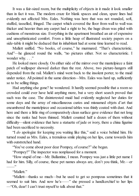It was a fair-sized room, but the multiplicity of objects in it made it look smaller than in fact it was. The modern craze for blank spaces and clean, spare lines had evidently not affected Mrs. Eales. Nothing was here that was not rounded, soft, stuffed, tasselled, fringed. The carpet which covered the floor from wall to wall was thicker and heavier than any carpet had a right to be, the huge divan was piled with cushions of monstrous size. Everything in the apartment breathed an air of expensive and unsophisticated comfort. From a little heap of illustrated society papers on a side-table it might be deduced that its inhabitant had at some time learned to read.

Mallett sniffed. "No books, of course," he murmured. "That's characteristic. And"—he glanced round the walls, "no pictures either. Not so characteristic. I wonder why...."

He looked more closely. On either side of the mirror over the mantelpiece a faint patch of wallpaper showed darker than the rest. Above, two picture-hangers still depended from the rail. Mallett's mind went back to the insolent porter, to the maid under notice. All pointed in the same direction—Mrs. Eales was hard up, sufficiently so to be selling things.

Had anything else gone? he wondered. It hardly seemed possible that a room so crowded could ever have held anything more, but a very short search proved that such was the case. The disinterested maid had evidently neglected her duties for some days and the array of miscellaneous curios and misnamed objets d'art that encumbered the mantelpiece and occasional tables was thinly coated with dust. And here and there a little ring of comparatively clean surface gave evidence that not long since the ranks had been thinned. Mallett counted half a dozen of them without difficulty—silent evidence that here a statuette of jade or ivory, there a china figurine had been sacrificed to necessity.

"I *do* apologize for keeping you waiting like this," said a voice behind him. He turned round as Mrs. Eales, a tremulous smile playing on her lips, came towards him with outstretched hand.

"You've come about poor dear Pompey, of course?" she began.

"Pompey?" The inspector was nonplussed for a moment.

"How stupid of me—Mr. Ballantine, I mean. Pompey was just a little pet name I had for him. Silly, of course, these pet names always are, don't you think, Mr.—er  $\overline{\phantom{a}}$ 

"Mallett."

"Mallett—thanks so much—but he used to get so pompous sometimes that it seemed to suit him. And now he's——" she pressed a handkerchief to her lips —"Oh, dear! I can't trust myself to talk about that."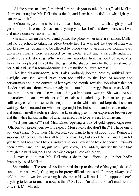"All the same, madam, I'm afraid I must ask you to talk about it," said Mallett. "I am enquiring into Mr. Ballantine's death, and I am here to find out what light you can throw on it."

"Of course, yes. I must be very brave. Though I don't know what light you will get from poor little me. Do ask me anything you like. Let's sit down here, shall we, and make ourselves comfortable?"

She sat down on the divan, and patted the place by her side in invitation. Mallett had no objection to taking his place beside her. He was not the type of man who would allow his judgment to be affected by propinquity to an attractive woman, even when her charms were reinforced by an exotic scent and a carefully indiscreet display of a silk stocking. What was more important from his point of view, Mrs. Eales had so placed herself that the light of the shaded lamp by the divan shone on her. Sitting himself in semi-obscurity, Mallett studied her with interest.

Like her drawing-room, Mrs. Eales probably looked best by artificial light. Daylight, one felt, would have been too unkind to the lines of anxiety and nervousness about the corners of her eyes and mouth, revealed too clearly that her slender neck and throat were already just a touch too stringy. But seen as Mallett saw her at this moment, she was undeniably a handsome woman. She was dressed in unrelieved black, which set off her fair skin admirably. Her make-up was sufficiently careful to excuse the length of time for which she had kept the inspector waiting. He speculated on what her age might be, but soon abandoned the attempt and found himself watching instead the fascinating play of her expressive brown eyes and thin white hands, neither of which seemed able to be at rest for an instant.

"Will you smoke?" said Mrs. Eales, opening a box of gold-tipped cigarettes. "Oh, but you prefer your own, I expect. Men always do, don't they? I'll have one if you don't mind. Now then, Mr. Mallett, you want to hear all about poor Pompey, I suppose. Of course, this has all been the most frightful shock to me, and I can tell you here and now that I have absolutely no idea how it can have happened. It's—it's been pretty hard, coming just now, you know," she added, and for the first time through the hard brightness of her voice crept a note of sincerity.

"I may take it that Mr. Ballantine's death has affected you rather badly, financially," said Mallett.

She nodded. "The rent of this flat is paid for up to the end of the year," she said, "and after that—well, it's going to be pretty difficult, that's all. Pompey always said he'd put me down for something handsome in his will, but I don't suppose there's anything to leave to anyone now, is there? Still . . . I'm afraid this isn't much use to you, is it, Mr. Mallett?"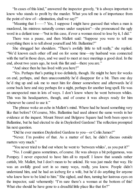"In cases of this kind," answered the inspector gravely, "it is always important to know who stands to profit by the murder. What you tell me is of importance from the point of view of—elimination, shall we say?"

"Meaning that I——? Yes, I suppose I might have guessed that when a man is murdered, his mistress naturally comes under suspicion"—she pronounced the ugly word in a defiant tone—"but in this case, if ever a woman stood to lose by it, I did."

There was a pause, and then Mallett said: "Suppose you were to tell me everything there is to tell about yourself and Mr. Ballantine?"

She shrugged her shoulders. "There's awfully little to tell really," she replied. "We'd known each other off and on for some time—my husband was connected with the turf in those days, and we used to meet at race meetings a good deal. In the end, about two years ago, he took this flat and—there you are."

"And since then he has lived with you here?"

"Yes. Perhaps that's putting it too definitely, though. He might be here for weeks on end, perhaps, and then unaccountably he'd disappear for a bit. Then one day he'd ring up and ask me to meet him for dinner somewhere and afterwards he'd come back here and stay perhaps for a night, perhaps for another long spell. He was an unexpected man in lots of ways. I don't know where he went between whiles. This was his headquarters, though, and of course it was always ready for him whenever he cared to use it."

The phrase woke an echo in Mallett's mind. Where had he heard something very like that before? Of course, Mrs. Ballantine had used almost the same words in her evidence at the inquest. Mount Street and Belgrave Square had both been open to Ballantine, but he had elected to die in Daylesford Gardens! The reflection prompted his next question.

"Did he ever mention Daylesford Gardens to you—or Colin James?"

"Never. I'm positive of that. As a matter of fact, he didn't discuss outside matters very much."

"You never tried to find out where he went to 'between whiles', as you put it?"

"No. I could guess sometimes, of course. He was always a bit polygamous, was Pompey. I never expected to have him all to myself. I know that sounds rather cattish, Mr. Mallett, but I don't mean to be unkind. He was just made that way. He was an awfully good sort in so many ways, really, you know. People didn't understand him, and he had an iceberg for a wife, but he'd do anything for anyone who knew how to be kind to him." She sighed, and then, turning her lustrous eyes on the inspector, said vehemently: "I'm sure there's a woman at the bottom of this! What else should he have gone to a dreadful little place like that for?"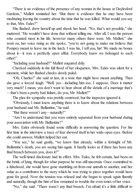"There is no evidence of the presence of any woman in the house at Daylesford Gardens," Mallett reminded her. "But there is evidence that he may have been meditating leaving the country about the time that he was killed. What would you say to that, Mrs. Eales?"

She flushed, drew herself up and shook her head. "No, that's not possible," she muttered. "He wouldn't have done that without telling me. After all, I was the person who counted most in his life, however many others there were. Mr. Mallett," she went on, her voice rising as she spoke, "you're not going to make me believe that Pompey meant to leave me in the lurch. I was his, I tell you, his! We made no bones about it—it was a perfectly open affair. Everybody knew we belonged to each other!"

"Including your husband?" Mallett enquired drily.

Checked suddenly in the full flood of her eloquence, Mrs. Eales was silent for a moment, while her flushed cheeks slowly paled.

"Oh, Charles!" she said at last, in a tone that might have meant anything. Then she gave a forced laugh. "Well, yes—including him too, I suppose. Does it matter very much? I mean, you don't want to hear about all the details of a marriage that's —that's been a pretty bad failure, do you, Mr. Mallett?"

The plea for sympathy was prettily contrived, but the inspector ignored it.

"Obviously, I must know anything there is to know about the relations between your husband and Mr. Ballantine," he said.

"But there weren't any—naturally!"

"Am I to understand that you were entirely separated from your husband during your association with Mr. Ballantine?"

Mrs. Eales obviously found some difficulty in answering the question. For the first time in the interview a trace of fear showed itself in her wide-open eyes. Before she could answer, Mallett helped her out.

"You see," he said gently, "we know that already, within a fortnight of Mr. Ballantine's death, you are seeing him again. It hardly looks as if there has been any final breach between you, does it?"

The well-timed disclosure had its effect. Mrs. Eales, he felt certain, had been on the brink of lying, though for what purpose he was still uncertain. Once committed to a falsehood, she would have gone stumbling on from one untruth to another, and her value as a contributor to the story which he was trying to piece together would have gone for good. Now the tension was relaxed and she began to speak again fluently and naturally, though the hint of fear remained to trouble the even tones of her voice.

"No," she said. "There wasn't any final breach. I'm afraid it's a little difficult to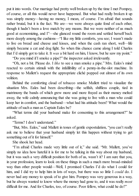put it into words. Our marriage had pretty well broken up by the time I met Pompey, of course, or all this would never have happened. But what had really broken it up was simply money—having no money, I mean, of course. I'm afraid that sounds rather brutal, but it is the fact. We are—we were always quite fond of each other, though it hadn't been a love match by any means. But we were neither of us much good at economizing, and I"—she glanced round the room and settled herself back more deeply among the cushions—"I like my little comforts, you see; I wasn't made to live on bread and cheese and kisses, and when the cash ran short, well—life simply became a cat and dog fight. So when this chance came along I told Charles that I'd simply got to take it. It *was* a bit hard on him, I know, but he saw my point."

"Do you mind if I smoke a pipe?" the inspector asked irrelevantly.

"Oh, not a bit. Please do. I *like* to see a man smoke a pipe." Mrs. Eales's mind reacted to certain stimuli with the infallibility of a penny-in-the-slot machine. In response to Mallett's request the appropriate cliché popped out almost of its own volition.

Behind the comforting cloud of tobacco smoke Mallett tried to visualize the situation Mrs. Eales had been describing—the selfish, shiftless couple, tied in matrimony the bands of which grew more and more frayed as their money melted away, the wife calmly announcing that she was going to live with a man who could keep her in comfort, and the husband—what had his attitude been? What would the attitude of such a man as Captain Eales be?

"What terms did your husband make for consenting to this arrangement?" he asked.

"Terms? I don't understand."

"But, Mrs. Eales," said Mallett in tones of gentle expostulation, "you can't really ask me to believe that your husband simply let this happen without trying to get something out of it for himself."

She shook her head.

"I'm afraid Charles made very little out of it," she said. "Mr. Mallett, you've simply no idea how hateful it is for me to be talking in this way about my husband, but it was such a very difficult position for both of us, wasn't it? I am sure that you, in your profession, learn to look on these things in such a much more broad-minded way than other people would—Well, I promised Charles I'd do what I could for him, and I did try to help him in lots of ways, but there was so little I *could* do. I never had any money to speak of to give him. Pompey was very generous in a way, but he always wanted to know where the money had gone to, and it was really *most* difficult for me. And for Charles, too, of course. Poor fellow, what could he do?"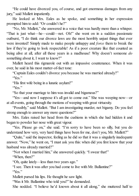"He could have divorced you, of course, and got enormous damages from any jury," said Mallett impatiently.

He looked at Mrs. Eales as he spoke, and something in her expression prompted him to add: "Or couldn't he?"

"No, Mr. Mallett," she answered in a voice that was hardly more than a whisper. "That is just what—he—could—not. Oh!" she went on in a sudden passionate outburst, "I do think our divorce laws are the most horribly unjust things that ever were invented! Simply made to make people unhappy and *force* them to break the law if they're going to look respectable! As if a poor creature like that counted as being alive at all, after all these years in a madhouse! Why doesn't someone *do* something about it, I want to know?"

Mallett heard this rigmarole out with an impassive countenance. When it was over, he said in his most matter-of-fact tone:

"Captain Eales couldn't divorce you because he was married already?" "Yes."

"His first wife being in a lunatic asylum?"

"Yes."

"So that your marriage to him was invalid and bigamous?"

"Yes—and now I suppose it's all got to come out." She was weeping now—or at all events, going through the motions of weeping with great virtuosity.

"Possibly," said Mallett. "But I am investigating murder, not bigamy. Do you feel strong enough to answer any more questions?"

Mrs. Eales raised her head from the cushions in which she had hidden it and began to powder her nose with great vigour.

"Yes. Please go on," she said. "I'm sorry to have been so silly, but you do understand how very, very hard things have been for me, don't you, Mr. Mallett?"

"Quite," said the inspector, feeling as he did so that it was a singularly inadequate answer. "Now," he went on, "I must ask you this: when did you first know that your husband was already married?"

"Not when I married him," she answered quickly. "I swear that!"

"When, then?"

"Oh, quite lately—less than two years ago."

"I see. Then it was after you had come to live with Mr. Ballantine?" "Yes."

Mallett pursed his lips. He thought he saw light.

"Was it Mr. Ballantine who told you?" he demanded.

She nodded. "I believe he'd known about it all along," she muttered half to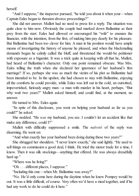herself.

"And I suppose," the inspector pursued, "he told you about it when your—when Captain Eales began to threaten divorce proceedings?"

She did not answer. Mallett had no need to press for a reply. The situation was quite clear to him now. Obviously the couple had marked down Ballantine as their prey from the start. Eales had allowed or encouraged his "wife" to ensnare the financier, with the intention, from the first, of making him pay dearly for his pleasure. But Ballantine had been too clever for him. A man in his position would have ample means of investigating the history of anyone he pleased, and when the blackmailing demands began he calmly called the bluff, and threatened the would-be petitioner with exposure as a bigamist. It was a trick quite in keeping with all that he, Mallett, had heard of Ballantine's character. Only one point remained obscure. Was Mrs. Eales telling the truth when she declared her ignorance of her husband's first marriage? If so, perhaps she was as much the victim of his plot as Ballantine had been intended to be. In the upshot, she had chosen to stay with Ballantine, enjoying all the comforts he could provide, while Eales was left out in the cold, an outwitted, impoverished, furiously angry man—a man with murder in his heart, perhaps. "But why wait two years?" Mallett asked himself, and could find, at the moment, no answer.

He turned to Mrs. Eales again.

"In spite of this disclosure, you went on helping your husband as far as you could?" he asked.

She nodded. "He *was* my husband, you see. I couldn't let an accident like that make any difference, could I?"

Mallett with difficulty suppressed a smile. The *naïveté* of the reply was disarming. He went on:

"And what exactly has your husband been doing during these two years?"

She shrugged her shoulders. "I never knew exactly," she said lightly. "He used to sell things on commission a good deal, I think. He tried the motor trade for a time, I know. Then it was silk stockings—anything that offered. He was always dreadfully hard up."

"Where was he living?"

"Oh . . . different places, I suppose."

"Including this one—when Mr. Ballantine was away?"

"No. He'd only come here during the daytime when he knew Pompey would be out. It was a little difficult, of course. Very often we'd have a meal together, and if he had any work to do he could do it here."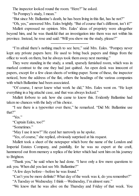The inspector looked round the room. "Here?" he asked.

"In Pompey's study, I mean."

"But since Mr. Ballantine's death, he has been living in this flat, has he not?"

"Oh, yes," answered Mrs. Eales brightly. "But of course that's different, isn't it?" Mallett expressed no opinion. Mrs. Eales' ideas of propriety were altogether beyond him, and he was thankful that an investigation into them was not within his province. Instead, he rose and said: "Will you show me the study, please?"

"I'm afraid there's nothing much to see here," said Mrs. Eales. "Pompey never kept any private papers here. He used to bring back papers and things from the office to work on them, but he always took them away next morning."

They were standing in the study, a small, sparsely furnished room, which was in marked contrast to the one they had just quitted. An open desk was innocent of papers, except for a few clean sheets of writing-paper. Some of these, the inspector noticed, bore the address of the flat, others the headings of the various companies with which Ballantine had been associated.

"Of course, I never knew what work he did," Mrs. Eales went on. "He kept everything in a big attaché case, and that was always locked."

Mallett forbore to ask how she came to know this. Evidently Ballantine had taken no chances with the lady of his choice.

"I see there is a typewriter over there," he remarked. "Did Mr. Ballantine use that?"

"Yes."

"Captain Eales, too?"

"Sometimes."

"May I use it now?" He eyed her narrowly as he spoke.

"Yes, of course," she replied, obviously surprised at his request.

Mallett took a sheet of the notepaper which bore the name of the London and Imperial Estates Company, and painfully, for he was no expert at the craft, hammered out from memory a replica of the letter which had sent him on his journey to Brighton.

"Thank you," he said when he had done. "I have only a few more questions to ask you. When did you last see Mr. Ballantine?"

"A few days before—before he was found."

"Can't you be more definite? What day of the week was it, do you remember?"

"A Tuesday or Wednesday. I think—Wednesday, I'm almost sure."

"We know that he was alive on the Thursday and Friday of that week. You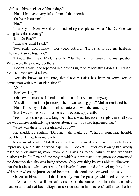didn't see him on either of those days?"

"No—I had seen very little of him all that month."

"Or hear from him?"

 $N_0$ "

"Thank you. Now would you mind telling me, please, what Mr. Du Pine was doing here this morning?"

"Mr. Du Pine?"

"That was what I said."

"I—I really don't know." Her voice faltered. "He came to see my husband. They went away together."

"I know that," said Mallett sternly. "But that isn't an answer to my question. What were they doing together?"

"I don't know," she repeated in a despairing tone. "Honestly I don't. I—I wish I did. He never would tell me."

"You do know, at any rate, that Captain Eales has been in some sort of connection with Mr. Du Pine, then?"

"Yes"

"For how long?"

"Oh, several months, I should think—since last summer, anyway."

"You didn't mention it just now, when I was asking you." Mallett reminded her.

"No—I'm sorry—I didn't think it mattered," was the lame reply.

"But it was some sort of business connection, apparently."

"Yes—but it's no good asking me what it was, because I simply can't tell you. He was always frightfully mysterious about it. It—it rather frightened me."

"What was there to be frightened about?"

She shuddered slightly. "Du Pine," she muttered. "There's something horrible about him. He frightens me badly."

A few minutes later, Mallett took his leave, his mind stored with fresh facts and impressions, and a slip of typed paper in his pocket. Further questioning had wholly failed to elicit anything more from Mrs. Eales as to the nature of her husband's business with Du Pine and the way in which she protested her ignorance convinced the detective that she was being sincere. Only one thing he was able to discover that the business, whatever it was, had involved some kind of travelling abroad, but whither or when the journeys had been made she could not, or would not, say.

Mallett let himself out of the little study into the passage which led to the front door. As he did so, a flutter of skirts round the corner told him that the sulky maidservant had not been altogether so incurious in her mistress's affairs as she had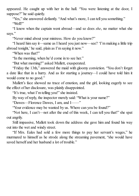appeared. He caught up with her in the hall. "You were listening at the door, I suppose?" he said quietly.

"Yes," she answered defiantly. "And what's more, I can tell you something." "Well?"

"I know when the captain went abroad—and so does *she*, no matter what she says."

"Never mind about your mistress. How do you know?"

"I heard him say it—same as I heard you just now—see? 'I'm making a little trip abroad tonight,' he said, plain as I'm saying it now."

"When was that?"

"In the morning, when he'd come in to see her."

"But what morning?" asked Mallett, exasperated.

"Friday the 13th," answered the maid with gloomy conviction. "You don't forget a date like that in a hurry. And as for starting a journey—I could have told him it would come to no good."

Mallett's face showed no trace of emotion, and the girl, looking eagerly to see the effect of her disclosure, was plainly disappointed.

"It's true, what I'm telling you!" she insisted.

By way of reply, the inspector merely said: "What is your name?"

"Dawes—Florence Dawes, I am, and I——"

"Your evidence may be wanted by us. Where can you be found?"

"Not here, I can't—not after the end of this week, I can tell you that!" she spat out angrily.

Still impassive, Mallett took down the address she gave him and found his way out into the wet and windy street.

"If Mrs. Eales had sold a few more things to pay her servant's wages," he murmured to himself as he strode along the streaming pavement, "she would have saved herself and her husband a lot of trouble."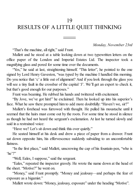## 19 RESULTS OF A LITTLE QUIET THINKING

*Monday, November 23rd*

"That's the machine, all right," said Frant.

Mallett and he stood at a table looking down at two typewritten letters on the office paper of the London and Imperial Estates Ltd. The inspector took a magnifying glass and pored for some time over the documents.

"Yes," he said at last, straightening himself. "This letter", he pointed to the one signed by Lord Henry Gaveston, "was typed by the machine I handled this morning. Do you notice that 'c' a little out of alignment? And if you look through the glass you will see a tiny fault in the crossbar of the capital 'J'. We'll get an expert to check it, but that's good enough for our purposes."

Frant was beaming. He rubbed his hands and twittered with excitement.

"By Jove, we've got him!" he exclaimed. Then he looked up into his superior's face. What he saw there prompted him to add more doubtfully: "Haven't we, sir?"

Mallett's forehead was furrowed with thought. He pulled his moustache until it seemed that the hairs must come out by the roots. For some time he stood in silence as though he had not heard the sergeant's exclamation. At last he turned slowly and said in a restrained voice:

"Have we? Let's sit down and think this over quietly."

He seated himself at his desk and drew a piece of paper from a drawer. Frant sat down opposite him, his effervescence suddenly subsiding to an uncomfortable flatness.

"In the first place," said Mallett, unscrewing the cap of his fountain-pen, "who is 'he'?"

"Well, Eales, I suppose," said the sergeant.

"Eales," repeated the inspector gravely. He wrote the name down at the head of the sheet. "Motive?" he went on.

"Money," said Frant promptly. "Money and jealousy—and perhaps the fear of exposure as a bigamist."

Mallett wrote down: "Money, jealousy, exposure" under the heading "Motive".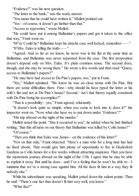"Evidence?" was his next question.

"The letter to the bank," was the ready answer.

"You mean that he could have written it," Mallett pointed out.

"Yes—of course, it doesn't go further than that."

"Access to typewriter," wrote Mallett.

"He could have put it among Ballantine's papers and got it taken to the office that way," Frant went on.

"M'm. Could he? Ballantine kept his attaché case well locked, remember——"

"If Mrs. Eales is telling the truth——"

"Agreed. And so far as we know, he never was in the flat at the same time as Ballantine, and Ballantine was never separated from the case. The first proposition doesn't depend only on Mrs. Eales. It's plain common sense. The second does, though, and she may be wrong there." He wrote a few words and then read: "Query, access to Ballantine's papers?"

"He may have had access to Du Pine's papers, too," put in Frant.

"Yes," Mallett admitted. "We know he was on close terms with Du Pine. But there are some difficulties there. First—why should he have typed the letter at his wife's flat and not at Du Pine's house? Second—isn't that theory equally consistent with Du Pine being his accomplice?"

"That is a possibility—yes," Frant agreed, reluctantly.

"It doesn't look quite so simple, when you come to look into it, does it?" the inspector went on. "Now what else have we to put down under 'Evidence'?"

"His trip abroad on the night of the murder."

Mallett noted the point. "Has it occurred to you", he added when he had finished writing, "that this all turns on our theory that Ballantine was killed by Colin James?"

"Of course."

"Then you think that Eales was James—on the evidence of this letter?"

"Not on that only," Frant objected. "Here's a man who for a long time has had no fixed abode. That would give him plenty of opportunity to live in Daylesford Gardens as Colin James for a few weeks without attracting suspicion. Then you have the mysterious journey abroad on the night of the 13th. I agree that he may be able to explain it away. But until he does—and I've a feeling that he won't be able to—I maintain that we've a strong case against him. All the facts fit him in a way they fit nobody else."

While his subordinate was speaking, Mallett jotted down the salient points. Then he said: "There's one fact that doesn't fit him very well, you know."

"What fact?"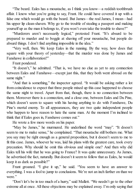"The beard. Eales has a moustache, as I think you know—a reddish toothbrush affair. I know what you're going to say, Frant. He could have covered it up with a false one which would go with the beard. But James—the real James, I mean—had his upper lip clean-shaven. Why go to the trouble of stealing a passport and making yourself up as the man it belongs to, if you won't even take the trouble to shave?"

"Murderers aren't necessarily logical," protested Frant. "It's absurd to be prepared to murder and to boggle at shaving off your moustache, but people do absurd things. I don't find anything impossible in the idea."

"Very well, then. We keep Eales in the running. By the way, how does that square with your theory of yesterday—that the murder was done by James and Fanshawe in collaboration?"

Frant pondered.

"It doesn't," he admitted. "That is, we have no clue as yet to any connection between Eales and Fanshawe—except just this, that they both went abroad on the same night."

"And that is something," the inspector agreed. "It would be asking rather a lot from coincidence to expect that three people mixed up this case happened to choose the same night to travel. Apart from that, though, there is no connection between them. Moreover there is a connection, and a close one, between Eales and Du Pine, which doesn't seem to square with his having anything to do with Fanshawe, Du Pine's mortal enemy. To all appearances, they are two quite independent people who happen to have reason to hate the same man. At the moment I'm inclined to think that if Eales goes in, Fanshawe comes out."

He wrote a few more words on his paper.

"May be James," he murmured. He underlined the word "may". "It doesn't seem to me to make sense," he complained. "That moustache still bothers me. What you say may be right enough as a general proposition, but it doesn't seem to me to fit this case. James, whoever he was, laid his plans with the greatest care, took every precaution. Why should he omit this obvious and simple one? And then why did Eales tell his wife that he was going to France? It was quite unnecessary. As James, he advertised the fact, naturally. But doesn't it seem to follow that as Eales, he would keep it as dark as possible?"

Frant groaned. "I give it up," he said. "You seem to have an answer to everything. I was a fool to jump to conclusions. We're not an inch farther on than we were."

"Don't let's be in too much of a hurry," said Mallett. "We needn't go to the other extreme all at once. All these objections may be explained away. I'm only saying that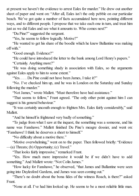at present we haven't the evidence to arrest Eales for murder." He drew out another sheet of paper and went on: "After all, Eales isn't the only pebble on our particular beach. We've got quite a number of facts accumulated here now, pointing different ways, and to different people. I propose that we take each one in turn, and treat him just as we did Eales and see what it amounts to. Who comes next?"

"Du Pine?" suggested the sergeant.

"Yes, he seems to follow logically. Motive?"

"He wanted to get his share of the boodle which he knew Ballantine was making off with."

"Good enough. Evidence?"

"He could have introduced the letter to the bank among Lord Henry's papers." "Certainly. Anything more?"

"He was doing something shady in association with Eales, so the arguments against Eales apply to him to some extent."

"Yes. . . . Du Pine could not have been James, I take it?"

"No. I've checked him up, and he was in London on the Saturday and Sunday following the murder."

"Not James," wrote Mallett. "Must therefore have had assistance."

"That seems to follow," Frant agreed. "The only other point against him I can suggest is his general behaviour."

"It was certainly uncouth enough to frighten Mrs. Eales fairly considerably," said Mallett.

"And he himself is frightened very badly of something."

"To judge from what I saw at the inquest, the something was a someone, and his name was Fanshawe." Mallett finished Du Pine's meagre dossier, and went on: "Fanshawe! I think he deserves a sheet to himself."

"No difficulty about a motive there."

"Motive overwhelming," went on to the paper. Then followed briefly: "Evidence —(a) Threats; (b) Opportunity; (c) Travel."

"That looks fairly impressive," remarked Frant.

"Yes. How much more impressive it would be if we didn't have to add something." And Mallett wrote: "Not Colin James."

"How lucky for Fanshawe," he observed, "that James and Ballantine were seen going into Daylesford Gardens, and James was seen coming out."

"There's no doubt about the bona fides of the witness Roach, is there?" asked Frant.

"None at all. I've had him looked up. He seems to be a most reliable little man.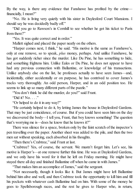By the way, is there any evidence that Fanshawe has profited by the crime financially, I mean?"

"No. He is living very quietly with his sister in Daylesford Court Mansions. I should say he was decidedly badly off."

"Did you go to Rawson's in Cornhill to see whether he got his ticket to Paris from there?"

"Yes. It was quite correct and in order."

Mallett sighed and placed the paper neatly on the others.

"Harper comes next, I think," he said. "His motive is the same as Fanshawe's, only at one remove, so to speak, *plus* money, perhaps. And unlike Fanshawe, he has got suddenly richer since the murder. Like Du Pine, he has something to hide, and something frightens him. Unlike Eales or Du Pine, he does not appear to have had any previous connection with Ballantine, or knowledge of his transactions. Unlike anybody else on the list, he professes actually to have seen James—and, incidentally, either accidentally or on purpose, he has contrived to cover James's tracks very thoroughly. An odd person, Harper, and in an odd position too. He seems to link up so many different parts of the puzzle."

"You don't think he did the murder, do you?" said Frant.

"Did it? No. . . . . "

"Or helped to do it in any way?"

"He certainly helped to do it, by letting James the house in Daylesford Gardens. That may be just coincidence, of course. But if you could have seen him on the day we discovered the body—I tell you, Frant, that boy knows something! The question that's worrying me is—does he know that he knows it?"

There was silence for a space, broken only by the faint scratch of the inspector's pen travelling over the paper. Another sheet was added to the pile, and then the two men sat without speaking, each absorbed in his thoughts.

"Then there's Crabtree," said Frant at last.

"Crabtree? Yes, of course, the servant. We mustn't forget him. Let's see, his motive is Harper's—at one remove further this time. He was at Daylesford Gardens, and we only have his word for it that he left on Friday morning. He might have stayed there all day and finished Ballantine off when he came in with James."

"That makes him an accomplice of James," said the sergeant.

"Not necessarily, though it looks like it. But James might have left Ballantine behind him alive and well, and then Crabtree took the opportunity to kill him and fill his pockets with whatever cash Ballantine had on him. With some of the money he goes to Spellsborough races, and the rest he gives to Harper who, in return,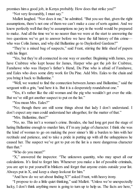promises him a good job, in Kenya probably. How does that strike you?"

"Not very favourably, I must say."

Mallett laughed. "Nor does it me," he admitted. "But you see that, given the right assumptions, there's not one of them we can't make a case of sorts against. And we know perfectly well that they're assumptions no jury in the world would be prepared to make. And all the time we're no nearer than we were at the start to answering the two questions we've got to answer before we have the full history of this crime who was Colin James, and why did Ballantine go to Daylesford Gardens?"

"They're a mixed bag of suspects," said Frant, stirring the little sheaf of papers with his finger.

"Yes, but they're all connected in one way or another. Beginning with James, you have Crabtree who kept house for James, Harper who got the job for Crabtree, Fanshawe who was Harper's father's friend, Du Pine who is afraid of Fanshawe, and Eales who does some dirty work for Du Pine. Add Mrs. Eales to the chain and you bring it back to Ballantine."

"Well, we wanted to find the connection between James and Ballantine," said the sergeant with a grin, "and here it is. But it is a desperately roundabout one."

"Yes, it's rather like the old woman and the pig who wouldn't get over the stile. But we've still got another suspect to put on the list."

"You mean Mrs. Eales?"

"No; though there are still some things about that lady I don't understand. I don't expect any man could understand her altogether, for the matter of that."

"Mrs. Ballantine, then?"

"No, no. This isn't a woman's crime. Besides, she had long got past the stage of hating Ballantine enough to murder him, if I'm any judge of character. I think she was the kind of woman to go on making the poor sinner's life a burden to him with her rectitude and patience, and to take a pride in putting up with all the unhappiness he caused her. The suspect we've got to put on the list is a more dangerous character than that."

"Who do you mean?"

"X," answered the inspector. "The unknown quantity, who may upset all our calculations. It's fatal to forget him. Whenever you make a list of possible criminals, you are apt to put yourself in blinkers and forget that anyone exists outside your list. Always put in X, and keep a sharp lookout for him."

"And how do we set about finding X?" asked Frant, with heavy irony.

"I propose to do a little quiet thinking," said Mallett. "Unless we're unexpectedly lucky, I don't think anything more is going to turn up to help us. The facts are here,"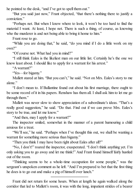he pointed to the desk, "and I've got to spell them out."

"But you said just now," Frant objected, "that there's nothing there to justify a conviction."

"Perhaps not. But when I know where to look, it won't be too hard to find the material I want. At least, I hope not. There is such a thing, of course, as knowing who the murderer is and not being able to bring it home to him."

Frant rose to go.

"While you are doing that," he said, "do you mind if I do a little work on my own?"

"Of course not. What had you in mind?"

"I still think Eales is the likeliest man on our little list. Certainly he's the one we know least about. I should like to apply for a warrant for his arrest."

"A warrant?"

"Yes—for bigamy."

Mallett stared at him. "But you can't," he said. "Not on Mrs. Eales's story to me alone."

"I don't mean to. If Ballantine found out about his first marriage, there ought to be some record of it in his papers. Renshaw has them all. I shall ask him to let me go through them."

Mallett was never slow to show appreciation of a subordinate's ideas. "That's a really good suggestion," he said. "Do that. Find out if we can prove Mrs. Eales's story to be true, and let me know."

"And then, may I apply for a warrant?"

The inspector smiled, somewhat in the manner of a parent humouring a child anxious for a treat.

"We'll see," he said. "Perhaps when I've thought this out, we shall be wanting a warrant for something more serious than bigamy."

"Then you think I may have been right about Eales after all?"

"No, I don't!" roared the inspector, exasperated. "I don't think anything yet. I'm only asking you to go away and let me think!" And Frant found himself fairly hustled out of the room.

"Thinking seems to be a whole-time occupation for some people," was the sergeant's unspoken comment as he left. "And I'm prepared to bet that the first thing he does is to go out and make a pig of himself over lunch."

Frant did not return for some hours. When at length he again walked along the corridor that led to Mallett's room, it was with the long, impatient strides of a bearer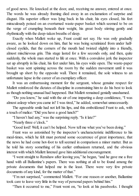of good news. He knocked at the door, and, receiving no answer, entered at once. The words he was already framing died away in an exclamation of surprise and disgust. His superior officer was lying back in his chair, his eyes closed, his feet miraculously poised on an overturned waste-paper basket which seemed to be on the verge of crumpling beneath their weight, his great body stirring gently and rhythmically with the deep-taken breaths of sleep.

Exactly when Mallett woke up, Frant could not say. He was only gradually aware, as he looked down on him, that he was being scrutinized from under halfclosed eyelids, that the corners of the mouth had twisted slightly into a friendly, almost mischievous grin. This stage lasted for a few seconds only, and then, quite suddenly, the whole man started to life at once. With a convulsive jerk the inspector sat up abruptly in his chair, his feet under him, his eyes wide open. The waste-paper basket was sent spinning across the room by the sudden movement until it was brought up short by the opposite wall. There it remained, the sole witness to an unfortunate lapse in the career of an exemplary officer.

It was an embarrassing moment for the sergeant, whose genuine respect for Mallett reinforced the dictates of discipline in constraining him to do his best to look as though nothing unusual had happened. But Mallett remained genially unashamed.

"Do you know," he said with the air of one imparting a deep confidence, "I was almost asleep when you came in? I was tired," he added, somewhat unnecessarily.

The agreeable smile had not left his lips, and this emboldened Frant to ask, with a touch of malice: "Did you have a good lunch?"

"I haven't had any," was the surprising reply. "Is it late?"

"Nearly three o'clock."

"Good lord! Well, it can't be helped. Now tell me what you've been doing."

Frant was so astonished by the inspector's uncharacteristic indifference to his meal-times, which he felt must portend some occurrence of great importance, that the news he had come hot-foot to tell seemed in comparison a minor matter. But as he told his story something of his earlier enthusiasm returned, and the obvious interest with which Mallett listened gave him additional encouragement.

"I went straight to Renshaw after leaving you," he began, "and he gave me a free hand with all Ballantine's papers. There was nothing at all to be found among the private documents that helped me in the least. There were very few private documents of any kind, for the matter of that."

"I'm not surprised," commented Mallett. "For one reason or another, Ballantine took care to leave very little in the way of personal papers behind him."

"Then it occurred to me," Frant went on, "to look at his passbooks. I thought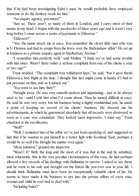that if he had been investigating Eales's past, he would probably have employed someone to do the donkey-work for him."

"An enquiry agency, you mean?"

"Just so. There aren't so many of them in London, and I carry most of their names in my head. I began with the passbooks of three years ago and it wasn't very long before I came across a series of payments to Elderson."

"Elderson?"

"Yes, the name struck me at once. You remember the clever little man who was in U Division and had to resign from the force over the Barkinshaw affair? He set up in business as a private enquiry agent in Shaftesbury Avenue."

"I remember him perfectly well," said Mallett. "I think we've had some trouble with him since. Wasn't there rather a serious complaint from one of his clients a year or two ago?"

Frant nodded. "The complaint was withdrawn later," he said, "but it gave friend Elderson a bad fright at the time. I thought that fact might come in handy if I had to put pressure on him, and so it turned out."

"You went to see him, then?"

"Straight away. He was very smooth-spoken and ingratiating—just as he always used to be—until I told him what I'd come about. Then he turned difficult at once. He said he was very sorry, but his business being a highly confidential one, he made a point of keeping no record of his clients' business. He showed me his advertisements, in which he guaranteed absolutely that all records were destroyed as soon as a case was concluded. They looked most impressive, I must say." Frant chuckled at the recollection.

"Well?"

"Well, I reminded him of the affair we've just been speaking of, and suggested to him that if he wanted to put himself in a better light with Scotland Yard, perhaps it would be as well if he thought the matter over again."

"Most immoral," grunted the inspector.

"Wasn't it? Well, the long and the short of it was that in the end he admitted, most reluctantly, that in the very peculiar circumstances of this case, he had perhaps allowed a few records of his dealings with Ballantine to survive. I asked to see them, and he went to his safe and brought out the fattest file you ever saw in your life. I should think Ballantine must have been an exceptionally valuable client of his. He seems to have made it his business to pry into the private affairs of every man, woman and child he ever had to deal with."

"Including Eales?"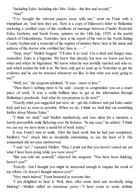"Including Eales. Including also Mrs. Eales—the first and second."

"Aha!"

"I've brought the relevant papers away with me," went on Frant with a triumphant air, "and here they are. Here is a copy of Elderson's letter to Ballantine enclosing a certified copy of the certificate of marriage between Charles Roderick Eales, bachelor, and Sarah Evans, spinster, on the 14th July, 1920, at the parish church of Oakenthorpe, Yorkshire; here is his report of his visit to the North Riding County Asylum and a transcript of the register of inmates there; here is the name and address of the doctor who certified her; here is——"

"Stop, stop!" Mallett begged. "I'll take it as read. I'm a tired and hungry man, remember. Eales is a bigamist. We knew that already, but now we know just how, when and where he bigamized. We know when he was lawfully married and who to, and which asylum his wife is in. We have only got to send up to Yorkshire to get the evidence and he can be arrested whenever we like. Is that what you were going to say?"

"Well, yes," the sergeant admitted. "It was—more or less."

"Then there's nothing more to be said—except to congratulate you on a smart piece of work. It was a really brilliant idea to get at the information through Ballantine's passbook. And what do you propose to do next?"

"Exactly what you suggested just now, sir—get the evidence and put Eales under lock and key as soon as possible. When we do, I think we shall find out something further about Master Eales."

"I think we shall," said Mallett meditatively, and was silent for a moment, a barely perceptible smile flickering over his features. "In any case," he added, "I think we can say we have done a useful bit of work today."

It was Frant's turn to smile. After the hard work that he had just completed, Mallett's "we" struck him as decidedly entertaining, to say the least of it. His amusement did not pass unobserved.

"I said 'we'," repeated Mallett. "May I point out that you haven't asked me yet what I have been doing while you were away?"

"But you told me yourself," objected the sergeant. "You have been thinking, haven't you?"

"Exactly—but I thought you might be interested enough to enquire the result of my efforts. Or doesn't thought interest you?"

"Very much indeed," Frant hastened to reassure him.

"I am delighted to hear it. Well, then, after some hard and decidedly tiring thinking"—Mallett stifled an enormous yawn—"I have come to some definite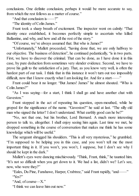conclusions. One definite conclusion, perhaps it would be more accurate to say, from which the rest follows as a matter of course."

"And that conclusion is——?"

"The identity of Colin James."

Frant took a sharp breath of excitement. The inspector went on calmly: "That identity once established, it becomes perfectly simple to ascertain who killed Ballantine, and why, and how and all the rest of the story."

"Of course, we've always assumed that. But who is James?"

"Unfortunately," Mallett proceeded, "having done that, we are only halfway to our objective. The business of detection", he continued pedantically, "is in two parts. First, we have to discover the criminal. That can be done, as I have done it in this case, by pure deduction from sometimes very slender evidence. Second, we have to prove his guilt to the satisfaction of a jury. That, as you know very well, is often the hardest part of our task. I think that in this instance it won't turn out too impossibly difficult, now that I know exactly what I am looking for. And for a start——"

Frant could bear it no longer. "But James! James" he almost shouted. "Who is Colin James?"

"As I was saying—for a start, I think I shall go and have another chat with Gaveston."

Frant stopped in the act of repeating his question, open-mouthed, while he groped for the significance of the name. "Gaveston?" he said at last. "The silly old man who signed the letter? I don't understand. What earthly good can he be?"

"No, not that one, but his brother, Lord Bernard. A much more interesting person to talk to, altogether. I shall enjoy seeing him again. Last time we met, he dropped something in the course of conversation that makes me think he has some knowledge which will be useful."

The sergeant shrugged his shoulders. "This is all very mysterious," he grumbled. "I'm supposed to be helping you in this case, and you won't tell me the most important thing in it. If you won't, you won't, I suppose, but I don't see why I should be kept in the dark."

Mallett's eyes were dancing mischievously. "Think, Frant, think," he taunted him. "It's not so difficult when you get down to it. We had a list, didn't we? Let's see, now, who were they?"

"Eales, Du Pine, Fanshawe, Harper, Crabtree," said Frant rapidly, "and——" "Yes?"

"And, of course—X."

"I think we can leave him out now."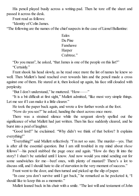His pencil played busily across a writing-pad. Then he tore off the sheet and passed it across the desk.

Frant read as follows:

"Identity of Colin James.

"The following are the names of the chief suspects in the case of Lionel Ballantine:

Eales Du Pine Fanshawe Harper Crabtree."

"Do you mean", he asked, "that James is one of the people on this list?" "Certainly."

Frant shook his head slowly, as he read once more the list of names he knew so well. Then Mallett's hand reached over towards him and the pencil made a cross against one of them. He stared at it, then looked up again, his face still clouded with perplexity.

"But I don't understand," he muttered. "How——"

"It is a bit difficult at first sight," Mallett admitted, "like most very simple things. Let me see if I can make it a little clearer."

He took the paper back again, and wrote a few further words at the foot.

"Now do you see?" he asked, handing the sheet across once more.

There was a strained silence while the sergeant slowly spelled out the significance of what Mallett had just written. Then his face suddenly cleared, and he burst into a peal of laughter.

"Good lord!" he exclaimed. "Why didn't we think of that before? It explains everything!"

"Everything?" said Mallett reflectively. "I'm not so sure. The murder—yes. That is after all the essential question. But I am still troubled in my mind about *these* fellows"—his pencil stabbed the page once and again. "How do they fit into the story? I shan't be satisfied until I know. And now would you mind sending out for some sandwiches for me—beef ones, with plenty of mustard? There's a lot to discuss still, and I should hate to die of starvation in the very moment of success."

Frant went to the door, and then turned and picked up the slip of paper.

"In case you don't survive until I get back," he remarked as he pocketed it, "I should like to keep this as a memento."

Mallett leaned back in his chair with a smile. "The last will and testament of John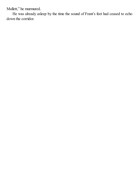Mallett," he murmured.

He was already asleep by the time the sound of Frant's feet had ceased to echo down the corridor.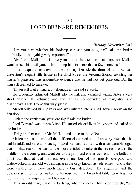## 20 LORD BERNARD REMEMBERS

*Tuesday, November 24th*

"I'm not sure whether his lordship can see you now, sir," said the butler, doubtfully. "Is it anything very important?"

"Yes," said Mallett. "It is—very important. Just tell him that Inspector Mallett wants to see him, will you? I shan't keep him for more than a few moments."

It was a quarter to eleven in the morning. Outside the door of Lord Bernard Gaveston's elegant little house in Hertford Street the Visconti-Sforza, awaiting her master's pleasure, was undeniable evidence that he had not yet gone out. But the man still seemed to hesitate.

"If you will wait a minute, I will enquire," he said severely.

He grudgingly admitted Mallett into the hall and vanished within. After a very short absence he returned and with an air compounded of resignation and disapproval said: "Come this way, please."

Mallett followed him upstairs and was ushered into a small, square room on the first floor.

"This is the gentleman, your lordship," said the butler.

Lord Bernard was at breakfast. He smiled cheerfully at his visitor and called to the butler:

"Bring another cup for Mr. Mallett, and some more coffee."

Mallett protested, with all the self-conscious rectitude of an early riser, that he had breakfasted several hours ago. Lord Bernard retorted with unanswerable logic, that for that reason he was all the more entitled to take further refreshment in the middle of the morning; and went on, to the profound embarrassment of the butler, to point out that at that moment every member of his grossly overpaid and underworked household was indulging in the orgy known as "elevenses", and if they were entitled to it, how much more a busy detective? The argument, and the delicious scent of coffee wafted to his nose from the breakfast table, were together too much for the inspector, and he capitulated.

"It is an odd thing," said his lordship, when the coffee had been brought, "but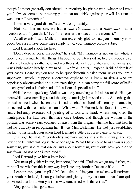though I am not generally considered a particularly hospitable man, whenever I meet you I always seem to be pressing you to eat and drink against your will. Last time it was dinner, I remember."

"It was a very good dinner," said Mallett gratefully.

"Not bad. Let me see, we had a *sole vin blanc* and a *tournedos*—rather overdone, didn't you think? I can't remember the sweet for the moment."

"At all events," said Mallett, "I am extremely glad to find your memory is so good, because I have come here simply to tax your memory on one subject."

Lord Bernard shook his head.

"Don't depend on it. Inspector," he said. "My memory is not on the whole a good one. I remember the things I happen to be interested in, like everybody else, that's all. Leading a rather idle and worthless life as I do, dishes and the vintages of wines bulk rather largely in my mind, I'm afraid. Yours, I expect, is full of details of your cases. I dare say you tend to be quite forgetful outside them, unless you are a superman—which I suppose a detective ought to be. I know musicians who are hopelessly absentminded about ordinary things, but can carry the full score of half a dozen symphonies in their heads. It's a form of specialization."

While he was speaking, Mallett was only attending with half his mind. His eyes meanwhile were travelling round the airy, charmingly furnished room. Something that he had noticed when he entered it had touched a chord of memory—something connected with the matter in hand. What was it? Presently he found it. It was a small, brilliantly executed oil painting of a woman's head, which hung over the mantelpiece. He had seen that face once before, and though the woman in the portrait was some years younger, at least, than the original when he had met her, he had no difficulty in recognizing her. It was Mrs. Ballantine. He had just established the fact to his satisfaction when Lord Bernard's little discourse came to an end.

"Just so," he said. "Everybody's memory works in a different way, and you never can tell what will jog it into action again. What I have come to ask you is about something you said at that dinner, and about something you would have gone on to say if you had not been interrupted."

Lord Bernard gave him a keen look.

"You must play fair with me, Inspector," he said. "Before we go any further, you must tell me whether this in any way implicates my brother. Because if so -----

"I can promise you," replied Mallett, "that nothing you can tell me will incriminate your brother. Indeed, I can go further and give you my assurance that I am quite convinced that Lord Henry is in no way concerned with this crime."

"Very good. Then go ahead."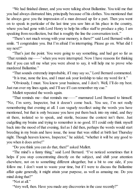"We had finished dinner, and you were talking about Ballantine. You told me that you had always distrusted him, principally because of his clothes. You mentioned that he always gave you the impression of a man dressed up for a part. Then you went on to speak in particular of the last time you saw him at his place in the country, where you had gone with Lord Henry to help his office staff to produce a play. I am speaking from recollection, but that is roughly the line the conversation took."

"There's not much wrong with your memory, is there?" said Lord Bernard with a smile. "I congratulate you. But I'm afraid I'm interrupting. Please go on. What did I say next?"

"That's just the point. You were going to say something, and had got so far as 'That reminds me——' when you were interrupted. Now I have reasons for thinking that if you can tell me what you were about to say, it will help me to prove who murdered Ballantine."

"That sounds extremely improbable, if I may say so," Lord Bernard commented.

"It is true, none the less, and I must ask your lordship to take my word for it."

"Obviously, I must. You know your business, and I don't. Well, I'll do my best. Just run over my lines again, and I'll see if I can remember my cue."

Mallett repeated the words again.

"That reminds me—that reminds me——" murmured Lord Bernard to himself. "No, I'm sorry, Inspector, but it doesn't come back. You see, I'm not really remembering that evening at all. I can vaguely recollect using the words you have mentioned, but that is only because you have put them back into my mind, and they sit there, isolated so to speak, and sterile, because the context isn't there. Just cudgelling my brains and trying to remember is no good. If I could only think myself back into the mood of that evening, feel as I did then, perhaps the words would start breeding in my brain and have issue, the issue that was stifled at birth last Thursday night. Though heaven knows, Inspector," he added, "whether it will be any good to you when it does arrive!"

"Do you think you can do that, then?" asked Mallett.

"The mind's a funny thing," said Lord Bernard. "I've noticed sometimes that it helps if you stop concentrating directly on the subject, and shift your attention elsewhere, not on to something different altogether, but a bit to one side, if you follow me. I don't want to waste your time, but if I were to discuss the Ballantine affair quite generally, it might attain your purpose, as well as amusing me. Do you mind doing that?"

"Not at all."

"Very well, then. Have you made any discoveries in the case recently?"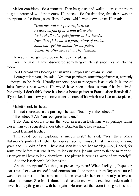Mallett considered for a moment. Then he got up and walked across the room to get a nearer view of the picture. He noticed, for the first time, that there was an inscription on the frame, some lines of verse which were new to him. He read:

> "*Who her will conquer ought to be At least as full of love and wit as she, Or he shall ne'er gain favour at her hands. Nay, though he have a pretty store of brains, Shall only get his labour for his pains, Unless he of er more than she demands.*"

He read it through twice before he took the plunge.

"Yes," he said. "I have discovered something of interest since I came into this room."

Lord Bernard was looking at him with an expression of amusement.

"I congratulate you," he said. "Yes, that painting is something of interest, certainly —though, to be frank, I hardly expected you to recognize it as such. It is one of Jules Royon's best works. He would have been a famous man if he had lived. Personally, I don't think there has been a better painter in France since Renoir died. If you like, I can show you some water-colours of his which are little masterpieces, too."

Mallett shook his head.

"I'm not interested in the painting," he said, "but only in the subject."

"The subject? Ah! You recognize her then?"

"I do. And it occurs to me that your interest in Ballantine was perhaps rather closer than you suggested in our talk at Brighton the other evening."

Lord Bernard laughed.

"I'm afraid you're exploring a mare's nest," he said. "Yes, that's Mary Ballantine's portrait all right. But you can see for yourself that it was done some years ago. In point of fact, I have not seen her since her marriage—or, indeed, for some time before that. No, if you're looking for a jealous lover to fix the murder on, I fear you will have to look elsewhere. The picture is here as a work of art, merely."

"And the inscription?" Mallett asked.

"Ah, the inscription! But that just proves my point! When I tell you, Inspector, that it was her own choice! I had commissioned the portrait from Royon because I was—not to put too fine a point on it—in love with her, or as nearly in love as makes no matter. She had it framed and sent to me, with those lines underneath. I never had anything to do with her again." He crossed the room in long strides, and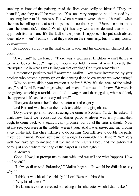standing in front of the painting, read the lines over softly to himself. "They are beautiful, are they not?" he went on. "Yes, and very proper to be addressed by a despairing lover to his mistress. But when a woman writes them of herself—when she sets herself up on that sort of pedestal—no thank you! 'Unless he offer more than she demands', indeed! What right has any woman to demand that sort of approach from a man? It's the fault of the poets, I suppose, who put such absurd ideas into women's heads, so that they trade on their femininity, but how any woman ofsense——"

He stopped abruptly in the heat of his tirade, and his expression changed all at once.

"A woman!" he exclaimed. "There was a woman at Brighton, wasn't there? A girl who looked happy? Inspector, you never told me—what was it exactly that interrupted me in what I was telling you that evening? Can't you remember?"

"I remember perfectly well," answered Mallett. "You were interrupted by your brother, who noticed a pretty girl on the dancing floor below where we were sitting."

"Why on earth didn't you mention it before? Why, it's the crux of the whole case," said Lord Bernard in growing excitement. "I can see it all now. We were in the gallery, watching a terrible lot of old dowagers and their gigolos, when suddenly she appeared. It's as clear as crystal now!"

"Then you do remember?" the inspector asked eagerly.

Lord Bernard was back at the breakfast table, arranging chairs.

"Do you ever go in for reconstructing the crime at Scotland Yard?" he asked. "I think now that if we reconstruct our dinner-party, whatever was in my mind then ought to come back to it again. I can't promise, but by all the rules it should. Now let me see, you were in the middle, weren't you? And I was *there*, and my brother away on the left. This chair will have to do for him. You will have to double the parts, if you don't mind. Would you care for a cigar to complete the illusion? No? Very well. We have got to imagine that we are in the Riviera Hotel, and the gallery will come just about where the edge of the carpet is. Is that right?"

"Absolutely."

"Good. Now just prompt me to start with, and we will see what happens. How do I begin?"

" 'I always distrusted Ballantine,' " Mallett began. " 'It would be difficult to say why.'"

" 'I think, it was his clothes chiefly,' " Lord Bernard chimed in.

" 'Why his clothes?"

" 'Ballantine's clothes revealed something in his character which I didn't like.' "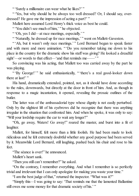" 'Surely a millionaire can wear what he likes?' "

" 'Yes, but why should he be always too well dressed? Or, I should say, overdressed? He gave me the impression of acting a part?' "

Mallett here assumed Lord Henry's thick voice as best he could.

" 'You didn't see much of him,' " he objected.

" 'Oh, yes I did—at race meetings, especially.' "

" 'Naturally, he dressed up for race meetings,' " went on Mallett-Gaveston.

"'Ah, but it wasn't only race meetings.'" Lord Bernard began to speak faster and with more and more animation. " 'Do you remember taking me down to his place in the country for the dramatic show his staff was giving? He looked a dreadful sight'—or words to that effect—'and that reminds me——'"

So convincing was his acting, that Mallett too was carried away by the part he was playing.

" 'By George!' " he said enthusiastically, " 'there's a real good-looker down there at last!"

His hand, dramatically extended, pointed, not, as it should have done according to the rules, downwards, but directly at the door in front of him. And, as though in response to a magic incantation, it opened, revealing the prosaic outlines of the butler.

The latter was of the ambassadorial type whose dignity is not easily perturbed. Only by the slightest lift of his eyebrows did he recognize that there was anything irregular in the situation that confronted him. And when he spoke, it was only to say: "Will your lordship require the car to wait any longer?"

"Oh, go away, Waters! Go away!" roared the master, and burst into a fit of laughter.

Mallett, for himself, felt more than a little foolish. He had been made to look ridiculous and he felt extremely doubtful whether any good purpose had been served by it. Meanwhile Lord Bernard, still laughing, pushed back his chair and rose to his feet.

"The séance is over!" he announced.

Mallett's heart sank.

"Then you still can't remember?" he asked.

"On the contrary, I remember everything. And what I remember is so perfectly trivial and irrelevant that I can only apologize for making you waste your time."

"I am the best judge of that," returned the inspector. "What was it?"

"Simply this—I was going to say: 'That reminds me that the lamented Ballantine still owes me some money for that dramatic society of his.'"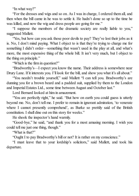"In what way?"

"For the dresses and wigs and so on. As I was in charge, I ordered them all, and then when the bill came in he was to settle it. He hadn't done so up to the time he was killed, and now the wig and dress people are going for me."

"I suppose the members of the dramatic society are really liable to you," suggested Mallett.

"Yes, but how can you ask those poor devils to pay? They've lost their jobs as it is. No, I don't mind paying. What I object to is that they're trying to charge me for something I didn't order—something that wasn't used in the play at all, and what's more, the most expensive thing of the whole bill. It isn't very much, but I object to the thing on principle."

"Which is the firm in question?"

"Bradworthy's—I expect you know the name. Their address is somewhere near Drury Lane. If it interests you. I'll look for the bill, and show you what it's all about."

"You needn't trouble yourself," said Mallett "I can tell you. Bradworthy's are dunning you for a brown beard and a padded suit, supplied by them to the London and Imperial Estates Ltd., some time between August and October last."

Lord Bernard looked at him in amazement.

"You are perfectly right," he said. "But how on earth you could guess is utterly beyond me. No, don't tell me. I prefer to remain in ignorant admiration, 'to venerate where I cannot presently comprehend', as Burke so prettily said of the British constitution. I shall dine out on this story for weeks."

He shook the inspector's hand warmly.

"Good-bye," he said, "and thank you for a most amusing morning. I wish you could tell me just one thing, though."

"What is that?"

"Ought I to pay Bradworthy's bill or not? It is rather on my conscience."

"I must leave that to your lordship's solicitors," said Mallett, and took his departure.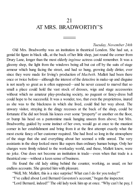### 21 AT MRS. BRADWORTHY'S

#### *Tuesday, November 24th*

Old Mrs. Bradworthy was an institution in theatrical London. She had sat, a genial fat figure in black silk, at the back of her little shop, just round the corner from Drury Lane, longer than the most elderly *ingénue* actress could remember. It was a gloomy shop, the light from the windows being all but cut off by the suits of stage armour which hung facing the street, and had so hung, growing daily dirtier, ever since they were made for Irving's production of *Macbeth*. Mallett had been there once or twice before—although the interest of the detective in make-up and disguise is not nearly so great as is often supposed—and he never ceased to marvel that so small a place could hold the vast stock of dresses, wigs and stage accessories without which no amateur play-producing society, no pageant or fancy-dress ball could hope to be successful. It was a wonder, too, that even the proprietress, inured as she was to the blackness in which she lived, could find her way about. The unwary visitor, straying in the dingy recesses at the back of the shop, could be fortunate if he did not break his knees over some "property" or another on the floor, or bump his head on a pantomime mask hanging unseen from above; but Mrs. Bradworthy, guided by some instinct of her own, would go at once to the mustiest corner in her establishment and bring from it at the first attempt exactly what the most exotic fancy of her customer required. She had lived so long in the atmosphere of the stage that she and everything about her seemed a trifle unreal. The very assistants in the shop looked more like supers than ordinary human beings. Only her charges were firmly related to the workaday world, and these, Mallett knew, were no joke. One does not become an institution in trade—even when that trade is a theatrical one—without a keen sense of business.

He found the old lady sitting behind the counter, working, as usual, on her endless accounts. She greeted him with pleasure.

"Well, Mr. Mallett, this is a nice surprise! What can I do for you today?"

"I've called about Lord Bernard Gaveston's account," began the inspector.

"Lord Bernard, indeed!" The old lady took him up at once. "Why can't he pay, I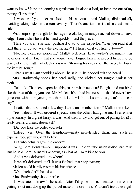want to know? It isn't becoming a gentleman, let alone a lord, to keep me out of my money all this time."

"I wonder if you'd let me look at his account," said Mallett, diplomatically avoiding taking sides in the controversy. "There's one item in it that interests me a little."

With surprising strength for her age the old lady instantly reached down a heavy ledger from a shelf behind her, and quickly found the place.

"Here you are," she said, pushing it over to the inspector. "Can you read it all right there, or do you want the electric light? I'll turn it on if you like, but——"

"No, no, I can see perfectly," Mallett lied. Mrs. Bradworthy's parsimony was notorious, and he knew that she would never forgive him if he proved himself to be wasteful in the matter of electric current. Straining his eyes over the page, he found the item he sought.

"That is what I am enquiring about," he said. "The padded suit and beard."

Mrs. Bradworthy shook her head sadly, and clicked her tongue against her teeth.

"Tck, tck! The most expensive thing in the whole account! Bought, and not hired like the rest of them, you see, Mr. Mallett. It's a bad business—it should never have gone out without payment, but there it is. It will be a lesson to us, that's all I can say."

"I notice that it is dated a few days later than the other items," Mallett remarked.

"Yes, indeed. It was ordered special, after the others had gone out. I remember it particularly. In a great hurry, it was. And then to try and get out of paying for it! It really seems criminal, doesn't it?"

"Did you take the order yourself?"

"Indeed, yes. Over the telephone—nasty new-fangled thing, and such an expense too, you wouldn't believe."

"But who actually gave the order?"

"Why, Lord Bernard—or I suppose it was. I didn't take much notice, naturally. But he said Lord Bernard's account, as clear as I'm talking to you."

"And it was delivered—to whom?"

"It wasn't delivered at all. It was fetched, that very evening."

Mallett could hardly restrain his impatience.

"Who fetched it?" he asked.

Mrs. Bradworthy shook her head.

"It was late, I know," she said. "After I'd gone home, because I remember getting it out and doing up the parcel myself, before I left. You can't trust these girls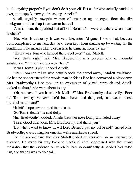to do anything properly if you don't do it yourself. But as for who actually handed it over, so to speak, now you're asking. Amelia!"

A tall, ungainly, myoptic woman of uncertain age emerged from the dim background of the shop in answer to her call.

"Amelia, dear, that padded suit of Lord Bernard's—were you there when it was fetched?"

"No, Mrs. Bradworthy. It was very late, after I'd gone. I know that, because Tom complained to me next day he'd been kept from shutting up by waiting for the gentleman. Five minutes after closing time he came in, Tom told me."

"Then it was Tom who handed the parcel over?" said Mallett.

"Yes, that's right," said Mrs. Bradworthy in a peculiar tone of mournful satisfaction. "It must have been old Tom."

'It was Tom all right," echoed Amelia.

"Then Tom can tell us who actually took the parcel away," Mallett exclaimed. He had no sooner uttered the words than he felt as if he had committed a blasphemy. Mrs. Bradworthy's face took on an expression of pained reproach and Amelia looked as though she were about to cry.

"Oh, but haven't you heard, Mr. Mallett?" Mrs. Bradworthy asked softly. "Poor old Tom—twenty-five years he'd been here—and then, only last week—those dreadful motor cars!"

Mallett's hopes evaporated into thin air.

"So Tom is dead?" he said dully.

Mrs. Bradworthy nodded. Amelia blew her nose loudly and faded away.

"I see. Good afternoon, Mrs. Bradworthy, and thank you."

"But what I want to know is, will Lord Bernard pay my bill or not?" asked Mrs. Bradworthy, overcoming her emotion with remarkable speed.

For the second time that day Mallett ended an interview on an unanswered question. He made his way back to Scotland Yard, oppressed with the strong realization that the evidence on which he had so confidently depended had failed him, and that all was to do again.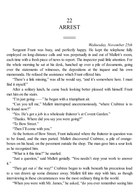# $22$ ARREST

#### *Wednesday, November 25th*

Sergeant Frant was busy, and perfectly happy. He kept the telephone fully employed on long-distance calls and was perpetually in and out of Mallett's room, each time with a fresh piece of news to report. The inspector paid little attention. For the whole morning he sat at his desk, hunched up over a pile of documents, going over the statements of witnesses, the depositions at the inquest and his own memoranda. He refused the assistance which Frant offered him.

"There's a link missing," was all he would say, "and it's somewhere here. I must find it myself."

After a solitary lunch, he came back looking better pleased with himself. Frant met him on the stairs.

"I'm just going——" he began with a triumphant air.

"Can you tell me," Mallett interrupted unceremoniously, "where Crabtree is to be found now?"

"Yes. He's got a job in a wholesale fruiterer's at Covent Garden."

"Thanks. Where did you say you were going?"

"To Bow Street."

"Then I'll come with you."

At the bottom of Bow Street, Frant indicated where the fruiterer in question was to be found, and the men parted. Mallett discovered Crabtree, a pile of orangeboxes on his head, on the pavement outside the shop. The man gave him a sour look as he recognized him.

"What is it this time?" he snarled.

"Just a question," said Mallett genially. "You needn't stop your work to answer it."

"Then get out o' the way!" Crabtree began to walk beneath his precarious load to a van drawn up some distance away. Mallett fell into step with him, as though interviewing in these circumstances was the most ordinary thing in the world.

"When you were with Mr. James," he asked, "do you ever remember seeing him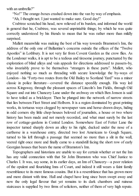with an umbrella?"

"No!" The orange-boxes crashed down into the van by way of emphasis.

"Ah, I thought not. I just wanted to make sure. Good day!"

Crabtree scratched his head, now relieved of its burden, and informed the world in general that he, Crabtree, was several unprintable things; by which he was quite correctly understood by his friends to mean that he was rather more than mildly surprised.

Mallett meanwhile was making the best of his way towards Bramston's Inn, the address of the only one of Ballantine's concerns outside the offices of the "Twelve Apostles" in Lothbury. It is not very far from Covent Garden as the crow flies. As the Londoner walks, it is apt to be a tedious and tiresome journey, punctuated by the exploration of blind alleys and vain appeals for directions addressed to passers-by, who invariably prove to be themselves "strangers in these parts". Mallett, who enjoyed nothing so much as threading with secure knowledge the by-ways of London—his "Forty-two routes from the Old Bailey to Scotland Yard" was a minor classic in police literature—covered the distance speedily enough. His way led across Kingsway, through the pleasant spaces of Lincoln's Inn Fields, through Old Square and out into Chancery Lane under the archway on which Ben Jonson is said to have toiled as a bricklayer. Then he plunged into the network of narrow streets that lies between Fleet Street and Holborn. It is a region dominated by great printing works, its tortuous ways clogged by newspaper vans and horse-drawn drays, hiding in odd corners shy little chop-houses beloved of journalists, a house or two where history has been made and not merely recorded, and what must surely be the last row of cottage-gardens in Central London. Somewhere East of Fetter Lane the inspector turned sharply down an alley to his right, ducked under the nose of a carthorse in a warehouse entry, directed two lost Americans to Gough Square, turned to his left through a passage that seemed no more than a slit in the wall, veered right once more and finally came to a standstill facing the short row of early Georgian houses that bears the name of Bramston's Inn.

Topographers and historians are unable to say for certain whether or not the Inn has any valid connection with that Sir John Bramston who was Chief Justice to Charles I. It was, say some, in its earlier days, an Inn of Chancery—a poor relation of the opulent and flourishing Inns of Court, and indeed it still wears a faint family resemblance to its more famous cousins. But it is a resemblance that has grown more and more distant with time. Hall and chapel have long since been swept away and now the only legal flavour that yet remains to its dark chambers and ruinous staircases is supplied by two firms of solicitors, neither of them of very high repute.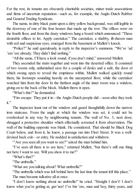For the rest, its tenants are obscurely charitable societies, minor trade associations and firms of uncertain reputation—such as, for example, the Anglo-Dutch Rubber and General Trading Syndicate.

The name, in dirty black paint upon a dirty yellow background, was still legible in the doorway of one of the four houses that made up the row. The offices were on the fourth floor, and from the dusty windows hung a board which announced: "These desirable offices to let. Apply caretaker." The caretaker, a shabby, ill-shaven man with red and suspicious eyes, emerged from the basement at Mallett's knock.

"Police?" he said querulously, in reply to the inspector's summons. "We've 'ad 'em 'ere already. They didn't find nothing."

"All the same, I'll have a look round, if you don't mind," answered Mallett.

They ascended the stairs together and went into the deserted office. It consisted of two rooms only, unfurnished save for a couple of desks and a safe, the door of which swung open to reveal the emptiness within. Mallett walked quickly round them, his footsteps sounding heavily on the uncarpeted floor, while the caretaker watched him from the door In the furthest angle of the inner room was a window, giving on to the back of the block. Mallett threw it open.

"What's this?" he demanded.

"Fire escape. They put it in—the Anglo-Dutch people did—soon after they took  $\mathbf{H}$ "

The inspector leant out of the window and gazed thoughtfully down the narrow iron staircase. From the angle at which the window was set, it could not be overlooked in any way by neighbouring tenants. The wall of No. 3, next door, shrugged a protective shoulder which effectually screened it from observation. The wall of the building opposite was blank. He considered. That should be Black Dog Court below, and from it, he knew, a passage ran into Fleet Street. It was a welldevised back exit—or entry. He nodded in satisfaction and withdrew.

"'Ave you seen all you want to see?" asked the man behind him.

"I've seen all there is to see here," returned Mallett, "but there's still one thing not here I want to see. Will you show it to me?"

"What's that?"

"The umbrella."

"What are you talking about? What umbrella?"

"The umbrella which was left behind here the last time the tenant left this place."

The man became talkative all at once.

"I don't know nothing about no umbrella!" he cried. "Straight I don't! I don't know what you're getting at, guv'nor! I've bin 'ere, man and boy, thirty years, and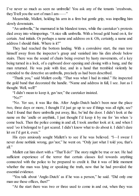I've never so much as seen no umbrella! You ask any of the tenants 'ereabouts, they'll tell you the sort of man I am——"

Meanwhile, Mallett, holding his arm in a firm but gentle grip, was impelling him slowly downstairs.

"An umbrella," he murmured in his blandest tones, while the caretaker's protests died away into whimperings. "A nice silk umbrella. With a broad gold band on it, for certain. And initials. Or perhaps a name and address on it. Oh, certainly, a name and address I should think. Where is it?"

They had reached the bottom landing. With a convulsive start, the man tore himself away from the inspector's grasp and vanished into his dim abode below stairs. There was the sound of chairs being overset by hasty movements, of a key being turned in a lock, of a cupboard door opening and closing with a bang, and the man returned. He was pale with fear, and in a hand that trembled violently he extended to the detective an umbrella, precisely as had been described.

"Thank you," said Mallett coolly. "That was what I had in mind." He inspected the gold band that decorated the handle. "Name and address in full, I see. Just as I thought. Well, well!"

"I didn't mean to keep it, guv'nor," the caretaker insisted.

"No?"

"No. Yer see, it was like this. After Anglo-Dutch hadn't been near the place two, three days or more, I thought I'd just go up to see if things was all right, see? And I found that there umbrella put away, like, be'ind the door. I didn't look at the name on the 'andle or anythink, I just thought I'd keep it by me for 'im when 'e come back. Then the police coming in and all, I took another look at it, and when I seed 'oo it belonged to I got scared. I didn't know what to do about it. I didn't dare let on I'd got it, even."

His eyes anxiously sought Mallett's to see if he was believed. "I—I swear I never done nothink wrong, guv'nor," he went on. "Only just what I told you, that's  $all$ ."

Mallett cut him short with a "That'll do!" The story might be true or not. He had sufficient experience of the terror that certain classes feel towards anything connected with the police to be prepared to credit it. But it was of little moment whether the man was lying or speaking the truth, now that he had provided the essential evidence.

"You talk about 'Anglo-Dutch' as if he was a person," he said. "Did only one man use these offices, then?"

"At the start there was two or three used to come in and out, when they was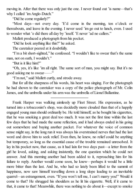moving in. After that there was only just the one. I never found out 'is name—that's why I called 'im Anglo-Dutch."

"Did he come regularly?"

"Most days—not every day. 'E'd come in the morning, ten o'clock or thereabouts, and leave in the evening. I never seed 'im go out to lunch, even. I used to wonder what 'e did there all day by 'isself. 'E never 'ad no callers."

Mallett produced a photograph from his pocket.

"Did he look anything like this?" he asked.

The caretaker peered at it doubtfully.

"I'm a bit short-sighted," he confessed. "I wouldn't like to swear that's the same man, not on oath, I wouldn't."

"But is it like him?"

"Oh, yes, it's like 'im all right. The same sort of man, you might say. But it's no good asking me to swear——"

"I'm not," said Mallett curtly, and strode away.

But for all the sharpness of his words, his heart was singing. For the photograph he had shown to the caretaker was a copy of the police photograph of Mr. Colin James, and the umbrella under his arm was the umbrella of Lionel Ballantine.

Frank Harper was walking aimlessly up Fleet Street. His expression, as he turned into a tobacconist's shop, was decidedly more clouded than that of a happily engaged young man should ordinarily be. He told himself, as he bought his cigarettes, that he was smoking a great deal too much. It was not the first time within the last few days that he had made the same reflection, and it had always ended in his going out somewhere and buying another packet. For whatever the voice of common sense might say, in the long run it was always his overstrained nerves that had the last word and drove him to seek relief. Even then, he knew, no relief could be anything but temporary, so long as the essential cause of the trouble remained unresolved. It lay in his pocket now, that cause, as it had lain for two days past—a letter from the girl he loved, asking, and asking insistently, the one question which he could not answer. And this morning another had been added to it, reproaching him for his failure to reply. Another would come soon, he knew—perhaps it would be a little more bitter than the last. And he, who had so lately been lifted to the summit of happiness, now saw himself travelling down a long slope leading to an inevitable quarrel—an estrangement, even. "If you won't tell me, I can't marry you!" Would it come to that? He shrugged his shoulders as he lit his cigarette. Well, if it came to that, it came to that! Meanwhile, there was nothing to do about it—except to smoke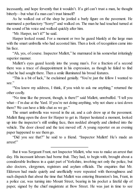incessantly, and hope fervently that it wouldn't. If a girl can't trust a man, he thought bitterly—but what if a man can't trust himself?

As he walked out of the shop he jostled a burly figure on the pavement. He murmured a perfunctory "Sorry!" and walked on. The man he had touched turned at the sound of his voice and walked quickly after him.

"Mr. Harper, isn't it?" he said.

Harper looked round. For a moment or two he gazed blankly at the large man with the smart umbrella who had accosted him. Then a look of recognition came into his face.

"Ah, yes, of course. Inspector Mallett," he murmured in his somewhat irritatingly superior manner.

Mallett's eyes gazed keenly into the young man's. For a fraction of a second there was a trace of disappointment in his expression, as though he failed to find what he had sought there. Then a smile illuminated his broad features.

"This is a bit of luck," he exclaimed genially. "You're just the fellow I wanted to see."

"You know my address, I think, if you wish to ask me anything," returned the other coolly.

"No time like the present, though, is there?" said Mallett, unrebuffed. "I tell you what—I'm due at the Yard. If you're not doing anything, why not share a taxi down there? We can have a little chat as we go."

The smart umbrella was waved in the air, and a cab drew up at the pavement. Mallett flung open the door for Harper to get in. Harper hesitated a moment, looked up into the inspector's still smiling face, then nodded abruptly and climbed into the vehicle. The door closed and the taxi moved off. A young reporter on an evening paper happened to see them go.

"Did you see that?" he said to a friend. "Inspector Mallett! He's made an arrest!"

But it was Sergeant Frant, not Inspector Mallett, who was to make an arrest that day. His incessant labours had borne fruit. They had, to begin with, brought about a considerable liveliness in a quiet part of Yorkshire, involving not only the police, but also doctors, clergymen, registrars and asylum officials. The enquiries that Mr. Elderson had made quietly and unofficially were repeated with thoroughness and such dispatch that about the time that Mallett was entering Bramston's Inn, Frant, in a police car, was turning into Mount Street, bearing in his pocket a fateful slip of paper, signed by the chief magistrate at Bow Street. He was just in time to see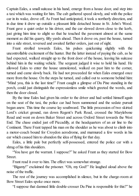Captain Eales, a small suitcase in his hand, emerge from a house door, and step into a taxi which was waiting for him. The cab gathered speed slowly, and with the police car in its wake, drove off. As Frant had anticipated, it took a northerly direction, and in due time it drew up outside a pleasant little detached house in St. John's Wood. Frant gave a quiet order to his driver, and the car slowed down close to the kerb, just giving him time to alight so that he touched the pavement almost at the same moment as did his quarry, fifty yards ahead. Then it drove on, past the house, turned into a side street, reversed and awaited further orders, just out ofsight.

Frant strolled towards Eales, his pulses quickening slightly with the uncontrollable excitement of the hunter. But the latter instead of paying the cab, as he had expected, walked straight up to the front door of the house, leaving his suitcase behind him in the waiting vehicle. The sergeant judged it wise to hold his hand. He allowed Eales to enter the house unmolested, walked on past him to the corner, turned and came slowly back. He had not proceeded far when Eales emerged once more from the house. On the steps he turned, and called out to someone behind him: "Mind you, this is the last time!" Frant caught a glimpse of Du Pine standing in the porch, could just distinguish the expressionless smile which greeted the words, and then the door closed.

By the time Eales had given his order to the driver and had settled himself again on the seat of the taxi, the police car had been summoned and the sedate pursuit began anew. This time the course lay southward. The little procession of two skirted Lord's cricket ground, ran down Regent's Park Road, crossed the Marylebone Road and went on down Baker Street and across Oxford Street towards the West End. The chase ended just off Piccadilly, at the headquarters of an air line to the Continent. There Frant tapped his man on the shoulder as he was about to climb into a motor-coach bound for Croydon aerodrome, and murmured a few words in his ear which caused him to abandon the idea of flying for that day.

Eales, a little pale but perfectly self-possessed, entered the police car with a shrug of his thin shoulders.

"You have got the warrant. I suppose?" he asked Frant as they started for Bow Street.

Frant read it over to him. The effect was somewhat strange.

"Bigamy!" exclaimed the prisoner. "Oh, my God!" He laughed aloud above the noise of the traffic.

The rest of the journey was accomplished in silence, but in the charge-room at Bow Street Eales spoke once more.

"I suppose that damned little double-crosser Du Pine is responsible for this?" he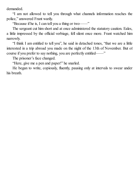demanded.

"I am not allowed to tell you through what channels information reaches the police," answered Frant warily.

"Because if he is, I can tell you a thing or two——"

The sergeant cut him short and at once administered the statutory caution. Eales, a little impressed by the official verbiage, fell silent once more. Frant watched him narrowly.

"I think I am entitled to tell you", he said in detached tones, "that we are a little interested in a trip abroad you made on the night of the 13th of November. But of course if you prefer to say nothing, you are perfectly entitled——"

The prisoner's face changed.

"Here, give me a pen and paper!" he snarled.

He began to write, copiously, fluently, pausing only at intervals to swear under his breath.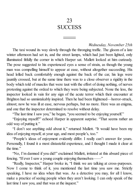## 23 **SUCCESS**

#### *Wednesday, November 25th*

The taxi wound its way slowly through the thronging traffic. The gloom of a late winter afternoon had set in, and the street lamps, which had just been lighted, only illuminated fitfully the corner in which Harper sat. Mallett looked at him curiously. The pose suggested to his experienced eyes a sense of strain, as though the young man was compelling himself to appear at ease, without altogether succeeding. His head lolled back comfortably enough against the back of the car, his legs were jauntily crossed, but at the same time there was to a close observer a rigidity in the body which told of muscles that were taut with the effort of doing nothing, of nerves protesting against the ordeal to which they were being subjected. None the less, the inspector looked in vain for any sign of the acute terror which their encounter at Brighton had so unmistakably inspired. Then he had been frightened—horror-struck, almost; now he was ill at ease, nervous perhaps, but no more. Here was an enigma, and one that the inspector determined to resolve without delay.

"The last time I saw you," he began, "you seemed to be enjoying yourself."

"Enjoying myself?" echoed Harper in apparent surprise. "That seems rather an odd way of putting it."

"I don't see anything odd about it," returned Mallett. "It would have been my idea of enjoying myself, at your age, and most people's, too."

"People's ideas of enjoyment evidently differ. I really can't answer for yours. Personally, I found it a most distasteful experience, and I thought I made it clear at the time."

"No, I'm damned if you did!" exclaimed Mallett, irritated at this absurd piece of fencing. "If ever I saw a young couple enjoying themselves——"

"Really, Inspector," Harper broke in, "I think we are talking at cross-purposes. Now I come to think of it, you mentioned the last time you saw me. Strictly speaking, I have no idea when that was. As a detective you may, for all I know, make a practice of seeing people when they aren't looking. I can only speak of the last time I saw you, and that was at the inquest."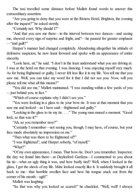The taxi travelled some distance before Mallett found words to answer this extraordinary assertion.

"Are you going to deny that you were at the Riviera Hotel, Brighton, the evening after the inquest?" he asked sternly.

"Certainly not. Why should I?"

"And that you saw me there—in the interval between two dances—and seeing me, showed every sign of surprise and fright, and"—he paused for greater emphasis —"and guilt?"

Harper's manner had changed completely. Abandoning altogether his attitude of defensive suspicion, he now leant forward and spoke with an appearance of entire sincerity.

"Look here, sir," he said. "I don't in the least understand what you are driving at. I was at the hotel on that evening. I was dancing. I was enjoying myself very much. As for being frightened or guilty, I never felt less like it in my life. You tell me that you saw me. Well, you can take my word for it that I did not see you. Now, will you please tell me what all this means?"

"You did see me," Mallett maintained. "I was standing within a few yards of you —just behind you, in fact."

"Which of course explains why I didn't see you."

"You were looking in a glass to tie your bow-tie. It was at that moment that you saw me and looked—as I have said—frightened and guilty."

"Looking in the glass to tie my tie. . . ." The young man mused a moment. "Good lord, so that was it?"

"Ah, so you remember now?"

"Certainly I remember—not seeing you, though. I may have, of course, but your face made absolutely no impression on me."

"Then what was there to be frightened of?"

"I was frightened", said Harper soberly, "of myself."

"What?"

"Of my own appearance, I mean. That bow-tie. Don't you remember. Inspector, the day we found him there—at Daylesford Gardens—I commented to you about his tie—what an ugly thing it was, and how badly tied? Well, when I looked in the glass, I got the shock of my life. Mine looked exactly like it. It suddenly brought it all back to me—that horrible swollen face and how his tongue stuck out from the corner of his mouth—ugh!"

Mallett was laughing.

"So that was why you looked so scared!" he chuckled. "Well, well! I always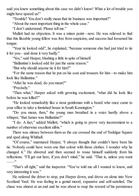said you knew something about this case we didn't know! What a lot of trouble you might have spared us!"

"Trouble? You don't really mean that tie business was important?"

"About the most important thing in the whole case."

"I don't understand. Please tell me."

Mallett had no objection. It was a minor point—now. He was relieved to find that this likeable young fellow was free from suspicion, and success had loosened his tongue.

"Your tie looked odd", he explained, "because someone else had just tried to tie it for you—and done it very badly."

"Yes," said Harper, blushing a little in spite of himself.

"Ballantine's looked odd for just the same reason."

"But why should anyone tie it for him?"

"For the same reason that he put on his coat and trousers for him—to make him look like Ballantine."

"After he was dead, do you mean?"

"Precisely."

"Then what," Harper asked with growing excitement, "what did he look like before he was killed?"

"He looked remarkably like a stout gentleman with a beard who once came to your office to take a furnished house in South Kensington."

"Do you mean, then," the young man breathed in a voice hardly above a whisper, "that James was Ballantine?"

"I do. A fact," added Mallett, "which is going to prove very inconvenient to a number of otherwise excellent alibis."

There was silence between them as the car crossed the end of Trafalgar Square and sped along Whithall.

"Of course," murmured Harper, "I always thought that couldn't have been his tie. Nobody could have worn one that colour with those clothes. I wonder why he changed it." He shivered and then seemed to rouse himself suddenly from his reflections. "I'll get out here, if you don't mind," he said. "That is, unless you want  $\overline{\phantom{a}}$ 

"That's all right," said the inspector. "You've told me all I wanted to know, and very interesting it was."

He ordered the driver to stop, put Harper down, and drove on alone into New Scotland Yard. He was feeling in a genial mood, expansive and self-satisfied. The chase was almost at an end and he was about to reap the reward of his persistence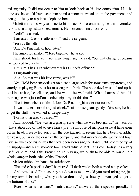and ingenuity. It did not occur to him to look back at his late companion. Had he done so, he would have seen him stand a moment irresolute on the pavement, and then go quickly to a public telephone box.

Mallett made his way at once to his office. As he entered it, he was overtaken by Frant, in a high state of excitement. He motioned him to come in.

"Well?" he asked.

"I arrested Eales this afternoon," said the sergeant.

"Yes? Is that all?"

"And Du Pine half an hour later."

The inspector smiled. "More bigamy?" he asked.

Frant shook his head. "You may laugh, sir," he said, "but that charge of bigamy has worked like a charm."

"I'm sure it has. But what exactly is Du Pine's offence?"

"Drug-trafficking."

"Aha! So that was his little game, was it?"

"Yes. He'd been importing it on quite a large scale for some time apparently, and latterly employing Eales as his messenger to Paris. The poor devil was so hard up he couldn't refuse, he tells me, and he was quite well paid. When I arrested him this morning he was just off on another trip—by air this time."

"The infernal cheek of that fellow Du Pine—right under our noses!"

"It was rather more than just cheek," said the sergeant gently. "You see, he had to get the stuff—he wanted it, desperately."

"For his own use, you mean?"

Frant nodded. "He was in a ghastly state when he was brought in," he went on. "The station doctor had to give him a pretty stiff dose of morphia or he'd have gone off his head. I really felt sorry for the blackguard. It seems that he's been an addict for years, but since the crash of the company and Ballantine's death, worry and fright have so wrecked his nerves that he's been increasing the doses until he'd used up all his supply—and his customers' too. That's why he sent Eales over today. It's a very useful capture, and if the French police play up, we ought to be able to round up a whole gang on both sides of the Channel."

Mallett rubbed his hands in satisfaction.

"The end of a perfect day," he purred. "I think we've both earned a cup of tea."

"And now," said Frant as they sat down to tea, "would you mind telling me, just for my own information, what you have done and just how you managed to get to the bottom of this?"

"Pure—what is the word?—ratiocination," answered the inspector proudly. "I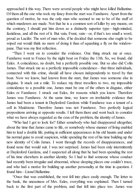approached it this way. There were several people who might have killed Ballantine. Of them all the one who took my fancy from the start was Fanshawe. Apart from the question of motive, he was the only man who seemed to me to be of the stuff of which murderers are made. Not that he is a common sort of killer by any means; on the contrary, I should put him down as a distinctly superior type—high-minded, fastidious, and all the rest of it. But vain, Frant, vain—or, if that's too small a word, proud as Lucifer. The sort of man who, if he decided that someone else ought to be wiped out would think no more of doing it than of squashing a fly on the windowpane. That was my first reflection.

"Then I went on to consider the evidence. One thing struck me at once. Fanshawe went to France by the night boat on Friday the 13th. So, we found, did Eales. A coincidence, no doubt, but a perfectly possible one. But so also did Colin James. That struck me as a perfectly impossible coincidence—that three individuals, connected with this crime, should all have chosen independently to travel by that boat. Now we know, had known from the start, that James was someone else in disguise. It stuck out a mile. To reduce my three travellers to two, my impossible coincidence to a possible one, James must be one of the others in disguise, either Eales or Fanshawe. I struck out Eales, for reasons which you know. Therefore James was Fanshawe. At the same time, we knew on irrefutable evidence that James had been a tenant in Daylesford Gardens while Fanshawe was a tenant of a cell in Maidstone. Therefore James was not Fanshawe. Two perfectly logical propositions arriving at opposite results. I left them there and went back to consider what we have always regarded as the crux of the problem, the identity of James.

"Who had I got to look for? Either somebody who had disappeared altogether, about the time that James came to life, or somebody whose manner of living enabled him to lead a double life, putting in sufficient appearances in his old haunts and under his normal guise to avoid suspicion, while spending the rest of his time building up the new identity of Colin James. I went through the records of disappearances, and found none that would suit. I was not surprised. James had been only intermittently at Daylesford Gardens, and I suspected all along that he had been spending the rest of his time elsewhere in another identity. So I had to find someone whose conduct had recently been irregular and abnormal, whose sleeping places one couldn't trace, and who had a motive for building up another personality at the time in question. I found him—Lionel Ballantine.

"Once that was established, the rest fell into place easily enough. The letter to the bank, the uneasiness of Mrs. Eales, everything was explained. Then I turned back to the first part of the problem, and that fell into place too. James was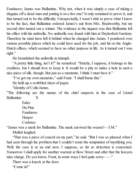Fanshawe; James was Ballantine. Why not, when it was simply a case of taking a disguise off a dead man and putting it on a live one? It only remained to prove it, and that turned out to be the difficulty. Unexpectedly, I wasn't able to prove what I know to be the fact, that Ballantine ordered James's suit from Mrs. Bradworthy, but my second shot turned out a winner. The evidence at the inquest was that Ballantine left his office with his umbrella. No umbrella was found with him at Daylesford Gardens. Therefore he must have left it behind when he changed into James. I pondered over various possible places which he could have used for the job, and hit on the Anglo-Dutch offices, which seemed to have no other purpose in life. As it turned out I was right."

He brandished the umbrella in triumph.

"A pretty little thing, isn't it?" he remarked. "Strictly, I suppose, it belongs to the creditors, but I should love to keep it. It would be a pity to make a hole in such a nice piece ofsilk, though. But just as a memento, I think I must have it."

"I've got my own memento," said Frant. "I shall frame this."

He held up a scribbled sheet of paper.

"Identity of Colin James.

"The following are the names of the chief suspects in the case of Lionel Ballantine: X

> Eales Du Pine Fanshawe Harper Crabtree

"James was a mask for Ballantine. The mask survived the wearer!—J.M."

Mallett laughed.

"That was a piece of conceit on my part," he said. "But I was so pleased when I had seen through the problem that I couldn't resist the temptation of mystifying you. Well, the case is at an end now, I suppose, so far as detection is concerned. Tomorrow I shall apply for another warrant at Bow Street and after that the lawyers take charge. Do you know, Frant, in some ways I feel quite sorry——"

There was a knock at the door.

"Come in!"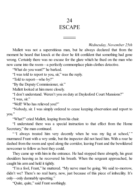# 24 **ESCAPE**

*Wednesday, November 25th*

Mallett was not a superstitious man, but he always declared that from the moment he heard that knock at the door he felt confident that something had gone wrong. Certainly there was no excuse for the glare which he fixed on the man who now came into the room—a perfectly commonplace plain-clothes detective.

"What do you want?" he barked.

"I was told to report to you, sir," was the reply.

"Told to report—who by?"

"By the Deputy Commissioner, sir."

Mallett looked at him more closely.

"I don't understand. Weren't you on duty at Daylesford Court Mansions?"

"I was, sir."

"Well? Who has relieved you?"

"Nobody, sir. I was simply ordered to cease keeping observation and report to you."

"What?" cried Mallett, leaping from his chair.

"I understand there was a special instruction to that effect from the Home Secretary," the man continued.

" I always treated him very decently when he was my fag at school," murmured Frant with a wry smile, but the inspector did not heed him. With a roar he dashed from the room and sped along the corridor, leaving Frant and the bewildered newcomer to follow as best they could.

They came up with him in the entrance. He had stopped there abruptly, his great shoulders heaving as he recovered his breath. When the sergeant approached, he caught his arm and held it tightly.

"I'm a fool, Frant," he muttered. "My nerve must be going. We said to-morrow, didn't we? There's no real hurry, now, just because of this piece of imbecility. It's only—only damnably upsetting."

"Quite, quite," said Frant soothingly.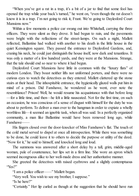"When you've got a rat in a trap, it's a bit of a jar to find that some fool has opened the trap while your back's turned," he went on, "even though the rat doesn't know it is in a trap. I'm not going to risk it, Frant. We're going to Daylesford Court Mansions now."

Within a few moments a police car swung out into Whitehall, carrying the three officers. They were silent as they drove. It had begun to rain, and the pavements were bright with the reflections of the street-lamps. On such a night, Mallett reflected, Ballantine had walked with another to his death in the little house in the quiet Kensington square. They passed the entrance to Daylesford Gardens, and, craning his neck, he could just distinguish the house itself, now dark and tenantless. It was only a matter of a few hundred yards, and they were at the Mansions. Strange, that the tale should end so near to where it had begun.

Daylesford Court Mansions have little in common with the "luxury flats" of modern London. They boast neither lifts nor uniformed porters, and there were no curious eyes to watch the detectives as they entered. Mallett clattered up the stone stairs at their head. The inhospitable entrance, the hygienically glazed walls put him in mind of a prison. Did Fanshawe, he wondered as he went, ever note the resemblance? Prison! Well, he would resume his acquaintance with that before long —for a little time, and then—he felt a little nauseated. Not for the first time, on such an occasion, he was conscious of a sense of disgust with himself for the duty he was about to perform. To deliver a man over to the hangman in order to expiate a wholly worthless life—it seemed an ignoble task, when all was said. In a perfectly organized community, a man like Ballantine would have been removed long ago, while Fanshawe——

His fingers closed over the door-knocker of Miss Fanshawe's flat. The touch of the cold metal served to dispel at once all introspection. While there was something to be done, he could leave it to others to decide the purpose or utility of the deed. "Now for it," he said to himself, and knocked long and loud.

The summons was answered after a short delay by a tall, grim, middle-aged woman, pale of countenance, her lips set in a firm line. She wore an apron which seemed incongruous alike to her well-made dress and her authoritative manner.

She greeted the detectives with raised eyebrows and a slightly contemptuous "Yes?"

"I am a police officer——" Mallett began.

"Very well. You wish to see my brother, I suppose."

"Is he here?"

"Certainly." Her lip curled as though at the suggestion that he should have run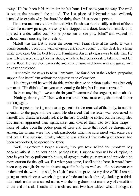away. "He has been in his room for the last hour. I will show you the way. The maid is out at the present," she added. The last piece of information was evidently intended to explain why she should be doing them this service in person.

The three men entered the flat and Miss Fanshawe strode stiffly in front of them down the narrow passage. Presently she stopped at a door, knocked smartly at it, opened it wide, called out: "Some policemen to see you, John!" and walked on without herself crossing the threshold.

Mallett was the first to enter the room, with Frant close at his heels. It was a plainly furnished bedroom, with an open desk in one corner. On the desk lay a large white envelope. On the bed lay John Fanshawe. An empty glass was beside him. He was fully dressed, except for his shoes, which he had considerately taken off and left on the floor. He had died painlessly, and if his unfurrowed brow was any guide, with an easy conscience.

Frant broke the news to Miss Fanshawe. He found her in the kitchen, preparing supper. She heard him without the slightest trace of emotion.

"He always said he would do this, rather than go to prison again," was her only comment. "He didn't tell me you were coming for him, but I'm not surprised."

"Is there anything I—we can do for you?" stammered the sergeant, taken aback.

"Nothing, thank you." Then with a muttered "One must eat", she turned to her cooking again.

The inspector, having made arrangements for the removal of the body, turned his attention to the papers in the desk. He observed that the letter was addressed to himself, and characteristically left it to the last. Quickly he sorted out the neatly filed documents, appraised their significance, and divided them into two little heaps those of value from the police point of view and those that could be disregarded. Among the former were two bank passbooks which he scrutinized with some care and not a little surprise. Finally, when he was satisfied that nothing of interest had been overlooked, he opened the letter.

"Well, Inspector," it began abruptly, "so you have solved the problem! My congratulations! In an hour or so, perhaps less, I suppose you will be clumping up here in your heavy policeman's boots, all agog to make your arrest and provide a bit more carrion for the gallows. But when you come, I shall not be here. It would have been easy enough for me to absent myself in body as well as—if a policeman can understand the word—in soul, but I shall not attempt to. At my time of life I am not going to embark on a wretched game of hide-and-seek abroad, skulking in thirdrate hotels under an assumed name, with the long drawn out mummery of extradition at the end of it all. I loathe an anti-climax, and two little tablets which I bought in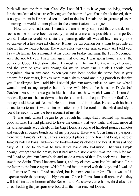Paris will save me from that. Candidly, I should like to have gone on living, merely for the intellectual pleasure of having got the better of you. Since that is denied, there is no great point in further existence. And to the last I retain the far greater pleasure of leaving the world a better place for the extermination of a rogue.

"How did you find it out, I wonder? I am honestly surprised that you did, for it seems to me to have been as nearly perfect a crime as is possible in an imperfect world. I take no credit for it, for the planning, after all, was all his. I merely took advantage of a heaven-sent chance. It must be uncommon for a man to provide an alibi for his own executioner. The whole affair was quite simple, really. As I told you, I saw Ballantine for a moment at his office on Friday morning, the 13th November. As I did not tell you, I saw him again that evening. I was going home, and at the corner of Upper Daylesford Street I almost ran into him. He knew me, of course, and the start he gave was enough for me to know him. I think I should have recognized him in any case. When you have been seeing the same face in your dreams for four years, it takes more than a sham beard and a big paunch to deceive you. I challenged him—told him I should give him away unless he gave me what I wanted, and to my surprise he took me with him to the house in Daylesford Gardens. As soon as we got inside, he asked me how much I wanted. I named a modest figure and he sat down at his desk to write a cheque. The poor fool! As if money could have satisfied me! He soon found out his mistake. He sat with his back to me to write and it was a simple matter to pull the cord off the blind and slip it round his neck. It was the best moment of my life.

"It was only when I began to go through his things that I realized my amazing good fortune. He had planned to leave the country that very night, and had made all his arrangements accordingly. In his bag I found a couple of hundred pounds in notes and enough in bearer bonds for all my purposes. There was Colin James's passport, there were James's tickets, James's reserved places on the train and boat, a note of James's hotel in Paris, and—on the body—James's clothes and beard. It was all too easy. All I had to do was to turn James back into Ballantine. That was simple enough, except that the dressy beast had worn a stock which was too much for me, and I had to give him James's tie and made a mess of that. His neck was—but you saw it, no doubt. Then I became James, and my clothes went into his suitcase. I put the letter to the house agents which I found into a parcel with the keys and I walked out. I went to Paris as I had intended, but in unexpected comfort. That it was at his expense made the journey doubly pleasant. Once in Paris, James disappeared—they will find him at the bottom of the Seine—and Fanshawe came home, third class this time, shedding the passport overboard as the boat reached Dover.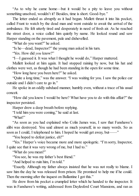"As to why he came home—but it would be a pity to leave you without something unsolved, wouldn't it? Besides, time is short. Good-bye."

The letter ended as abruptly as it had begun. Mallett thrust it into his pocket, called Frant to watch by the dead man and went outside to await the arrival of the ambulance. He felt utterly tired and desperately in need of fresh air. As he reached the street door, a voice called him quietly by name. He looked round and saw Harper standing on the pavement, pale and dishevelled.

"What do you want?" he asked.

"Is he—dead, Inspector?" the young man asked in his turn.

"Yes. How did *you* know?"

"I—I guessed it. It was what I thought he would do," Harper muttered.

Mallett looked at him again. It had stopped raining by now, but his hat and clothes were wet, as though he had been standing in the open for some time.

"How long have you been here?" he asked.

"Quite a long time," was the answer. "I was waiting for you. I saw the police car outside and I didn't care to go in."

He spoke in an oddly subdued manner, humbly even, without a trace of his usual conceit.

"How did you know I would be here? What have you to do with this affair?" the inspector persisted.

Harper drew a deep breath before replying.

"I told him you were coming," he said at last.

"What!"

"As soon as you had explained who Colin James was, I saw that Fanshawe's alibi was destroyed. You said almost as much yourself, in so many words. So as soon as I could, I telephoned to him. I hoped he would get away, but——"

"You hoped to defeat justice, eh?"

"Yes." Harper's voice became more and more apologetic. "I'm sorry, Inspector, I quite see that it was very wrong of me, but I had to."

"What do you mean?"

"You see, he was my father's best friend."

"And helped to ruin him, I'm told."

"Exactly. Although my father always insisted that he was not really to blame. I saw him the day he was released from prison. He promised to help me if he could. Then the morning after the inquest on Ballantine I got this."

He drew from his pocket a crumpled letter which he handed to the inspector. It was in Fanshawe's writing, addressed from Daylesford Court Mansions, and ran as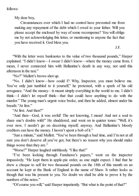follows:

My dear boy,

Circumstances over which I had no control have prevented me from making any repayment of the debt which I owed to your father. Will you please accept the enclosed by way of some recompense? You will oblige me by not acknowledging this letter, or mentioning to anyone the fact that you have received it. God bless you.

J.F.

"With the letter were banknotes to the value of two thousand pounds," Harper explained. "I didn't know—I swear I didn't know—where the money came from. I mean, I never connected him with Ballantine's death in any way, not until this afternoon in the taxi."

"No?" Mallett's brows shot up.

"No. I didn't know—how could I? Why, Inspector, you must believe me. You've only just tumbled to it yourself," he protested, with a spark of his old arrogance. "And the money—it meant simply everything in the world to me. I didn't think—I didn't let myself think—that that could have anything to do with the murder." The young man's urgent voice broke, and then he added, almost under his breath: "At first."

"At first. And then?"

"And then—God, it was awful! The not knowing, I mean! And not a soul to share one's doubts with!" He shuddered, and went on in quieter tones: "Well, it's over now. I needn't go on deceiving myself, anyway. And Ballantine's bloody creditors can have the money. I haven't spent a bob of it."

"Just a minute," said Mallett. "You've been through a bad time, and I'm not at all sure you don't deserve all you've got, but there's no reason why you should make things worse than they are."

"Worse?" Harper laughed mirthlessly. "I like that!"

"I've been looking through Fanshawe's papers," went on the inspector impassively. "He kept them in apple-pie order, as one might expect. I find that he drew a cheque to self for two thousand pounds on the 18th of this month on an account he kept at the Bank of England in the name of Shaw. It rather looks as though that was his present to you. No doubt we shall be able to prove it by the numbers of the notes."

"Of course you will," said Harper impatiently. "But what is the point of that?"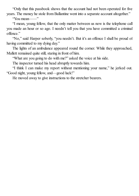"Only that this passbook shows that the account had not been operated for five years. The money he stole from Ballantine went into a separate account altogether."

"You mean——"

"I mean, young fellow, that the only matter between us now is the telephone call you made an hour or so ago. I needn't tell you that you have committed a criminal offence."

"No," said Harper soberly, "you needn't. But it's an offence I shall be proud of having committed to my dying day."

The lights of an ambulance appeared round the corner. While they approached, Mallett remained quite still, staring in front of him.

"What are you going to do with me?" asked the voice at his side.

The inspector turned his head abruptly towards him.

"I think I can make my report without mentioning your name," he jerked out. "Good night, young fellow, and—good luck!"

He moved away to give instructions to the stretcher bearers.